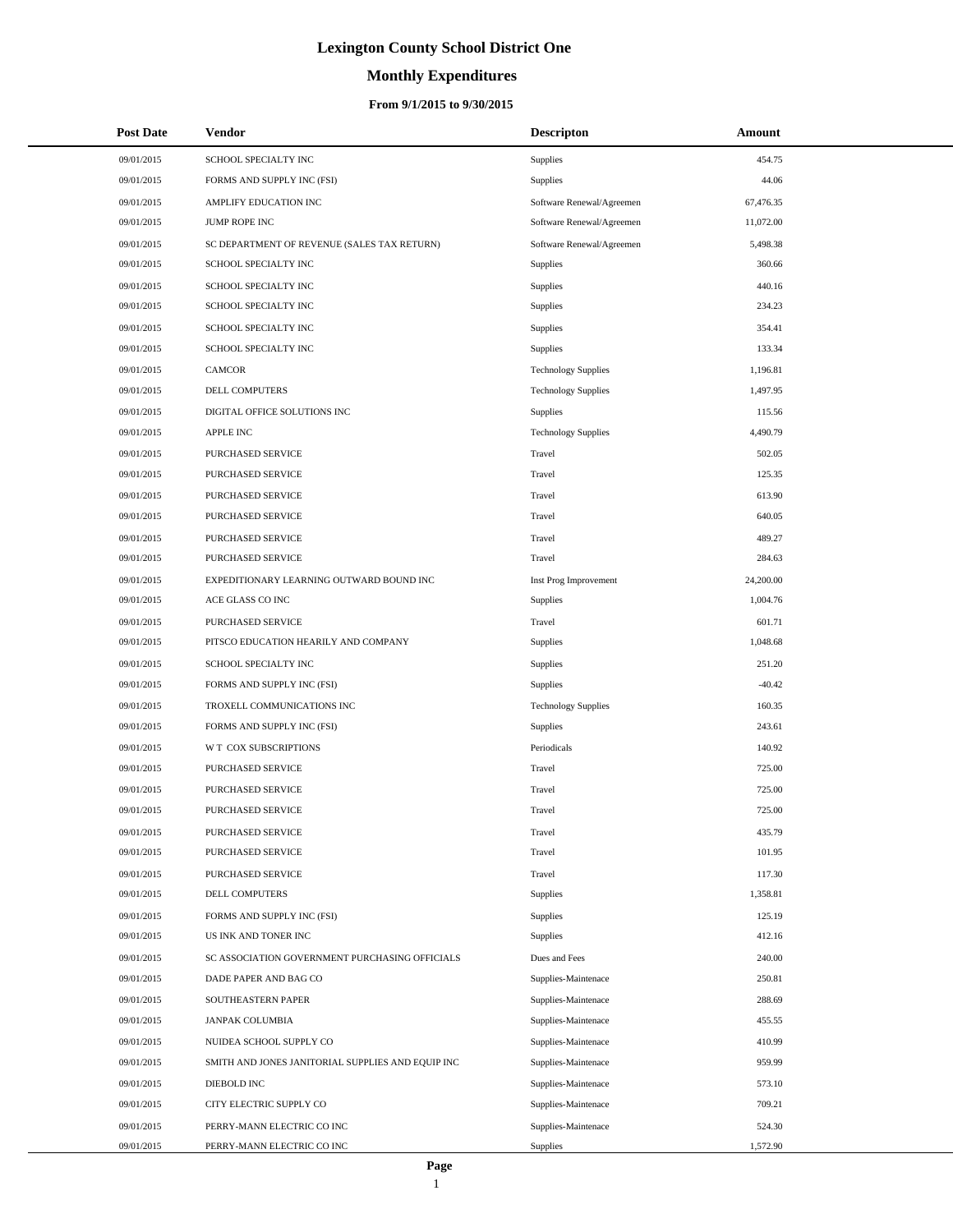# **Monthly Expenditures**

### **From 9/1/2015 to 9/30/2015**

| <b>Post Date</b> | <b>Vendor</b>                                     | <b>Descripton</b>          | Amount    |
|------------------|---------------------------------------------------|----------------------------|-----------|
| 09/01/2015       | SCHOOL SPECIALTY INC                              | <b>Supplies</b>            | 454.75    |
| 09/01/2015       | FORMS AND SUPPLY INC (FSI)                        | <b>Supplies</b>            | 44.06     |
| 09/01/2015       | AMPLIFY EDUCATION INC                             | Software Renewal/Agreemen  | 67,476.35 |
| 09/01/2015       | <b>JUMP ROPE INC</b>                              | Software Renewal/Agreemen  | 11,072.00 |
| 09/01/2015       | SC DEPARTMENT OF REVENUE (SALES TAX RETURN)       | Software Renewal/Agreemen  | 5,498.38  |
| 09/01/2015       | SCHOOL SPECIALTY INC                              | <b>Supplies</b>            | 360.66    |
| 09/01/2015       | SCHOOL SPECIALTY INC                              | <b>Supplies</b>            | 440.16    |
| 09/01/2015       | SCHOOL SPECIALTY INC                              | Supplies                   | 234.23    |
| 09/01/2015       | SCHOOL SPECIALTY INC                              | <b>Supplies</b>            | 354.41    |
| 09/01/2015       | SCHOOL SPECIALTY INC                              | Supplies                   | 133.34    |
| 09/01/2015       | <b>CAMCOR</b>                                     | <b>Technology Supplies</b> | 1,196.81  |
| 09/01/2015       | DELL COMPUTERS                                    | <b>Technology Supplies</b> | 1,497.95  |
| 09/01/2015       | DIGITAL OFFICE SOLUTIONS INC                      | Supplies                   | 115.56    |
| 09/01/2015       | <b>APPLE INC</b>                                  | <b>Technology Supplies</b> | 4,490.79  |
| 09/01/2015       | PURCHASED SERVICE                                 | Travel                     | 502.05    |
| 09/01/2015       | PURCHASED SERVICE                                 | Travel                     | 125.35    |
| 09/01/2015       | PURCHASED SERVICE                                 | Travel                     | 613.90    |
| 09/01/2015       | PURCHASED SERVICE                                 | Travel                     | 640.05    |
| 09/01/2015       | PURCHASED SERVICE                                 | Travel                     | 489.27    |
| 09/01/2015       | PURCHASED SERVICE                                 | Travel                     | 284.63    |
| 09/01/2015       | EXPEDITIONARY LEARNING OUTWARD BOUND INC          | Inst Prog Improvement      | 24,200.00 |
| 09/01/2015       | ACE GLASS CO INC                                  | <b>Supplies</b>            | 1,004.76  |
| 09/01/2015       | PURCHASED SERVICE                                 | Travel                     | 601.71    |
| 09/01/2015       | PITSCO EDUCATION HEARILY AND COMPANY              | <b>Supplies</b>            | 1,048.68  |
| 09/01/2015       | SCHOOL SPECIALTY INC                              | <b>Supplies</b>            | 251.20    |
| 09/01/2015       | FORMS AND SUPPLY INC (FSI)                        | <b>Supplies</b>            | $-40.42$  |
| 09/01/2015       | TROXELL COMMUNICATIONS INC                        | <b>Technology Supplies</b> | 160.35    |
| 09/01/2015       | FORMS AND SUPPLY INC (FSI)                        | <b>Supplies</b>            | 243.61    |
| 09/01/2015       | W T COX SUBSCRIPTIONS                             | Periodicals                | 140.92    |
| 09/01/2015       | PURCHASED SERVICE                                 | Travel                     | 725.00    |
| 09/01/2015       | PURCHASED SERVICE                                 | Travel                     | 725.00    |
| 09/01/2015       | PURCHASED SERVICE                                 | Travel                     | 725.00    |
| 09/01/2015       | PURCHASED SERVICE                                 | Travel                     | 435.79    |
| 09/01/2015       | PURCHASED SERVICE                                 | Travel                     | 101.95    |
| 09/01/2015       | PURCHASED SERVICE                                 | Travel                     | 117.30    |
| 09/01/2015       | <b>DELL COMPUTERS</b>                             | <b>Supplies</b>            | 1,358.81  |
| 09/01/2015       | FORMS AND SUPPLY INC (FSI)                        | Supplies                   | 125.19    |
| 09/01/2015       | US INK AND TONER INC                              | Supplies                   | 412.16    |
| 09/01/2015       | SC ASSOCIATION GOVERNMENT PURCHASING OFFICIALS    | Dues and Fees              | 240.00    |
| 09/01/2015       | DADE PAPER AND BAG CO                             | Supplies-Maintenace        | 250.81    |
| 09/01/2015       | SOUTHEASTERN PAPER                                | Supplies-Maintenace        | 288.69    |
| 09/01/2015       | JANPAK COLUMBIA                                   | Supplies-Maintenace        | 455.55    |
| 09/01/2015       | NUIDEA SCHOOL SUPPLY CO                           | Supplies-Maintenace        | 410.99    |
| 09/01/2015       | SMITH AND JONES JANITORIAL SUPPLIES AND EQUIP INC | Supplies-Maintenace        | 959.99    |
| 09/01/2015       | DIEBOLD INC                                       | Supplies-Maintenace        | 573.10    |
| 09/01/2015       | CITY ELECTRIC SUPPLY CO                           | Supplies-Maintenace        | 709.21    |
| 09/01/2015       | PERRY-MANN ELECTRIC CO INC                        | Supplies-Maintenace        | 524.30    |
| 09/01/2015       | PERRY-MANN ELECTRIC CO INC                        | <b>Supplies</b>            | 1,572.90  |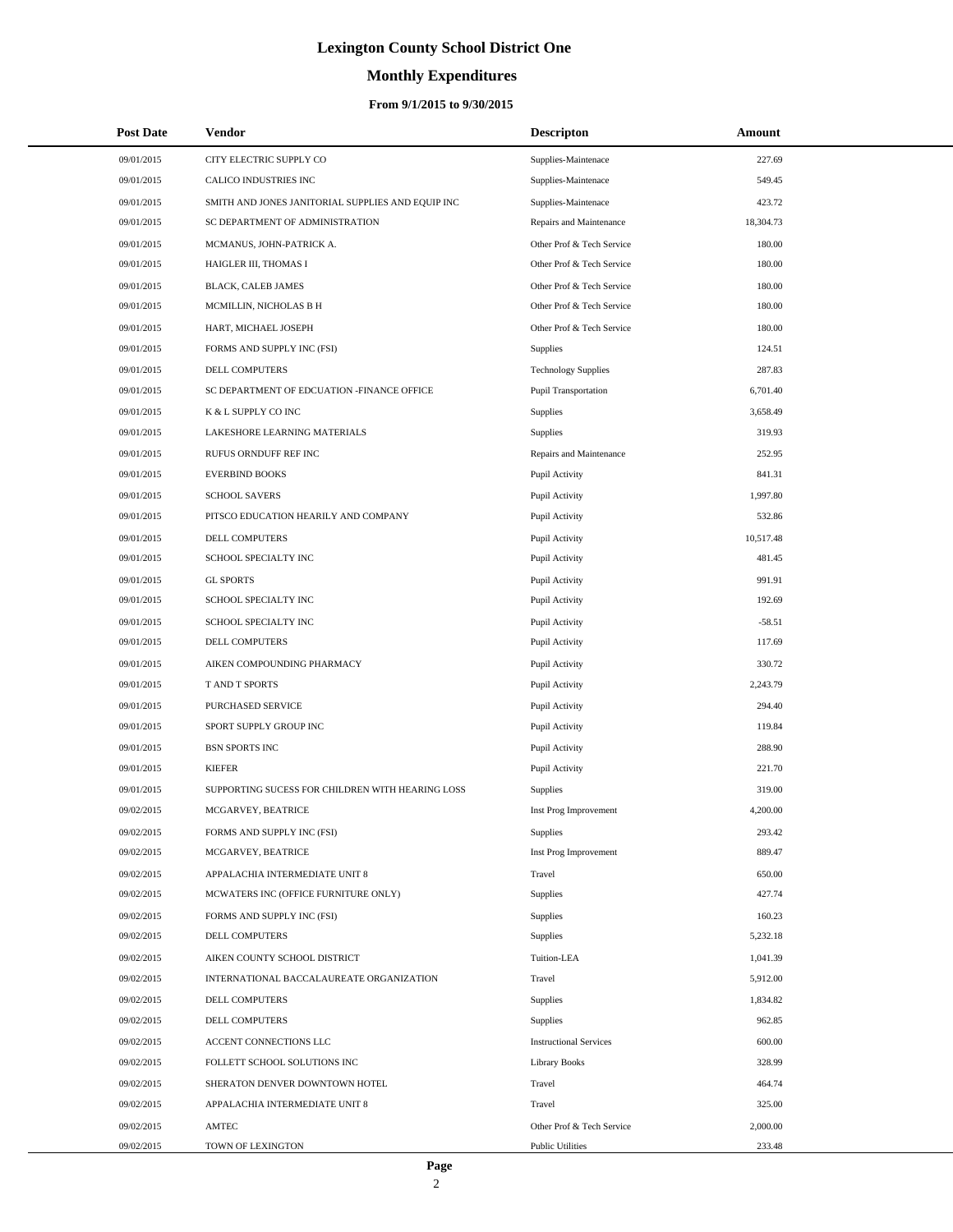# **Monthly Expenditures**

### **From 9/1/2015 to 9/30/2015**

| <b>Post Date</b> | Vendor                                            | <b>Descripton</b>             | Amount    |  |
|------------------|---------------------------------------------------|-------------------------------|-----------|--|
| 09/01/2015       | CITY ELECTRIC SUPPLY CO                           | Supplies-Maintenace           | 227.69    |  |
| 09/01/2015       | CALICO INDUSTRIES INC                             | Supplies-Maintenace           | 549.45    |  |
| 09/01/2015       | SMITH AND JONES JANITORIAL SUPPLIES AND EQUIP INC | Supplies-Maintenace           | 423.72    |  |
| 09/01/2015       | SC DEPARTMENT OF ADMINISTRATION                   | Repairs and Maintenance       | 18,304.73 |  |
| 09/01/2015       | MCMANUS, JOHN-PATRICK A.                          | Other Prof & Tech Service     | 180.00    |  |
| 09/01/2015       | HAIGLER III, THOMAS I                             | Other Prof & Tech Service     | 180.00    |  |
| 09/01/2015       | BLACK, CALEB JAMES                                | Other Prof & Tech Service     | 180.00    |  |
| 09/01/2015       | MCMILLIN, NICHOLAS B H                            | Other Prof & Tech Service     | 180.00    |  |
| 09/01/2015       | HART, MICHAEL JOSEPH                              | Other Prof & Tech Service     | 180.00    |  |
| 09/01/2015       | FORMS AND SUPPLY INC (FSI)                        | Supplies                      | 124.51    |  |
| 09/01/2015       | DELL COMPUTERS                                    | <b>Technology Supplies</b>    | 287.83    |  |
| 09/01/2015       | SC DEPARTMENT OF EDCUATION -FINANCE OFFICE        | Pupil Transportation          | 6,701.40  |  |
| 09/01/2015       | K & L SUPPLY CO INC                               | <b>Supplies</b>               | 3,658.49  |  |
| 09/01/2015       | LAKESHORE LEARNING MATERIALS                      | Supplies                      | 319.93    |  |
| 09/01/2015       | RUFUS ORNDUFF REF INC                             | Repairs and Maintenance       | 252.95    |  |
| 09/01/2015       | <b>EVERBIND BOOKS</b>                             | Pupil Activity                | 841.31    |  |
| 09/01/2015       | <b>SCHOOL SAVERS</b>                              | Pupil Activity                | 1,997.80  |  |
| 09/01/2015       | PITSCO EDUCATION HEARILY AND COMPANY              | Pupil Activity                | 532.86    |  |
| 09/01/2015       | DELL COMPUTERS                                    | Pupil Activity                | 10,517.48 |  |
| 09/01/2015       | <b>SCHOOL SPECIALTY INC</b>                       | Pupil Activity                | 481.45    |  |
| 09/01/2015       | <b>GL SPORTS</b>                                  | Pupil Activity                | 991.91    |  |
| 09/01/2015       | SCHOOL SPECIALTY INC                              | Pupil Activity                | 192.69    |  |
| 09/01/2015       | SCHOOL SPECIALTY INC                              | Pupil Activity                | $-58.51$  |  |
| 09/01/2015       | <b>DELL COMPUTERS</b>                             | Pupil Activity                | 117.69    |  |
| 09/01/2015       | AIKEN COMPOUNDING PHARMACY                        | Pupil Activity                | 330.72    |  |
| 09/01/2015       | T AND T SPORTS                                    | Pupil Activity                | 2,243.79  |  |
| 09/01/2015       | PURCHASED SERVICE                                 | Pupil Activity                | 294.40    |  |
| 09/01/2015       | SPORT SUPPLY GROUP INC                            | Pupil Activity                | 119.84    |  |
| 09/01/2015       | <b>BSN SPORTS INC</b>                             | Pupil Activity                | 288.90    |  |
| 09/01/2015       | <b>KIEFER</b>                                     | Pupil Activity                | 221.70    |  |
| 09/01/2015       | SUPPORTING SUCESS FOR CHILDREN WITH HEARING LOSS  | Supplies                      | 319.00    |  |
| 09/02/2015       | MCGARVEY, BEATRICE                                | Inst Prog Improvement         | 4,200.00  |  |
| 09/02/2015       | FORMS AND SUPPLY INC (FSI)                        | Supplies                      | 293.42    |  |
| 09/02/2015       | MCGARVEY, BEATRICE                                | Inst Prog Improvement         | 889.47    |  |
| 09/02/2015       | APPALACHIA INTERMEDIATE UNIT 8                    | Travel                        | 650.00    |  |
| 09/02/2015       | MCWATERS INC (OFFICE FURNITURE ONLY)              | Supplies                      | 427.74    |  |
| 09/02/2015       | FORMS AND SUPPLY INC (FSI)                        | Supplies                      | 160.23    |  |
| 09/02/2015       | DELL COMPUTERS                                    | Supplies                      | 5,232.18  |  |
| 09/02/2015       | AIKEN COUNTY SCHOOL DISTRICT                      | Tuition-LEA                   | 1,041.39  |  |
| 09/02/2015       | INTERNATIONAL BACCALAUREATE ORGANIZATION          | Travel                        | 5,912.00  |  |
| 09/02/2015       | DELL COMPUTERS                                    | Supplies                      | 1,834.82  |  |
| 09/02/2015       | DELL COMPUTERS                                    | Supplies                      | 962.85    |  |
| 09/02/2015       | ACCENT CONNECTIONS LLC                            | <b>Instructional Services</b> | 600.00    |  |
| 09/02/2015       | FOLLETT SCHOOL SOLUTIONS INC                      | <b>Library Books</b>          | 328.99    |  |
| 09/02/2015       | SHERATON DENVER DOWNTOWN HOTEL                    | Travel                        | 464.74    |  |
| 09/02/2015       | APPALACHIA INTERMEDIATE UNIT 8                    | Travel                        | 325.00    |  |
| 09/02/2015       | AMTEC                                             | Other Prof & Tech Service     | 2,000.00  |  |
| 09/02/2015       | TOWN OF LEXINGTON                                 | <b>Public Utilities</b>       | 233.48    |  |

L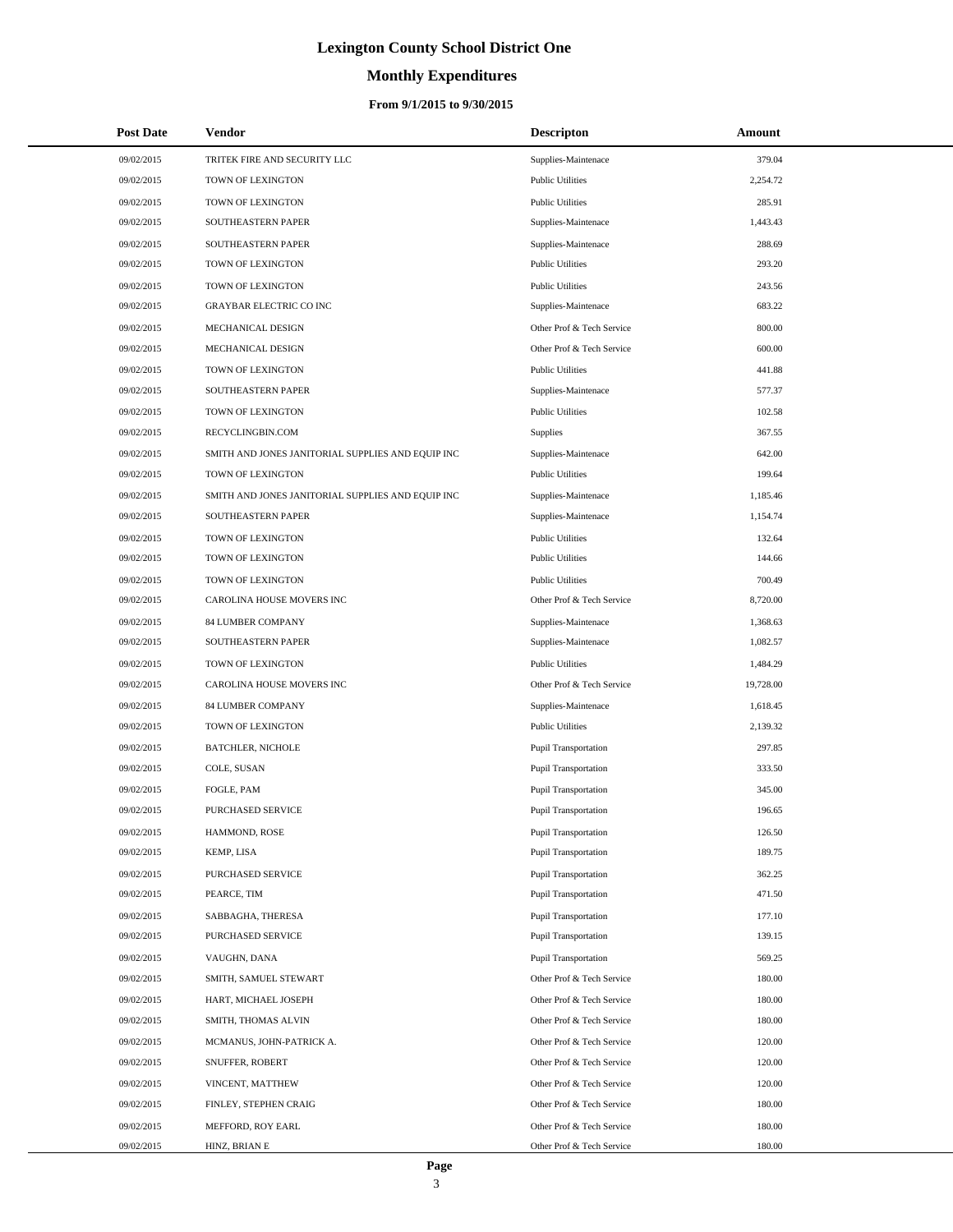# **Monthly Expenditures**

### **From 9/1/2015 to 9/30/2015**

| <b>Post Date</b> | Vendor                                            | <b>Descripton</b>           | Amount    |
|------------------|---------------------------------------------------|-----------------------------|-----------|
| 09/02/2015       | TRITEK FIRE AND SECURITY LLC                      | Supplies-Maintenace         | 379.04    |
| 09/02/2015       | TOWN OF LEXINGTON                                 | <b>Public Utilities</b>     | 2,254.72  |
| 09/02/2015       | TOWN OF LEXINGTON                                 | <b>Public Utilities</b>     | 285.91    |
| 09/02/2015       | SOUTHEASTERN PAPER                                | Supplies-Maintenace         | 1,443.43  |
| 09/02/2015       | SOUTHEASTERN PAPER                                | Supplies-Maintenace         | 288.69    |
| 09/02/2015       | TOWN OF LEXINGTON                                 | <b>Public Utilities</b>     | 293.20    |
| 09/02/2015       | TOWN OF LEXINGTON                                 | <b>Public Utilities</b>     | 243.56    |
| 09/02/2015       | <b>GRAYBAR ELECTRIC CO INC</b>                    | Supplies-Maintenace         | 683.22    |
| 09/02/2015       | MECHANICAL DESIGN                                 | Other Prof & Tech Service   | 800.00    |
| 09/02/2015       | MECHANICAL DESIGN                                 | Other Prof & Tech Service   | 600.00    |
| 09/02/2015       | TOWN OF LEXINGTON                                 | <b>Public Utilities</b>     | 441.88    |
| 09/02/2015       | SOUTHEASTERN PAPER                                | Supplies-Maintenace         | 577.37    |
| 09/02/2015       | TOWN OF LEXINGTON                                 | <b>Public Utilities</b>     | 102.58    |
| 09/02/2015       | RECYCLINGBIN.COM                                  | <b>Supplies</b>             | 367.55    |
| 09/02/2015       | SMITH AND JONES JANITORIAL SUPPLIES AND EQUIP INC | Supplies-Maintenace         | 642.00    |
| 09/02/2015       | TOWN OF LEXINGTON                                 | <b>Public Utilities</b>     | 199.64    |
| 09/02/2015       | SMITH AND JONES JANITORIAL SUPPLIES AND EQUIP INC | Supplies-Maintenace         | 1,185.46  |
| 09/02/2015       | SOUTHEASTERN PAPER                                | Supplies-Maintenace         | 1,154.74  |
| 09/02/2015       | <b>TOWN OF LEXINGTON</b>                          | <b>Public Utilities</b>     | 132.64    |
| 09/02/2015       | TOWN OF LEXINGTON                                 | <b>Public Utilities</b>     | 144.66    |
| 09/02/2015       | TOWN OF LEXINGTON                                 | <b>Public Utilities</b>     | 700.49    |
| 09/02/2015       | CAROLINA HOUSE MOVERS INC                         | Other Prof & Tech Service   | 8,720.00  |
| 09/02/2015       | 84 LUMBER COMPANY                                 | Supplies-Maintenace         | 1,368.63  |
| 09/02/2015       | SOUTHEASTERN PAPER                                | Supplies-Maintenace         | 1,082.57  |
| 09/02/2015       | TOWN OF LEXINGTON                                 | <b>Public Utilities</b>     | 1,484.29  |
| 09/02/2015       | CAROLINA HOUSE MOVERS INC                         | Other Prof & Tech Service   | 19,728.00 |
| 09/02/2015       | 84 LUMBER COMPANY                                 | Supplies-Maintenace         | 1,618.45  |
| 09/02/2015       | TOWN OF LEXINGTON                                 | <b>Public Utilities</b>     | 2,139.32  |
| 09/02/2015       | <b>BATCHLER, NICHOLE</b>                          | <b>Pupil Transportation</b> | 297.85    |
| 09/02/2015       | COLE, SUSAN                                       | Pupil Transportation        | 333.50    |
| 09/02/2015       | FOGLE, PAM                                        | Pupil Transportation        | 345.00    |
| 09/02/2015       | PURCHASED SERVICE                                 | <b>Pupil Transportation</b> | 196.65    |
| 09/02/2015       | HAMMOND, ROSE                                     | <b>Pupil Transportation</b> | 126.50    |
| 09/02/2015       | KEMP, LISA                                        | <b>Pupil Transportation</b> | 189.75    |
| 09/02/2015       | PURCHASED SERVICE                                 | <b>Pupil Transportation</b> | 362.25    |
| 09/02/2015       | PEARCE, TIM                                       | <b>Pupil Transportation</b> | 471.50    |
| 09/02/2015       | SABBAGHA, THERESA                                 | <b>Pupil Transportation</b> | 177.10    |
| 09/02/2015       | PURCHASED SERVICE                                 | <b>Pupil Transportation</b> | 139.15    |
| 09/02/2015       | VAUGHN, DANA                                      | <b>Pupil Transportation</b> | 569.25    |
| 09/02/2015       | SMITH, SAMUEL STEWART                             | Other Prof & Tech Service   | 180.00    |
| 09/02/2015       | HART, MICHAEL JOSEPH                              | Other Prof & Tech Service   | 180.00    |
| 09/02/2015       | SMITH, THOMAS ALVIN                               | Other Prof & Tech Service   | 180.00    |
| 09/02/2015       | MCMANUS, JOHN-PATRICK A.                          | Other Prof & Tech Service   | 120.00    |
| 09/02/2015       | SNUFFER, ROBERT                                   | Other Prof & Tech Service   | 120.00    |
| 09/02/2015       | VINCENT, MATTHEW                                  | Other Prof & Tech Service   | 120.00    |
| 09/02/2015       | FINLEY, STEPHEN CRAIG                             | Other Prof & Tech Service   | 180.00    |
| 09/02/2015       | MEFFORD, ROY EARL                                 | Other Prof & Tech Service   | 180.00    |
| 09/02/2015       | HINZ, BRIAN E                                     | Other Prof & Tech Service   | 180.00    |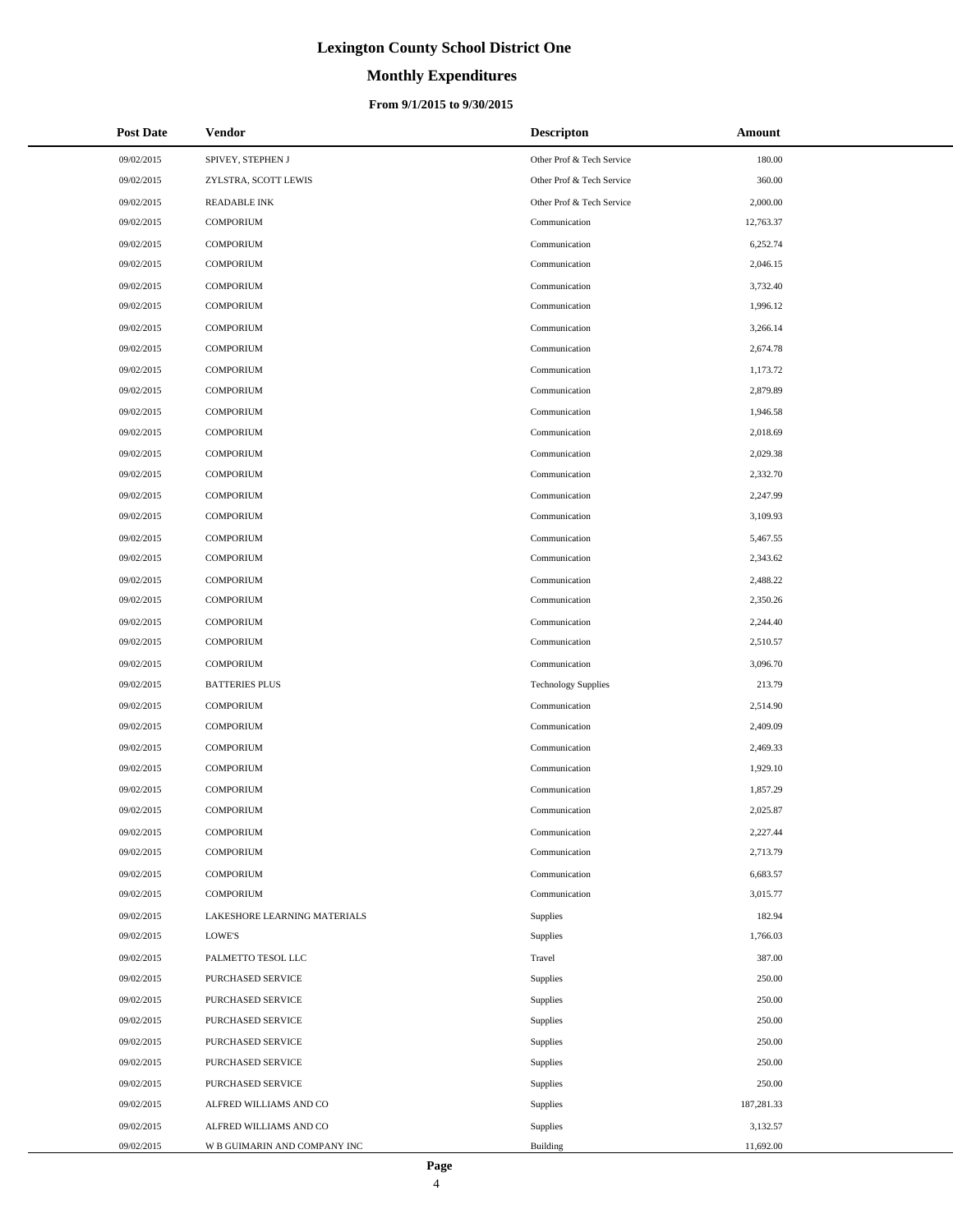# **Monthly Expenditures**

### **From 9/1/2015 to 9/30/2015**

| <b>Post Date</b> | <b>Vendor</b>                | <b>Descripton</b>          | Amount     |
|------------------|------------------------------|----------------------------|------------|
| 09/02/2015       | SPIVEY, STEPHEN J            | Other Prof & Tech Service  | 180.00     |
| 09/02/2015       | ZYLSTRA, SCOTT LEWIS         | Other Prof & Tech Service  | 360.00     |
| 09/02/2015       | <b>READABLE INK</b>          | Other Prof & Tech Service  | 2,000.00   |
| 09/02/2015       | <b>COMPORIUM</b>             | Communication              | 12,763.37  |
| 09/02/2015       | <b>COMPORIUM</b>             | Communication              | 6,252.74   |
| 09/02/2015       | <b>COMPORIUM</b>             | Communication              | 2,046.15   |
| 09/02/2015       | <b>COMPORIUM</b>             | Communication              | 3,732.40   |
| 09/02/2015       | <b>COMPORIUM</b>             | Communication              | 1,996.12   |
| 09/02/2015       | <b>COMPORIUM</b>             | Communication              | 3,266.14   |
| 09/02/2015       | <b>COMPORIUM</b>             | Communication              | 2,674.78   |
| 09/02/2015       | <b>COMPORIUM</b>             | Communication              | 1,173.72   |
| 09/02/2015       | <b>COMPORIUM</b>             | Communication              | 2,879.89   |
| 09/02/2015       | <b>COMPORIUM</b>             | Communication              | 1,946.58   |
| 09/02/2015       | <b>COMPORIUM</b>             | Communication              | 2,018.69   |
| 09/02/2015       | <b>COMPORIUM</b>             | Communication              | 2,029.38   |
| 09/02/2015       | <b>COMPORIUM</b>             | Communication              | 2,332.70   |
| 09/02/2015       | <b>COMPORIUM</b>             | Communication              | 2,247.99   |
| 09/02/2015       | <b>COMPORIUM</b>             | Communication              | 3,109.93   |
| 09/02/2015       | <b>COMPORIUM</b>             | Communication              | 5,467.55   |
| 09/02/2015       | <b>COMPORIUM</b>             | Communication              | 2,343.62   |
| 09/02/2015       | <b>COMPORIUM</b>             | Communication              | 2,488.22   |
| 09/02/2015       | <b>COMPORIUM</b>             | Communication              | 2,350.26   |
| 09/02/2015       | <b>COMPORIUM</b>             | Communication              | 2,244.40   |
| 09/02/2015       | <b>COMPORIUM</b>             | Communication              | 2,510.57   |
| 09/02/2015       | <b>COMPORIUM</b>             | Communication              | 3,096.70   |
| 09/02/2015       | <b>BATTERIES PLUS</b>        | <b>Technology Supplies</b> | 213.79     |
| 09/02/2015       | <b>COMPORIUM</b>             | Communication              | 2,514.90   |
| 09/02/2015       | <b>COMPORIUM</b>             | Communication              | 2,409.09   |
| 09/02/2015       | <b>COMPORIUM</b>             | Communication              | 2,469.33   |
| 09/02/2015       | <b>COMPORIUM</b>             | Communication              | 1,929.10   |
| 09/02/2015       | <b>COMPORIUM</b>             | Communication              | 1,857.29   |
| 09/02/2015       | <b>COMPORIUM</b>             | Communication              | 2,025.87   |
| 09/02/2015       | <b>COMPORIUM</b>             | Communication              | 2,227.44   |
| 09/02/2015       | <b>COMPORIUM</b>             | Communication              | 2,713.79   |
| 09/02/2015       | COMPORIUM                    | Communication              | 6,683.57   |
| 09/02/2015       | <b>COMPORIUM</b>             | Communication              | 3,015.77   |
| 09/02/2015       | LAKESHORE LEARNING MATERIALS | <b>Supplies</b>            | 182.94     |
| 09/02/2015       | LOWE'S                       | Supplies                   | 1,766.03   |
| 09/02/2015       | PALMETTO TESOL LLC           | Travel                     | 387.00     |
| 09/02/2015       | PURCHASED SERVICE            | Supplies                   | 250.00     |
| 09/02/2015       | PURCHASED SERVICE            | Supplies                   | 250.00     |
| 09/02/2015       | PURCHASED SERVICE            | Supplies                   | 250.00     |
| 09/02/2015       | PURCHASED SERVICE            | Supplies                   | 250.00     |
| 09/02/2015       | PURCHASED SERVICE            | Supplies                   | 250.00     |
| 09/02/2015       | PURCHASED SERVICE            | Supplies                   | 250.00     |
| 09/02/2015       | ALFRED WILLIAMS AND CO       | Supplies                   | 187,281.33 |
| 09/02/2015       | ALFRED WILLIAMS AND CO       | Supplies                   | 3,132.57   |
| 09/02/2015       | W B GUIMARIN AND COMPANY INC | Building                   | 11,692.00  |

÷.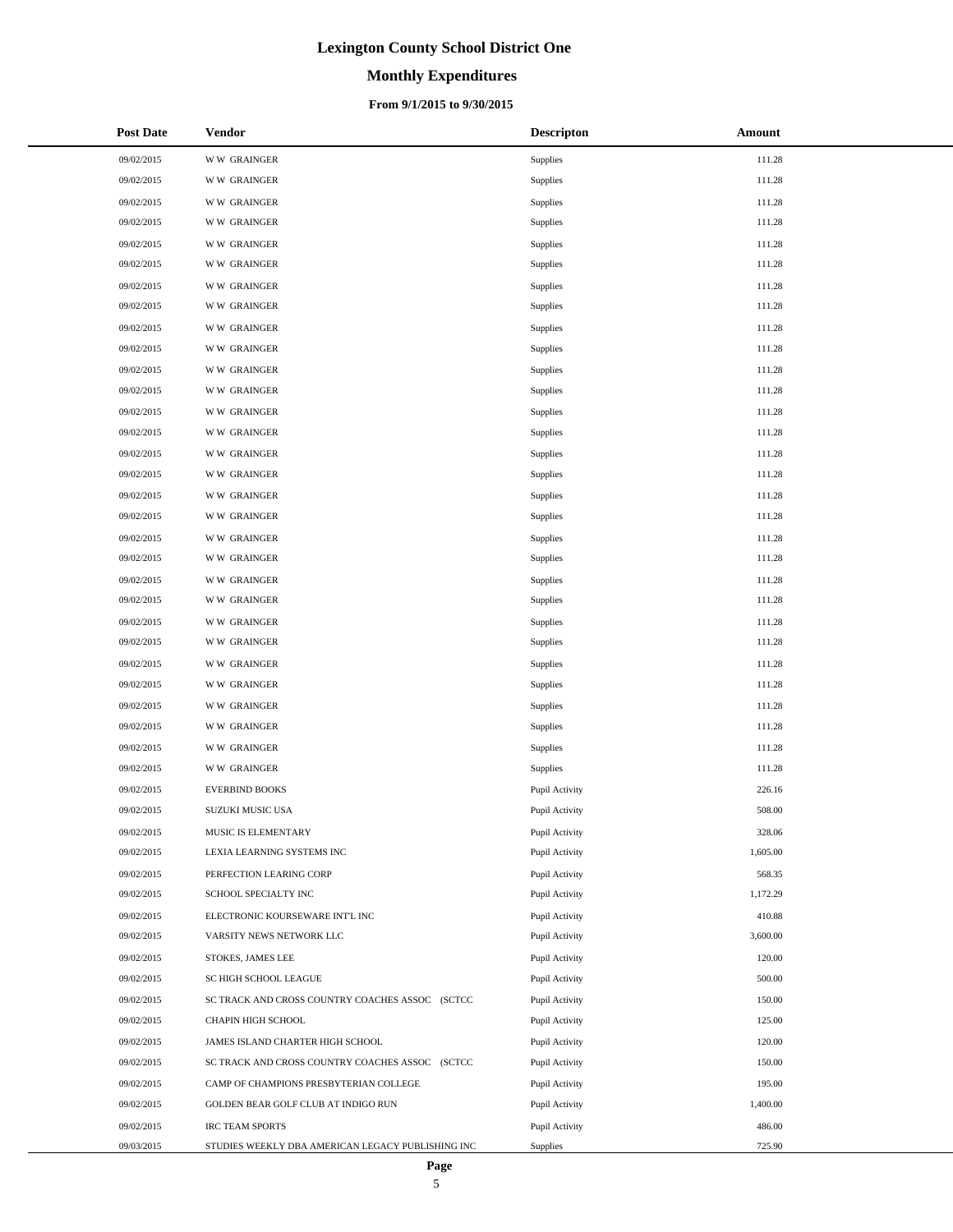# **Monthly Expenditures**

### **From 9/1/2015 to 9/30/2015**

| <b>Post Date</b> | <b>Vendor</b>                                     | <b>Descripton</b> | Amount   |
|------------------|---------------------------------------------------|-------------------|----------|
| 09/02/2015       | <b>WW GRAINGER</b>                                | Supplies          | 111.28   |
| 09/02/2015       | <b>WW GRAINGER</b>                                | Supplies          | 111.28   |
| 09/02/2015       | <b>WW GRAINGER</b>                                | Supplies          | 111.28   |
| 09/02/2015       | <b>WW GRAINGER</b>                                | Supplies          | 111.28   |
| 09/02/2015       | <b>WW GRAINGER</b>                                | Supplies          | 111.28   |
| 09/02/2015       | <b>WW GRAINGER</b>                                | Supplies          | 111.28   |
| 09/02/2015       | <b>WW GRAINGER</b>                                | Supplies          | 111.28   |
| 09/02/2015       | <b>WW GRAINGER</b>                                | Supplies          | 111.28   |
| 09/02/2015       | <b>WW GRAINGER</b>                                | Supplies          | 111.28   |
| 09/02/2015       | <b>WW GRAINGER</b>                                | Supplies          | 111.28   |
| 09/02/2015       | <b>WW GRAINGER</b>                                | Supplies          | 111.28   |
| 09/02/2015       | <b>WW GRAINGER</b>                                | Supplies          | 111.28   |
| 09/02/2015       | <b>WW GRAINGER</b>                                | Supplies          | 111.28   |
| 09/02/2015       | <b>WW GRAINGER</b>                                | Supplies          | 111.28   |
| 09/02/2015       | <b>WW GRAINGER</b>                                | Supplies          | 111.28   |
| 09/02/2015       | <b>WW GRAINGER</b>                                | Supplies          | 111.28   |
| 09/02/2015       | <b>WW GRAINGER</b>                                | Supplies          | 111.28   |
| 09/02/2015       | <b>WW GRAINGER</b>                                | Supplies          | 111.28   |
| 09/02/2015       | <b>WW GRAINGER</b>                                | Supplies          | 111.28   |
| 09/02/2015       | <b>WW GRAINGER</b>                                | Supplies          | 111.28   |
| 09/02/2015       | <b>WW GRAINGER</b>                                | Supplies          | 111.28   |
| 09/02/2015       | <b>WW GRAINGER</b>                                | Supplies          | 111.28   |
| 09/02/2015       | <b>WW GRAINGER</b>                                | Supplies          | 111.28   |
| 09/02/2015       | <b>WW GRAINGER</b>                                | Supplies          | 111.28   |
| 09/02/2015       | <b>WW GRAINGER</b>                                | Supplies          | 111.28   |
| 09/02/2015       | <b>WW GRAINGER</b>                                | Supplies          | 111.28   |
| 09/02/2015       | <b>WW GRAINGER</b>                                | Supplies          | 111.28   |
| 09/02/2015       | <b>WW GRAINGER</b>                                | Supplies          | 111.28   |
| 09/02/2015       | <b>WW GRAINGER</b>                                | Supplies          | 111.28   |
| 09/02/2015       | <b>WW GRAINGER</b>                                | Supplies          | 111.28   |
| 09/02/2015       | <b>EVERBIND BOOKS</b>                             | Pupil Activity    | 226.16   |
| 09/02/2015       | <b>SUZUKI MUSIC USA</b>                           | Pupil Activity    | 508.00   |
| 09/02/2015       | MUSIC IS ELEMENTARY                               | Pupil Activity    | 328.06   |
| 09/02/2015       | LEXIA LEARNING SYSTEMS INC                        | Pupil Activity    | 1,605.00 |
| 09/02/2015       | PERFECTION LEARING CORP                           | Pupil Activity    | 568.35   |
| 09/02/2015       | SCHOOL SPECIALTY INC                              | Pupil Activity    | 1,172.29 |
| 09/02/2015       | ELECTRONIC KOURSEWARE INT'L INC                   | Pupil Activity    | 410.88   |
| 09/02/2015       | VARSITY NEWS NETWORK LLC                          | Pupil Activity    | 3,600.00 |
| 09/02/2015       | STOKES, JAMES LEE                                 | Pupil Activity    | 120.00   |
| 09/02/2015       | SC HIGH SCHOOL LEAGUE                             | Pupil Activity    | 500.00   |
| 09/02/2015       | SC TRACK AND CROSS COUNTRY COACHES ASSOC (SCTCC   | Pupil Activity    | 150.00   |
| 09/02/2015       | CHAPIN HIGH SCHOOL                                | Pupil Activity    | 125.00   |
| 09/02/2015       | JAMES ISLAND CHARTER HIGH SCHOOL                  | Pupil Activity    | 120.00   |
| 09/02/2015       | SC TRACK AND CROSS COUNTRY COACHES ASSOC (SCTCC   | Pupil Activity    | 150.00   |
| 09/02/2015       | CAMP OF CHAMPIONS PRESBYTERIAN COLLEGE            | Pupil Activity    | 195.00   |
| 09/02/2015       | GOLDEN BEAR GOLF CLUB AT INDIGO RUN               | Pupil Activity    | 1,400.00 |
| 09/02/2015       | IRC TEAM SPORTS                                   | Pupil Activity    | 486.00   |
| 09/03/2015       | STUDIES WEEKLY DBA AMERICAN LEGACY PUBLISHING INC | Supplies          | 725.90   |

 $\overline{a}$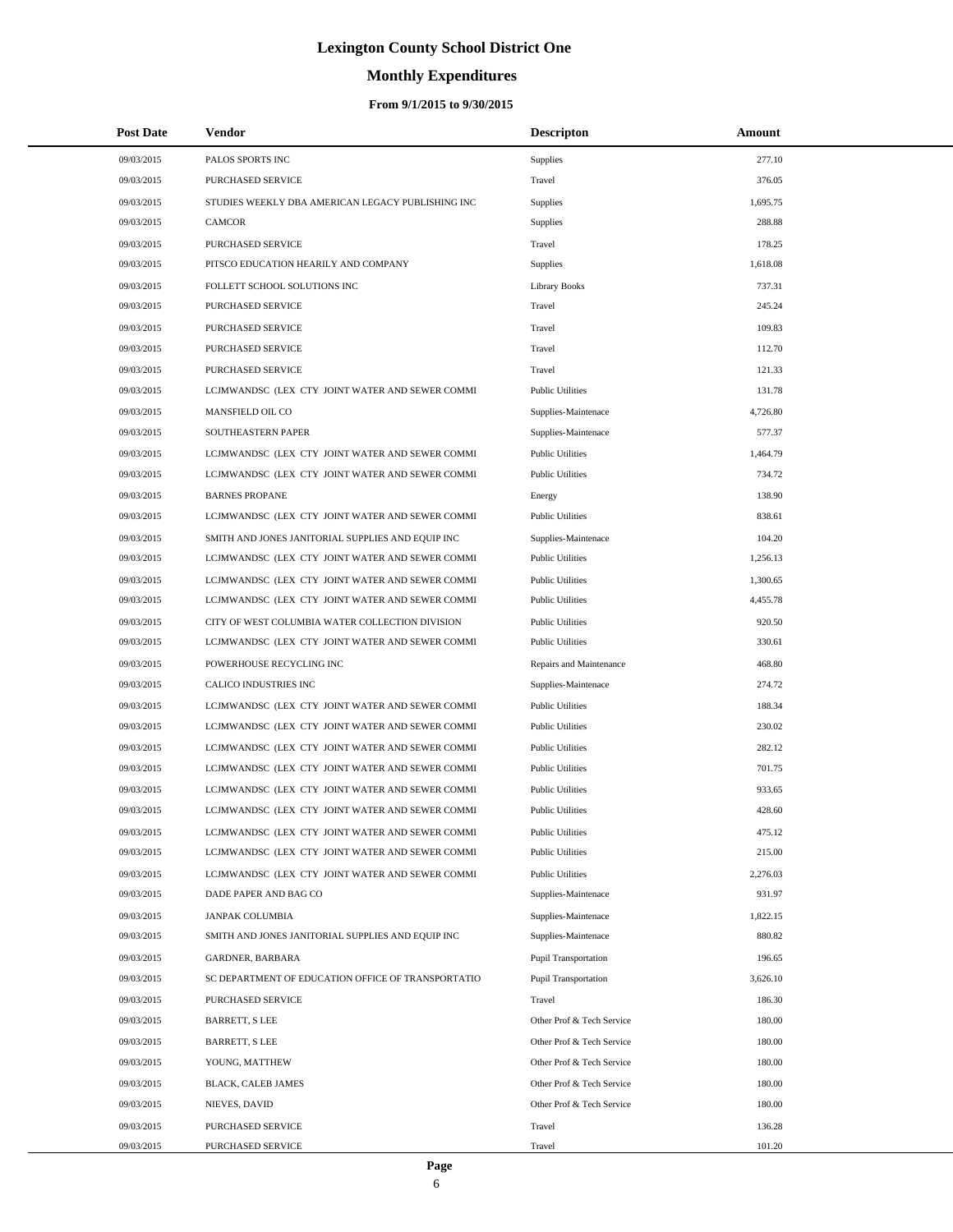# **Monthly Expenditures**

| <b>Post Date</b> | Vendor                                             | <b>Descripton</b>           | Amount   |
|------------------|----------------------------------------------------|-----------------------------|----------|
| 09/03/2015       | PALOS SPORTS INC                                   | <b>Supplies</b>             | 277.10   |
| 09/03/2015       | PURCHASED SERVICE                                  | Travel                      | 376.05   |
| 09/03/2015       | STUDIES WEEKLY DBA AMERICAN LEGACY PUBLISHING INC  | Supplies                    | 1,695.75 |
| 09/03/2015       | <b>CAMCOR</b>                                      | Supplies                    | 288.88   |
| 09/03/2015       | PURCHASED SERVICE                                  | Travel                      | 178.25   |
| 09/03/2015       | PITSCO EDUCATION HEARILY AND COMPANY               | Supplies                    | 1,618.08 |
| 09/03/2015       | FOLLETT SCHOOL SOLUTIONS INC                       | Library Books               | 737.31   |
| 09/03/2015       | PURCHASED SERVICE                                  | Travel                      | 245.24   |
| 09/03/2015       | <b>PURCHASED SERVICE</b>                           | Travel                      | 109.83   |
| 09/03/2015       | PURCHASED SERVICE                                  | Travel                      | 112.70   |
| 09/03/2015       | PURCHASED SERVICE                                  | Travel                      | 121.33   |
| 09/03/2015       | LCJMWANDSC (LEX CTY JOINT WATER AND SEWER COMMI    | <b>Public Utilities</b>     | 131.78   |
| 09/03/2015       | MANSFIELD OIL CO                                   | Supplies-Maintenace         | 4,726.80 |
| 09/03/2015       | SOUTHEASTERN PAPER                                 | Supplies-Maintenace         | 577.37   |
| 09/03/2015       | LCJMWANDSC (LEX CTY JOINT WATER AND SEWER COMMI    | <b>Public Utilities</b>     | 1,464.79 |
| 09/03/2015       | LCJMWANDSC (LEX CTY JOINT WATER AND SEWER COMMI    | <b>Public Utilities</b>     | 734.72   |
| 09/03/2015       | <b>BARNES PROPANE</b>                              | Energy                      | 138.90   |
| 09/03/2015       | LCJMWANDSC (LEX CTY JOINT WATER AND SEWER COMMI    | <b>Public Utilities</b>     | 838.61   |
| 09/03/2015       | SMITH AND JONES JANITORIAL SUPPLIES AND EQUIP INC  | Supplies-Maintenace         | 104.20   |
| 09/03/2015       | LCJMWANDSC (LEX CTY JOINT WATER AND SEWER COMMI    | <b>Public Utilities</b>     | 1,256.13 |
| 09/03/2015       | LCJMWANDSC (LEX CTY JOINT WATER AND SEWER COMMI    | <b>Public Utilities</b>     | 1,300.65 |
| 09/03/2015       | LCJMWANDSC (LEX CTY JOINT WATER AND SEWER COMMI    | <b>Public Utilities</b>     | 4,455.78 |
| 09/03/2015       | CITY OF WEST COLUMBIA WATER COLLECTION DIVISION    | <b>Public Utilities</b>     | 920.50   |
| 09/03/2015       | LCJMWANDSC (LEX CTY JOINT WATER AND SEWER COMMI    | <b>Public Utilities</b>     | 330.61   |
| 09/03/2015       | POWERHOUSE RECYCLING INC                           | Repairs and Maintenance     | 468.80   |
| 09/03/2015       | CALICO INDUSTRIES INC                              | Supplies-Maintenace         | 274.72   |
| 09/03/2015       | LCJMWANDSC (LEX CTY JOINT WATER AND SEWER COMMI    | <b>Public Utilities</b>     | 188.34   |
| 09/03/2015       | LCJMWANDSC (LEX CTY JOINT WATER AND SEWER COMMI    | <b>Public Utilities</b>     | 230.02   |
| 09/03/2015       | LCJMWANDSC (LEX CTY JOINT WATER AND SEWER COMMI    | <b>Public Utilities</b>     | 282.12   |
| 09/03/2015       | LCJMWANDSC (LEX CTY JOINT WATER AND SEWER COMMI    | <b>Public Utilities</b>     | 701.75   |
| 09/03/2015       | LCJMWANDSC (LEX CTY JOINT WATER AND SEWER COMMI    | <b>Public Utilities</b>     | 933.65   |
| 09/03/2015       | LCJMWANDSC (LEX CTY JOINT WATER AND SEWER COMMI    | <b>Public Utilities</b>     | 428.60   |
| 09/03/2015       | LCJMWANDSC (LEX CTY JOINT WATER AND SEWER COMMI    | <b>Public Utilities</b>     | 475.12   |
| 09/03/2015       | LCJMWANDSC (LEX CTY JOINT WATER AND SEWER COMMI    | <b>Public Utilities</b>     | 215.00   |
| 09/03/2015       | LCJMWANDSC (LEX CTY JOINT WATER AND SEWER COMMI    | <b>Public Utilities</b>     | 2,276.03 |
| 09/03/2015       | DADE PAPER AND BAG CO                              | Supplies-Maintenace         | 931.97   |
| 09/03/2015       | <b>JANPAK COLUMBIA</b>                             | Supplies-Maintenace         | 1,822.15 |
| 09/03/2015       | SMITH AND JONES JANITORIAL SUPPLIES AND EQUIP INC  | Supplies-Maintenace         | 880.82   |
| 09/03/2015       | GARDNER, BARBARA                                   | <b>Pupil Transportation</b> | 196.65   |
| 09/03/2015       | SC DEPARTMENT OF EDUCATION OFFICE OF TRANSPORTATIO | <b>Pupil Transportation</b> | 3,626.10 |
| 09/03/2015       | PURCHASED SERVICE                                  | Travel                      | 186.30   |
| 09/03/2015       | BARRETT, S LEE                                     | Other Prof & Tech Service   | 180.00   |
| 09/03/2015       | <b>BARRETT, S LEE</b>                              | Other Prof & Tech Service   | 180.00   |
| 09/03/2015       | YOUNG, MATTHEW                                     | Other Prof & Tech Service   | 180.00   |
| 09/03/2015       | BLACK, CALEB JAMES                                 | Other Prof & Tech Service   | 180.00   |
| 09/03/2015       | NIEVES, DAVID                                      | Other Prof & Tech Service   | 180.00   |
| 09/03/2015       | PURCHASED SERVICE                                  | Travel                      | 136.28   |
| 09/03/2015       | PURCHASED SERVICE                                  | Travel                      | 101.20   |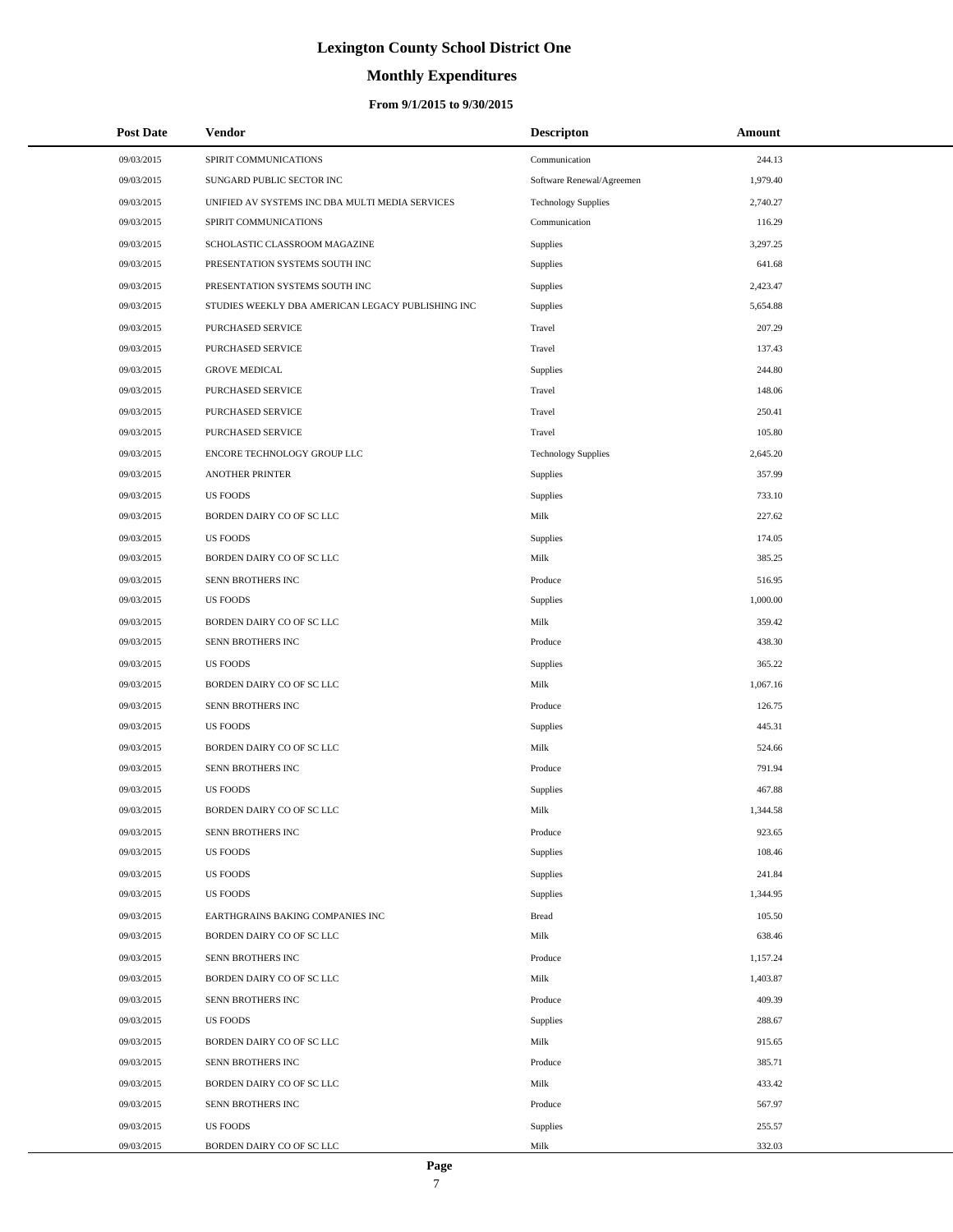# **Monthly Expenditures**

### **From 9/1/2015 to 9/30/2015**

| <b>Post Date</b> | Vendor                                            | <b>Descripton</b>          | Amount   |
|------------------|---------------------------------------------------|----------------------------|----------|
| 09/03/2015       | SPIRIT COMMUNICATIONS                             | Communication              | 244.13   |
| 09/03/2015       | SUNGARD PUBLIC SECTOR INC                         | Software Renewal/Agreemen  | 1,979.40 |
| 09/03/2015       | UNIFIED AV SYSTEMS INC DBA MULTI MEDIA SERVICES   | <b>Technology Supplies</b> | 2,740.27 |
| 09/03/2015       | SPIRIT COMMUNICATIONS                             | Communication              | 116.29   |
| 09/03/2015       | SCHOLASTIC CLASSROOM MAGAZINE                     | <b>Supplies</b>            | 3,297.25 |
| 09/03/2015       | PRESENTATION SYSTEMS SOUTH INC                    | Supplies                   | 641.68   |
| 09/03/2015       | PRESENTATION SYSTEMS SOUTH INC                    | Supplies                   | 2,423.47 |
| 09/03/2015       | STUDIES WEEKLY DBA AMERICAN LEGACY PUBLISHING INC | Supplies                   | 5,654.88 |
| 09/03/2015       | PURCHASED SERVICE                                 | Travel                     | 207.29   |
| 09/03/2015       | PURCHASED SERVICE                                 | Travel                     | 137.43   |
| 09/03/2015       | <b>GROVE MEDICAL</b>                              | Supplies                   | 244.80   |
| 09/03/2015       | PURCHASED SERVICE                                 | Travel                     | 148.06   |
| 09/03/2015       | PURCHASED SERVICE                                 | Travel                     | 250.41   |
| 09/03/2015       | <b>PURCHASED SERVICE</b>                          | Travel                     | 105.80   |
| 09/03/2015       | ENCORE TECHNOLOGY GROUP LLC                       | <b>Technology Supplies</b> | 2,645.20 |
| 09/03/2015       | <b>ANOTHER PRINTER</b>                            | <b>Supplies</b>            | 357.99   |
| 09/03/2015       | <b>US FOODS</b>                                   | <b>Supplies</b>            | 733.10   |
| 09/03/2015       | BORDEN DAIRY CO OF SC LLC                         | Milk                       | 227.62   |
| 09/03/2015       | <b>US FOODS</b>                                   | <b>Supplies</b>            | 174.05   |
| 09/03/2015       | BORDEN DAIRY CO OF SC LLC                         | Milk                       | 385.25   |
| 09/03/2015       | SENN BROTHERS INC                                 | Produce                    | 516.95   |
| 09/03/2015       | <b>US FOODS</b>                                   | Supplies                   | 1,000.00 |
| 09/03/2015       | BORDEN DAIRY CO OF SC LLC                         | Milk                       | 359.42   |
| 09/03/2015       | SENN BROTHERS INC                                 | Produce                    | 438.30   |
| 09/03/2015       | <b>US FOODS</b>                                   | <b>Supplies</b>            | 365.22   |
| 09/03/2015       | BORDEN DAIRY CO OF SC LLC                         | Milk                       | 1,067.16 |
| 09/03/2015       | SENN BROTHERS INC                                 | Produce                    | 126.75   |
| 09/03/2015       | <b>US FOODS</b>                                   | Supplies                   | 445.31   |
| 09/03/2015       | BORDEN DAIRY CO OF SC LLC                         | Milk                       | 524.66   |
| 09/03/2015       | SENN BROTHERS INC                                 | Produce                    | 791.94   |
| 09/03/2015       | <b>US FOODS</b>                                   | Supplies                   | 467.88   |
| 09/03/2015       | BORDEN DAIRY CO OF SC LLC                         | Milk                       | 1,344.58 |
| 09/03/2015       | SENN BROTHERS INC                                 | Produce                    | 923.65   |
| 09/03/2015       | <b>US FOODS</b>                                   | <b>Supplies</b>            | 108.46   |
| 09/03/2015       | <b>US FOODS</b>                                   | Supplies                   | 241.84   |
| 09/03/2015       | <b>US FOODS</b>                                   | <b>Supplies</b>            | 1,344.95 |
| 09/03/2015       | EARTHGRAINS BAKING COMPANIES INC                  | <b>Bread</b>               | 105.50   |
| 09/03/2015       | BORDEN DAIRY CO OF SC LLC                         | Milk                       | 638.46   |
| 09/03/2015       | SENN BROTHERS INC                                 | Produce                    | 1,157.24 |
| 09/03/2015       | BORDEN DAIRY CO OF SC LLC                         | Milk                       | 1,403.87 |
| 09/03/2015       | SENN BROTHERS INC                                 | Produce                    | 409.39   |
| 09/03/2015       | <b>US FOODS</b>                                   | <b>Supplies</b>            | 288.67   |
| 09/03/2015       | BORDEN DAIRY CO OF SC LLC                         | Milk                       | 915.65   |
| 09/03/2015       | SENN BROTHERS INC                                 | Produce                    | 385.71   |
| 09/03/2015       | BORDEN DAIRY CO OF SC LLC                         | Milk                       | 433.42   |
| 09/03/2015       | SENN BROTHERS INC                                 | Produce                    | 567.97   |
| 09/03/2015       | <b>US FOODS</b>                                   | <b>Supplies</b>            | 255.57   |
| 09/03/2015       | BORDEN DAIRY CO OF SC LLC                         | Milk                       | 332.03   |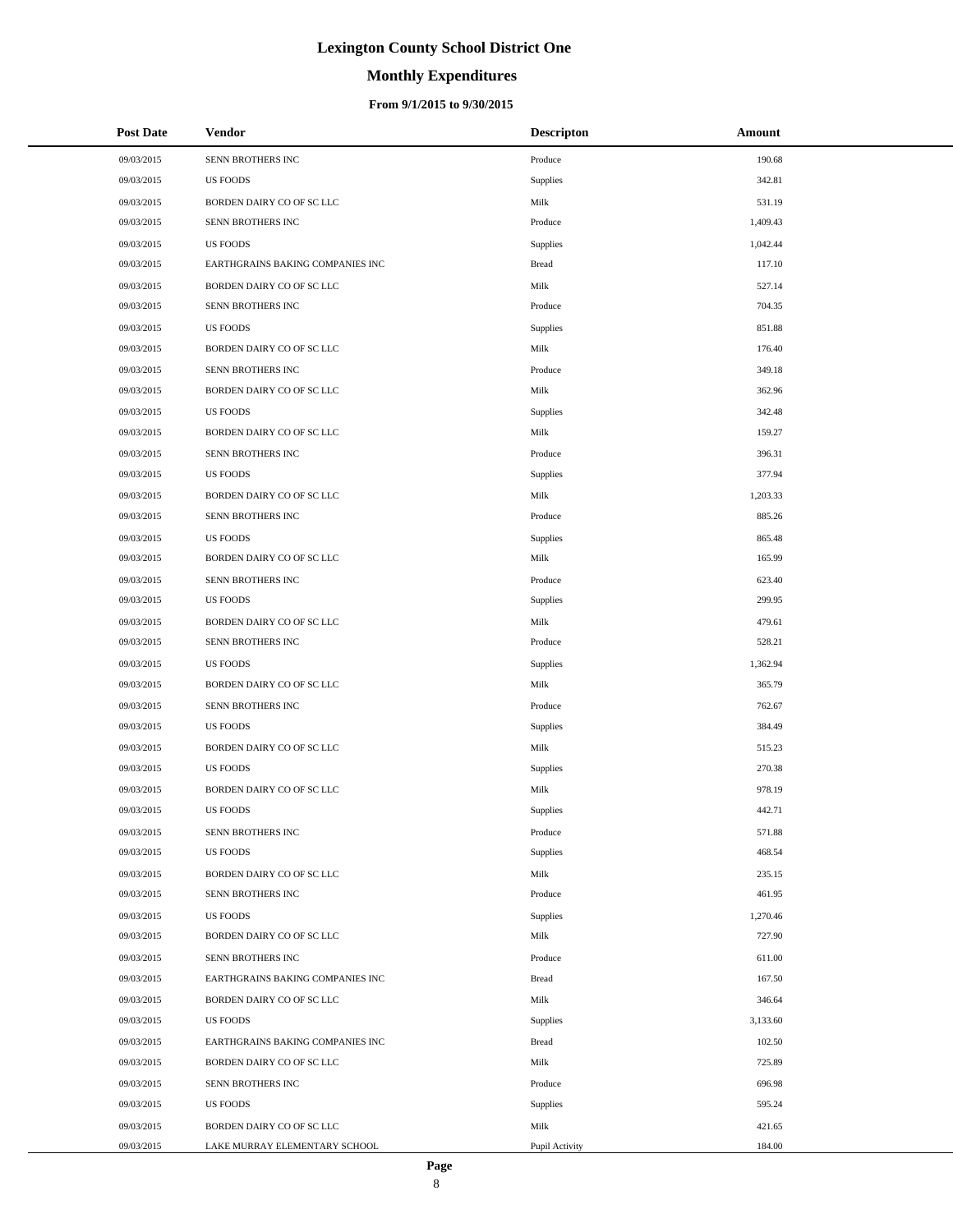# **Monthly Expenditures**

| <b>Post Date</b> | Vendor                           | <b>Descripton</b> | Amount   |
|------------------|----------------------------------|-------------------|----------|
| 09/03/2015       | SENN BROTHERS INC                | Produce           | 190.68   |
| 09/03/2015       | <b>US FOODS</b>                  | Supplies          | 342.81   |
| 09/03/2015       | BORDEN DAIRY CO OF SC LLC        | Milk              | 531.19   |
| 09/03/2015       | SENN BROTHERS INC                | Produce           | 1,409.43 |
| 09/03/2015       | <b>US FOODS</b>                  | Supplies          | 1,042.44 |
| 09/03/2015       | EARTHGRAINS BAKING COMPANIES INC | <b>Bread</b>      | 117.10   |
| 09/03/2015       | BORDEN DAIRY CO OF SC LLC        | Milk              | 527.14   |
| 09/03/2015       | SENN BROTHERS INC                | Produce           | 704.35   |
| 09/03/2015       | <b>US FOODS</b>                  | Supplies          | 851.88   |
| 09/03/2015       | BORDEN DAIRY CO OF SC LLC        | Milk              | 176.40   |
| 09/03/2015       | SENN BROTHERS INC                | Produce           | 349.18   |
| 09/03/2015       | BORDEN DAIRY CO OF SC LLC        | Milk              | 362.96   |
| 09/03/2015       | <b>US FOODS</b>                  | Supplies          | 342.48   |
| 09/03/2015       | BORDEN DAIRY CO OF SC LLC        | Milk              | 159.27   |
| 09/03/2015       | SENN BROTHERS INC                | Produce           | 396.31   |
| 09/03/2015       | <b>US FOODS</b>                  | Supplies          | 377.94   |
| 09/03/2015       | BORDEN DAIRY CO OF SC LLC        | Milk              | 1,203.33 |
| 09/03/2015       | SENN BROTHERS INC                | Produce           | 885.26   |
| 09/03/2015       | <b>US FOODS</b>                  | Supplies          | 865.48   |
| 09/03/2015       | BORDEN DAIRY CO OF SC LLC        | Milk              | 165.99   |
| 09/03/2015       | SENN BROTHERS INC                | Produce           | 623.40   |
| 09/03/2015       | <b>US FOODS</b>                  | Supplies          | 299.95   |
| 09/03/2015       | BORDEN DAIRY CO OF SC LLC        | Milk              | 479.61   |
| 09/03/2015       | SENN BROTHERS INC                | Produce           | 528.21   |
| 09/03/2015       | <b>US FOODS</b>                  | Supplies          | 1,362.94 |
| 09/03/2015       | BORDEN DAIRY CO OF SC LLC        | Milk              | 365.79   |
| 09/03/2015       | SENN BROTHERS INC                | Produce           | 762.67   |
| 09/03/2015       | <b>US FOODS</b>                  | Supplies          | 384.49   |
| 09/03/2015       | BORDEN DAIRY CO OF SC LLC        | Milk              | 515.23   |
| 09/03/2015       | <b>US FOODS</b>                  | Supplies          | 270.38   |
| 09/03/2015       | BORDEN DAIRY CO OF SC LLC        | Milk              | 978.19   |
| 09/03/2015       | <b>US FOODS</b>                  | <b>Supplies</b>   | 442.71   |
| 09/03/2015       | SENN BROTHERS INC                | Produce           | 571.88   |
| 09/03/2015       | <b>US FOODS</b>                  | Supplies          | 468.54   |
| 09/03/2015       | BORDEN DAIRY CO OF SC LLC        | Milk              | 235.15   |
| 09/03/2015       | SENN BROTHERS INC                | Produce           | 461.95   |
| 09/03/2015       | <b>US FOODS</b>                  | Supplies          | 1,270.46 |
| 09/03/2015       | BORDEN DAIRY CO OF SC LLC        | Milk              | 727.90   |
| 09/03/2015       | SENN BROTHERS INC                | Produce           | 611.00   |
| 09/03/2015       | EARTHGRAINS BAKING COMPANIES INC | <b>Bread</b>      | 167.50   |
| 09/03/2015       | BORDEN DAIRY CO OF SC LLC        | Milk              | 346.64   |
| 09/03/2015       | <b>US FOODS</b>                  | Supplies          | 3,133.60 |
| 09/03/2015       | EARTHGRAINS BAKING COMPANIES INC | <b>Bread</b>      | 102.50   |
| 09/03/2015       | BORDEN DAIRY CO OF SC LLC        | Milk              | 725.89   |
| 09/03/2015       | SENN BROTHERS INC                | Produce           | 696.98   |
| 09/03/2015       | <b>US FOODS</b>                  | Supplies          | 595.24   |
| 09/03/2015       | BORDEN DAIRY CO OF SC LLC        | Milk              | 421.65   |
| 09/03/2015       | LAKE MURRAY ELEMENTARY SCHOOL    | Pupil Activity    | 184.00   |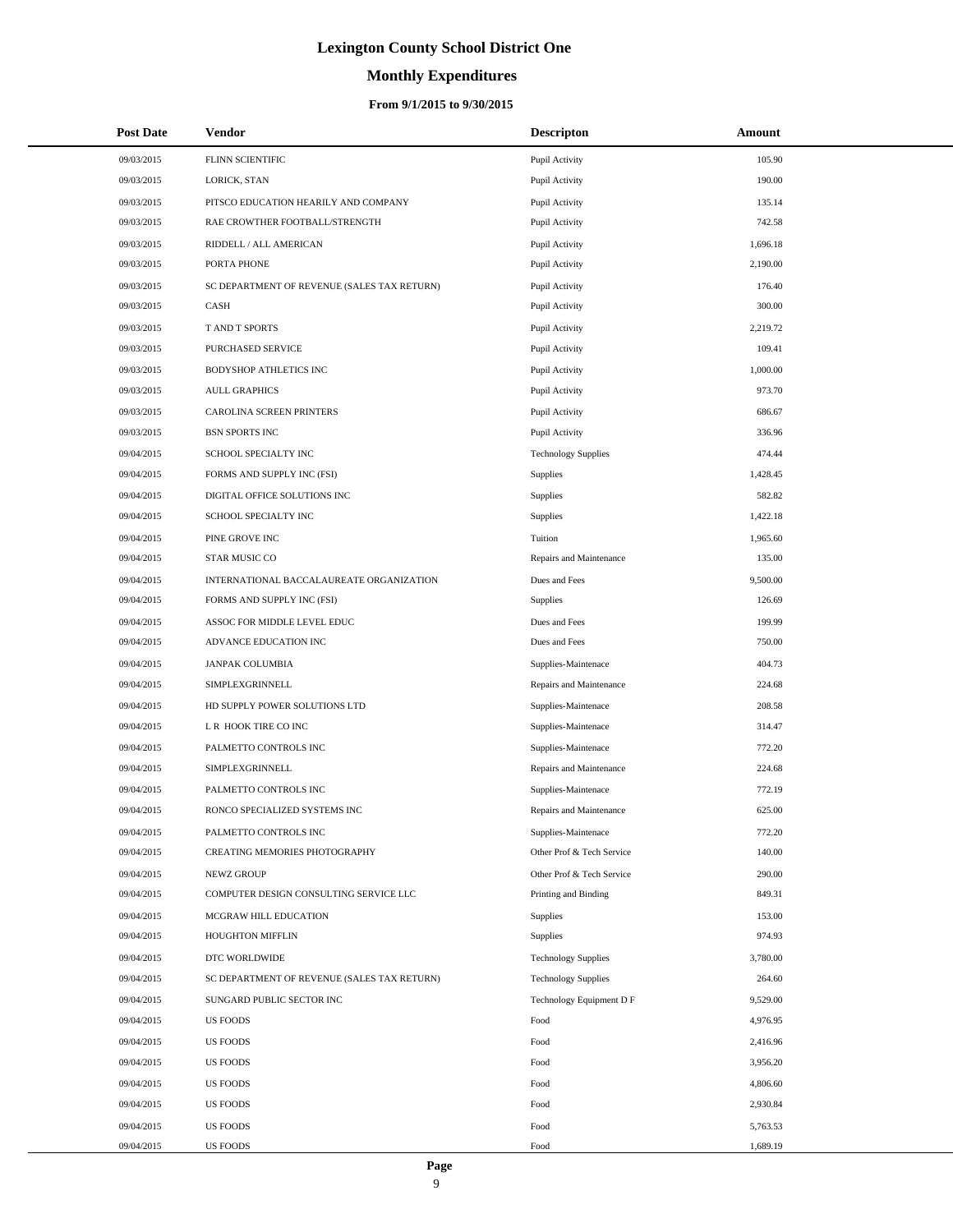# **Monthly Expenditures**

### **From 9/1/2015 to 9/30/2015**

| <b>Post Date</b> | Vendor                                      | <b>Descripton</b>          | Amount   |
|------------------|---------------------------------------------|----------------------------|----------|
| 09/03/2015       | FLINN SCIENTIFIC                            | Pupil Activity             | 105.90   |
| 09/03/2015       | LORICK, STAN                                | Pupil Activity             | 190.00   |
| 09/03/2015       | PITSCO EDUCATION HEARILY AND COMPANY        | Pupil Activity             | 135.14   |
| 09/03/2015       | RAE CROWTHER FOOTBALL/STRENGTH              | Pupil Activity             | 742.58   |
| 09/03/2015       | RIDDELL / ALL AMERICAN                      | Pupil Activity             | 1,696.18 |
| 09/03/2015       | PORTA PHONE                                 | Pupil Activity             | 2,190.00 |
| 09/03/2015       | SC DEPARTMENT OF REVENUE (SALES TAX RETURN) | Pupil Activity             | 176.40   |
| 09/03/2015       | CASH                                        | Pupil Activity             | 300.00   |
| 09/03/2015       | T AND T SPORTS                              | Pupil Activity             | 2,219.72 |
| 09/03/2015       | PURCHASED SERVICE                           | Pupil Activity             | 109.41   |
| 09/03/2015       | BODYSHOP ATHLETICS INC                      | Pupil Activity             | 1,000.00 |
| 09/03/2015       | <b>AULL GRAPHICS</b>                        | Pupil Activity             | 973.70   |
| 09/03/2015       | CAROLINA SCREEN PRINTERS                    | Pupil Activity             | 686.67   |
| 09/03/2015       | <b>BSN SPORTS INC</b>                       | Pupil Activity             | 336.96   |
| 09/04/2015       | SCHOOL SPECIALTY INC                        | <b>Technology Supplies</b> | 474.44   |
| 09/04/2015       | FORMS AND SUPPLY INC (FSI)                  | Supplies                   | 1,428.45 |
| 09/04/2015       | DIGITAL OFFICE SOLUTIONS INC                | Supplies                   | 582.82   |
| 09/04/2015       | SCHOOL SPECIALTY INC                        | Supplies                   | 1,422.18 |
| 09/04/2015       | PINE GROVE INC                              | Tuition                    | 1,965.60 |
| 09/04/2015       | STAR MUSIC CO                               | Repairs and Maintenance    | 135.00   |
| 09/04/2015       | INTERNATIONAL BACCALAUREATE ORGANIZATION    | Dues and Fees              | 9,500.00 |
| 09/04/2015       | FORMS AND SUPPLY INC (FSI)                  | Supplies                   | 126.69   |
| 09/04/2015       | ASSOC FOR MIDDLE LEVEL EDUC                 | Dues and Fees              | 199.99   |
| 09/04/2015       | ADVANCE EDUCATION INC                       | Dues and Fees              | 750.00   |
| 09/04/2015       | JANPAK COLUMBIA                             | Supplies-Maintenace        | 404.73   |
| 09/04/2015       | SIMPLEXGRINNELL                             | Repairs and Maintenance    | 224.68   |
| 09/04/2015       | HD SUPPLY POWER SOLUTIONS LTD               | Supplies-Maintenace        | 208.58   |
| 09/04/2015       | L R HOOK TIRE CO INC                        | Supplies-Maintenace        | 314.47   |
| 09/04/2015       | PALMETTO CONTROLS INC                       | Supplies-Maintenace        | 772.20   |
| 09/04/2015       | SIMPLEXGRINNELL                             | Repairs and Maintenance    | 224.68   |
| 09/04/2015       | PALMETTO CONTROLS INC                       | Supplies-Maintenace        | 772.19   |
| 09/04/2015       | RONCO SPECIALIZED SYSTEMS INC               | Repairs and Maintenance    | 625.00   |
| 09/04/2015       | PALMETTO CONTROLS INC                       | Supplies-Maintenace        | 772.20   |
| 09/04/2015       | CREATING MEMORIES PHOTOGRAPHY               | Other Prof & Tech Service  | 140.00   |
| 09/04/2015       | NEWZ GROUP                                  | Other Prof & Tech Service  | 290.00   |
| 09/04/2015       | COMPUTER DESIGN CONSULTING SERVICE LLC      | Printing and Binding       | 849.31   |
| 09/04/2015       | MCGRAW HILL EDUCATION                       | Supplies                   | 153.00   |
| 09/04/2015       | HOUGHTON MIFFLIN                            | Supplies                   | 974.93   |
| 09/04/2015       | DTC WORLDWIDE                               | <b>Technology Supplies</b> | 3,780.00 |
| 09/04/2015       | SC DEPARTMENT OF REVENUE (SALES TAX RETURN) | <b>Technology Supplies</b> | 264.60   |
| 09/04/2015       | SUNGARD PUBLIC SECTOR INC                   | Technology Equipment D F   | 9,529.00 |
| 09/04/2015       | <b>US FOODS</b>                             | Food                       | 4,976.95 |
| 09/04/2015       | <b>US FOODS</b>                             | Food                       | 2,416.96 |
| 09/04/2015       | <b>US FOODS</b>                             | Food                       | 3,956.20 |
| 09/04/2015       | <b>US FOODS</b>                             | Food                       | 4,806.60 |
| 09/04/2015       | <b>US FOODS</b>                             | Food                       | 2,930.84 |
| 09/04/2015       | <b>US FOODS</b>                             | Food                       | 5,763.53 |
| 09/04/2015       | US FOODS                                    | Food                       | 1,689.19 |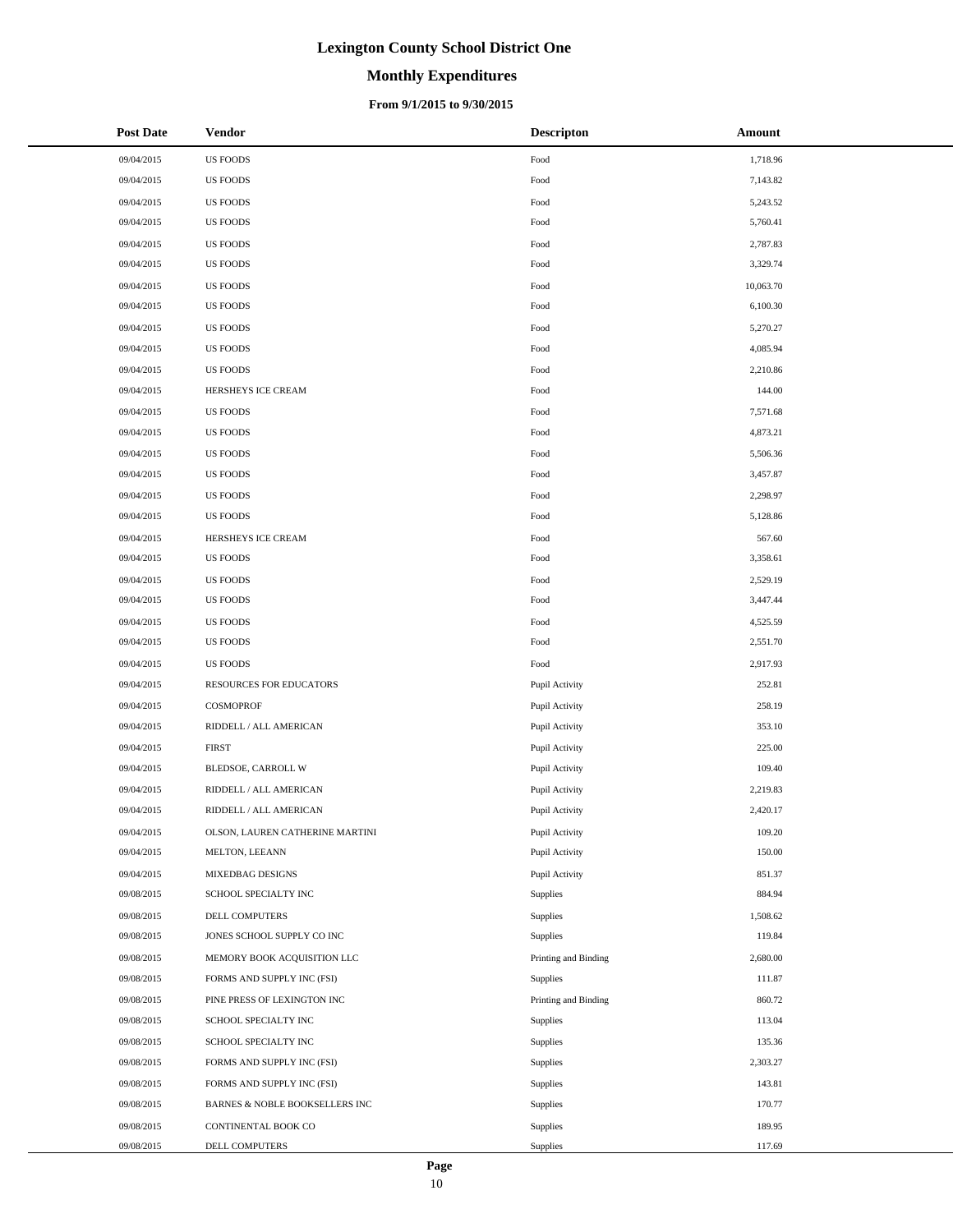# **Monthly Expenditures**

### **From 9/1/2015 to 9/30/2015**

| <b>Post Date</b> | <b>Vendor</b>                   | <b>Descripton</b>    | Amount    |
|------------------|---------------------------------|----------------------|-----------|
| 09/04/2015       | <b>US FOODS</b>                 | Food                 | 1,718.96  |
| 09/04/2015       | <b>US FOODS</b>                 | Food                 | 7,143.82  |
| 09/04/2015       | <b>US FOODS</b>                 | Food                 | 5,243.52  |
| 09/04/2015       | <b>US FOODS</b>                 | Food                 | 5,760.41  |
| 09/04/2015       | <b>US FOODS</b>                 | Food                 | 2,787.83  |
| 09/04/2015       | <b>US FOODS</b>                 | Food                 | 3,329.74  |
| 09/04/2015       | <b>US FOODS</b>                 | Food                 | 10,063.70 |
| 09/04/2015       | <b>US FOODS</b>                 | Food                 | 6,100.30  |
| 09/04/2015       | <b>US FOODS</b>                 | Food                 | 5,270.27  |
| 09/04/2015       | <b>US FOODS</b>                 | Food                 | 4,085.94  |
| 09/04/2015       | <b>US FOODS</b>                 | Food                 | 2,210.86  |
| 09/04/2015       | HERSHEYS ICE CREAM              | Food                 | 144.00    |
| 09/04/2015       | <b>US FOODS</b>                 | Food                 | 7,571.68  |
| 09/04/2015       | <b>US FOODS</b>                 | Food                 | 4,873.21  |
| 09/04/2015       | <b>US FOODS</b>                 | Food                 | 5,506.36  |
| 09/04/2015       | <b>US FOODS</b>                 | Food                 | 3,457.87  |
| 09/04/2015       | <b>US FOODS</b>                 | Food                 | 2,298.97  |
| 09/04/2015       | <b>US FOODS</b>                 | Food                 | 5,128.86  |
| 09/04/2015       | HERSHEYS ICE CREAM              | Food                 | 567.60    |
| 09/04/2015       | <b>US FOODS</b>                 | Food                 | 3,358.61  |
| 09/04/2015       | <b>US FOODS</b>                 | Food                 | 2,529.19  |
| 09/04/2015       | <b>US FOODS</b>                 | Food                 | 3,447.44  |
| 09/04/2015       | <b>US FOODS</b>                 | Food                 | 4,525.59  |
| 09/04/2015       | <b>US FOODS</b>                 | Food                 | 2,551.70  |
| 09/04/2015       | <b>US FOODS</b>                 | Food                 | 2,917.93  |
| 09/04/2015       | RESOURCES FOR EDUCATORS         | Pupil Activity       | 252.81    |
| 09/04/2015       | COSMOPROF                       | Pupil Activity       | 258.19    |
| 09/04/2015       | RIDDELL / ALL AMERICAN          | Pupil Activity       | 353.10    |
| 09/04/2015       | <b>FIRST</b>                    | Pupil Activity       | 225.00    |
| 09/04/2015       | BLEDSOE, CARROLL W              | Pupil Activity       | 109.40    |
| 09/04/2015       | RIDDELL / ALL AMERICAN          | Pupil Activity       | 2,219.83  |
| 09/04/2015       | RIDDELL / ALL AMERICAN          | Pupil Activity       | 2,420.17  |
| 09/04/2015       | OLSON, LAUREN CATHERINE MARTINI | Pupil Activity       | 109.20    |
| 09/04/2015       | MELTON, LEEANN                  | Pupil Activity       | 150.00    |
| 09/04/2015       | MIXEDBAG DESIGNS                | Pupil Activity       | 851.37    |
| 09/08/2015       | SCHOOL SPECIALTY INC            | Supplies             | 884.94    |
| 09/08/2015       | DELL COMPUTERS                  | Supplies             | 1,508.62  |
| 09/08/2015       | JONES SCHOOL SUPPLY CO INC      | Supplies             | 119.84    |
| 09/08/2015       | MEMORY BOOK ACQUISITION LLC     | Printing and Binding | 2,680.00  |
| 09/08/2015       | FORMS AND SUPPLY INC (FSI)      | Supplies             | 111.87    |
| 09/08/2015       | PINE PRESS OF LEXINGTON INC     | Printing and Binding | 860.72    |
| 09/08/2015       | SCHOOL SPECIALTY INC            | Supplies             | 113.04    |
| 09/08/2015       | SCHOOL SPECIALTY INC            | Supplies             | 135.36    |
| 09/08/2015       | FORMS AND SUPPLY INC (FSI)      | Supplies             | 2,303.27  |
| 09/08/2015       | FORMS AND SUPPLY INC (FSI)      | Supplies             | 143.81    |
| 09/08/2015       | BARNES & NOBLE BOOKSELLERS INC  | Supplies             | 170.77    |
| 09/08/2015       | CONTINENTAL BOOK CO             | Supplies             | 189.95    |
| 09/08/2015       | DELL COMPUTERS                  | Supplies             | 117.69    |

 $\overline{a}$  $\overline{\phantom{a}}$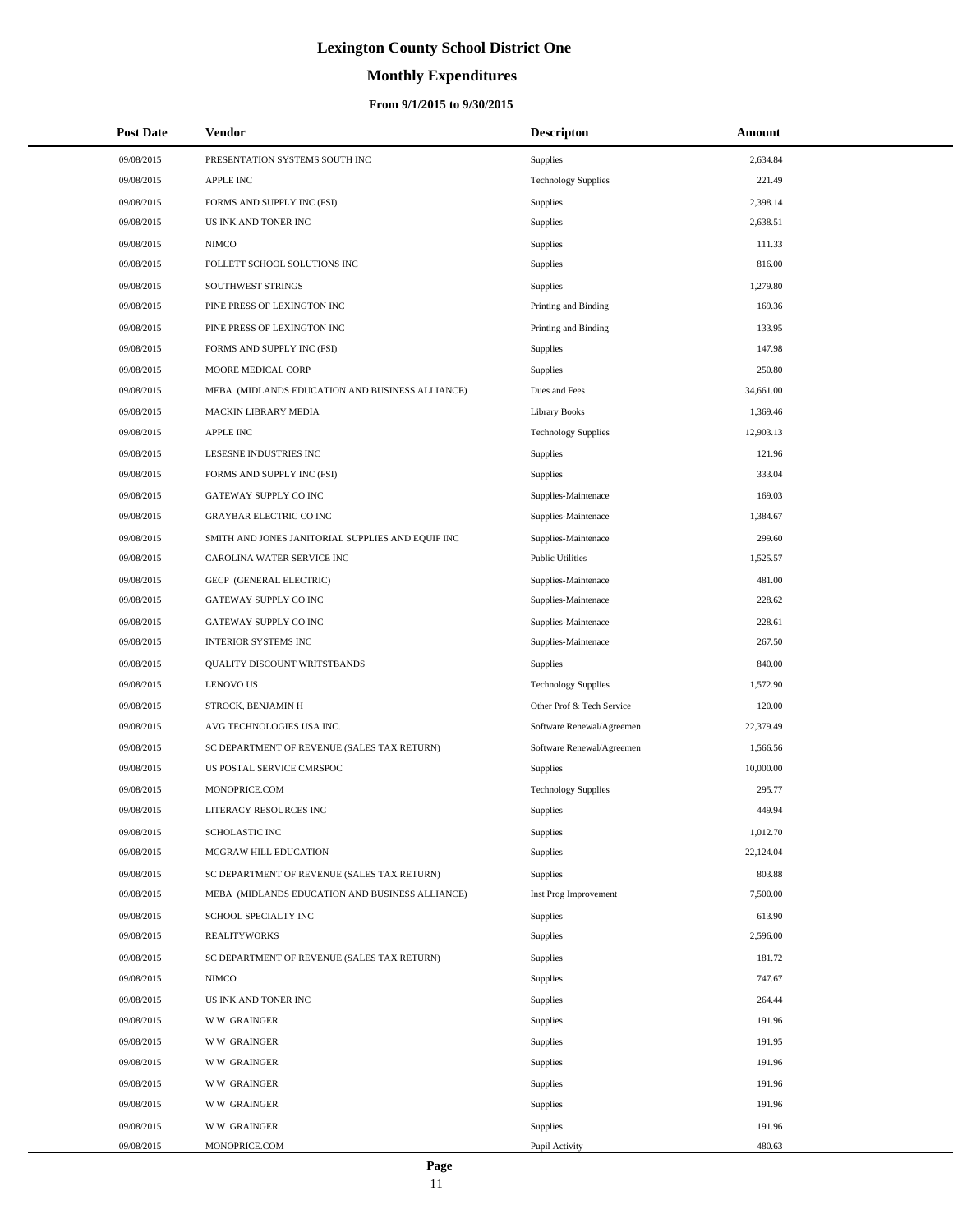# **Monthly Expenditures**

| <b>Post Date</b> | Vendor                                            | <b>Descripton</b>          | Amount    |  |
|------------------|---------------------------------------------------|----------------------------|-----------|--|
| 09/08/2015       | PRESENTATION SYSTEMS SOUTH INC                    | <b>Supplies</b>            | 2,634.84  |  |
| 09/08/2015       | <b>APPLE INC</b>                                  | <b>Technology Supplies</b> | 221.49    |  |
| 09/08/2015       | FORMS AND SUPPLY INC (FSI)                        | <b>Supplies</b>            | 2,398.14  |  |
| 09/08/2015       | US INK AND TONER INC                              | Supplies                   | 2,638.51  |  |
| 09/08/2015       | <b>NIMCO</b>                                      | <b>Supplies</b>            | 111.33    |  |
| 09/08/2015       | FOLLETT SCHOOL SOLUTIONS INC                      | Supplies                   | 816.00    |  |
| 09/08/2015       | SOUTHWEST STRINGS                                 | <b>Supplies</b>            | 1,279.80  |  |
| 09/08/2015       | PINE PRESS OF LEXINGTON INC                       | Printing and Binding       | 169.36    |  |
| 09/08/2015       | PINE PRESS OF LEXINGTON INC                       | Printing and Binding       | 133.95    |  |
| 09/08/2015       | FORMS AND SUPPLY INC (FSI)                        | Supplies                   | 147.98    |  |
| 09/08/2015       | MOORE MEDICAL CORP                                | <b>Supplies</b>            | 250.80    |  |
| 09/08/2015       | MEBA (MIDLANDS EDUCATION AND BUSINESS ALLIANCE)   | Dues and Fees              | 34,661.00 |  |
| 09/08/2015       | MACKIN LIBRARY MEDIA                              | <b>Library Books</b>       | 1,369.46  |  |
| 09/08/2015       | <b>APPLE INC</b>                                  | <b>Technology Supplies</b> | 12,903.13 |  |
| 09/08/2015       | LESESNE INDUSTRIES INC                            | <b>Supplies</b>            | 121.96    |  |
| 09/08/2015       | FORMS AND SUPPLY INC (FSI)                        | <b>Supplies</b>            | 333.04    |  |
| 09/08/2015       | GATEWAY SUPPLY CO INC                             | Supplies-Maintenace        | 169.03    |  |
| 09/08/2015       | <b>GRAYBAR ELECTRIC CO INC</b>                    | Supplies-Maintenace        | 1,384.67  |  |
| 09/08/2015       | SMITH AND JONES JANITORIAL SUPPLIES AND EQUIP INC | Supplies-Maintenace        | 299.60    |  |
| 09/08/2015       | CAROLINA WATER SERVICE INC                        | <b>Public Utilities</b>    | 1,525.57  |  |
| 09/08/2015       | GECP (GENERAL ELECTRIC)                           | Supplies-Maintenace        | 481.00    |  |
| 09/08/2015       | GATEWAY SUPPLY CO INC                             | Supplies-Maintenace        | 228.62    |  |
| 09/08/2015       | GATEWAY SUPPLY CO INC                             | Supplies-Maintenace        | 228.61    |  |
| 09/08/2015       | <b>INTERIOR SYSTEMS INC</b>                       | Supplies-Maintenace        | 267.50    |  |
| 09/08/2015       | QUALITY DISCOUNT WRITSTBANDS                      | <b>Supplies</b>            | 840.00    |  |
| 09/08/2015       | <b>LENOVO US</b>                                  | <b>Technology Supplies</b> | 1,572.90  |  |
| 09/08/2015       | STROCK, BENJAMIN H                                | Other Prof & Tech Service  | 120.00    |  |
| 09/08/2015       | AVG TECHNOLOGIES USA INC.                         | Software Renewal/Agreemen  | 22,379.49 |  |
| 09/08/2015       | SC DEPARTMENT OF REVENUE (SALES TAX RETURN)       | Software Renewal/Agreemen  | 1,566.56  |  |
| 09/08/2015       | US POSTAL SERVICE CMRSPOC                         | Supplies                   | 10,000.00 |  |
| 09/08/2015       | MONOPRICE.COM                                     | <b>Technology Supplies</b> | 295.77    |  |
| 09/08/2015       | <b>LITERACY RESOURCES INC</b>                     | <b>Supplies</b>            | 449.94    |  |
| 09/08/2015       | SCHOLASTIC INC                                    | <b>Supplies</b>            | 1,012.70  |  |
| 09/08/2015       | MCGRAW HILL EDUCATION                             | <b>Supplies</b>            | 22,124.04 |  |
| 09/08/2015       | SC DEPARTMENT OF REVENUE (SALES TAX RETURN)       | <b>Supplies</b>            | 803.88    |  |
| 09/08/2015       | MEBA (MIDLANDS EDUCATION AND BUSINESS ALLIANCE)   | Inst Prog Improvement      | 7,500.00  |  |
| 09/08/2015       | SCHOOL SPECIALTY INC                              | Supplies                   | 613.90    |  |
| 09/08/2015       | <b>REALITYWORKS</b>                               | Supplies                   | 2,596.00  |  |
| 09/08/2015       | SC DEPARTMENT OF REVENUE (SALES TAX RETURN)       | <b>Supplies</b>            | 181.72    |  |
| 09/08/2015       | <b>NIMCO</b>                                      | Supplies                   | 747.67    |  |
| 09/08/2015       | US INK AND TONER INC                              | Supplies                   | 264.44    |  |
| 09/08/2015       | <b>WW GRAINGER</b>                                | <b>Supplies</b>            | 191.96    |  |
| 09/08/2015       | <b>WW GRAINGER</b>                                | <b>Supplies</b>            | 191.95    |  |
| 09/08/2015       | <b>WW GRAINGER</b>                                | <b>Supplies</b>            | 191.96    |  |
| 09/08/2015       | <b>WW GRAINGER</b>                                | <b>Supplies</b>            | 191.96    |  |
| 09/08/2015       | <b>WW GRAINGER</b>                                | Supplies                   | 191.96    |  |
| 09/08/2015       | <b>WW GRAINGER</b>                                | <b>Supplies</b>            | 191.96    |  |
| 09/08/2015       | MONOPRICE.COM                                     | Pupil Activity             | 480.63    |  |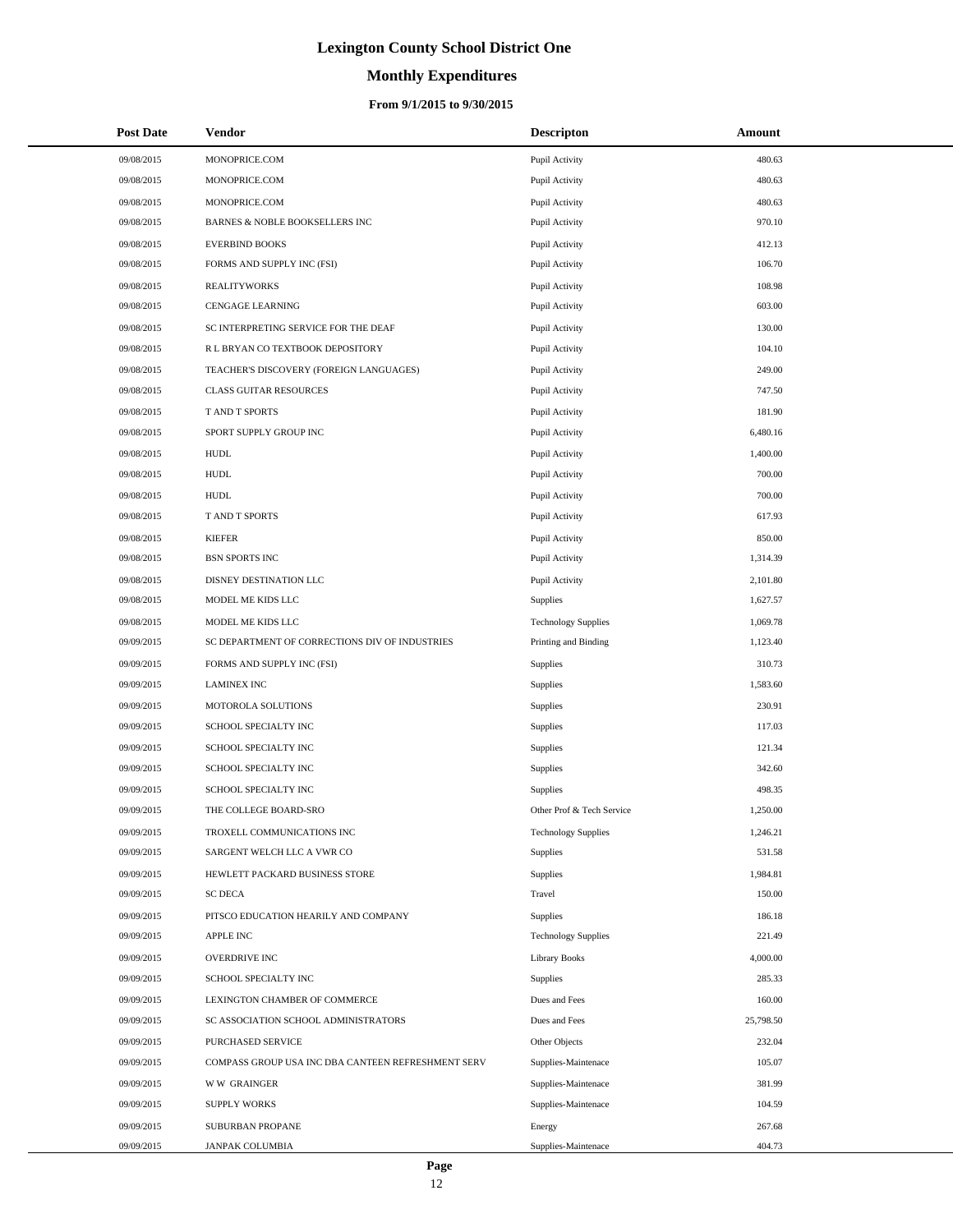# **Monthly Expenditures**

### **From 9/1/2015 to 9/30/2015**

| <b>Post Date</b> | Vendor                                             | <b>Descripton</b>          | Amount    |
|------------------|----------------------------------------------------|----------------------------|-----------|
| 09/08/2015       | MONOPRICE.COM                                      | Pupil Activity             | 480.63    |
| 09/08/2015       | MONOPRICE.COM                                      | Pupil Activity             | 480.63    |
| 09/08/2015       | MONOPRICE.COM                                      | Pupil Activity             | 480.63    |
| 09/08/2015       | BARNES & NOBLE BOOKSELLERS INC                     | Pupil Activity             | 970.10    |
| 09/08/2015       | <b>EVERBIND BOOKS</b>                              | Pupil Activity             | 412.13    |
| 09/08/2015       | FORMS AND SUPPLY INC (FSI)                         | Pupil Activity             | 106.70    |
| 09/08/2015       | <b>REALITYWORKS</b>                                | Pupil Activity             | 108.98    |
| 09/08/2015       | <b>CENGAGE LEARNING</b>                            | Pupil Activity             | 603.00    |
| 09/08/2015       | SC INTERPRETING SERVICE FOR THE DEAF               | Pupil Activity             | 130.00    |
| 09/08/2015       | R L BRYAN CO TEXTBOOK DEPOSITORY                   | Pupil Activity             | 104.10    |
| 09/08/2015       | TEACHER'S DISCOVERY (FOREIGN LANGUAGES)            | Pupil Activity             | 249.00    |
| 09/08/2015       | <b>CLASS GUITAR RESOURCES</b>                      | Pupil Activity             | 747.50    |
| 09/08/2015       | T AND T SPORTS                                     | Pupil Activity             | 181.90    |
| 09/08/2015       | SPORT SUPPLY GROUP INC                             | Pupil Activity             | 6,480.16  |
| 09/08/2015       | <b>HUDL</b>                                        | Pupil Activity             | 1,400.00  |
| 09/08/2015       | <b>HUDL</b>                                        | Pupil Activity             | 700.00    |
| 09/08/2015       | <b>HUDL</b>                                        | Pupil Activity             | 700.00    |
| 09/08/2015       | T AND T SPORTS                                     | Pupil Activity             | 617.93    |
| 09/08/2015       | <b>KIEFER</b>                                      | Pupil Activity             | 850.00    |
| 09/08/2015       | <b>BSN SPORTS INC</b>                              | Pupil Activity             | 1,314.39  |
| 09/08/2015       | DISNEY DESTINATION LLC                             | Pupil Activity             | 2,101.80  |
| 09/08/2015       | MODEL ME KIDS LLC                                  | Supplies                   | 1,627.57  |
| 09/08/2015       | MODEL ME KIDS LLC                                  | <b>Technology Supplies</b> | 1,069.78  |
| 09/09/2015       | SC DEPARTMENT OF CORRECTIONS DIV OF INDUSTRIES     | Printing and Binding       | 1,123.40  |
| 09/09/2015       | FORMS AND SUPPLY INC (FSI)                         | Supplies                   | 310.73    |
| 09/09/2015       | <b>LAMINEX INC</b>                                 | Supplies                   | 1,583.60  |
| 09/09/2015       | MOTOROLA SOLUTIONS                                 | Supplies                   | 230.91    |
| 09/09/2015       | SCHOOL SPECIALTY INC                               | Supplies                   | 117.03    |
| 09/09/2015       | SCHOOL SPECIALTY INC                               | Supplies                   | 121.34    |
| 09/09/2015       | SCHOOL SPECIALTY INC                               | Supplies                   | 342.60    |
| 09/09/2015       | SCHOOL SPECIALTY INC                               | Supplies                   | 498.35    |
| 09/09/2015       | THE COLLEGE BOARD-SRO                              | Other Prof & Tech Service  | 1,250.00  |
| 09/09/2015       | TROXELL COMMUNICATIONS INC                         | <b>Technology Supplies</b> | 1,246.21  |
| 09/09/2015       | SARGENT WELCH LLC A VWR CO                         | Supplies                   | 531.58    |
| 09/09/2015       | HEWLETT PACKARD BUSINESS STORE                     | Supplies                   | 1,984.81  |
| 09/09/2015       | <b>SC DECA</b>                                     | Travel                     | 150.00    |
| 09/09/2015       | PITSCO EDUCATION HEARILY AND COMPANY               | Supplies                   | 186.18    |
| 09/09/2015       | APPLE INC                                          | <b>Technology Supplies</b> | 221.49    |
| 09/09/2015       | OVERDRIVE INC                                      | <b>Library Books</b>       | 4,000.00  |
| 09/09/2015       | SCHOOL SPECIALTY INC                               | Supplies                   | 285.33    |
| 09/09/2015       | LEXINGTON CHAMBER OF COMMERCE                      | Dues and Fees              | 160.00    |
| 09/09/2015       | SC ASSOCIATION SCHOOL ADMINISTRATORS               | Dues and Fees              | 25,798.50 |
| 09/09/2015       | PURCHASED SERVICE                                  | Other Objects              | 232.04    |
| 09/09/2015       | COMPASS GROUP USA INC DBA CANTEEN REFRESHMENT SERV | Supplies-Maintenace        | 105.07    |
| 09/09/2015       | <b>WW GRAINGER</b>                                 | Supplies-Maintenace        | 381.99    |
| 09/09/2015       | <b>SUPPLY WORKS</b>                                | Supplies-Maintenace        | 104.59    |
| 09/09/2015       | SUBURBAN PROPANE                                   | Energy                     | 267.68    |
| 09/09/2015       | JANPAK COLUMBIA                                    | Supplies-Maintenace        | 404.73    |

 $\overline{a}$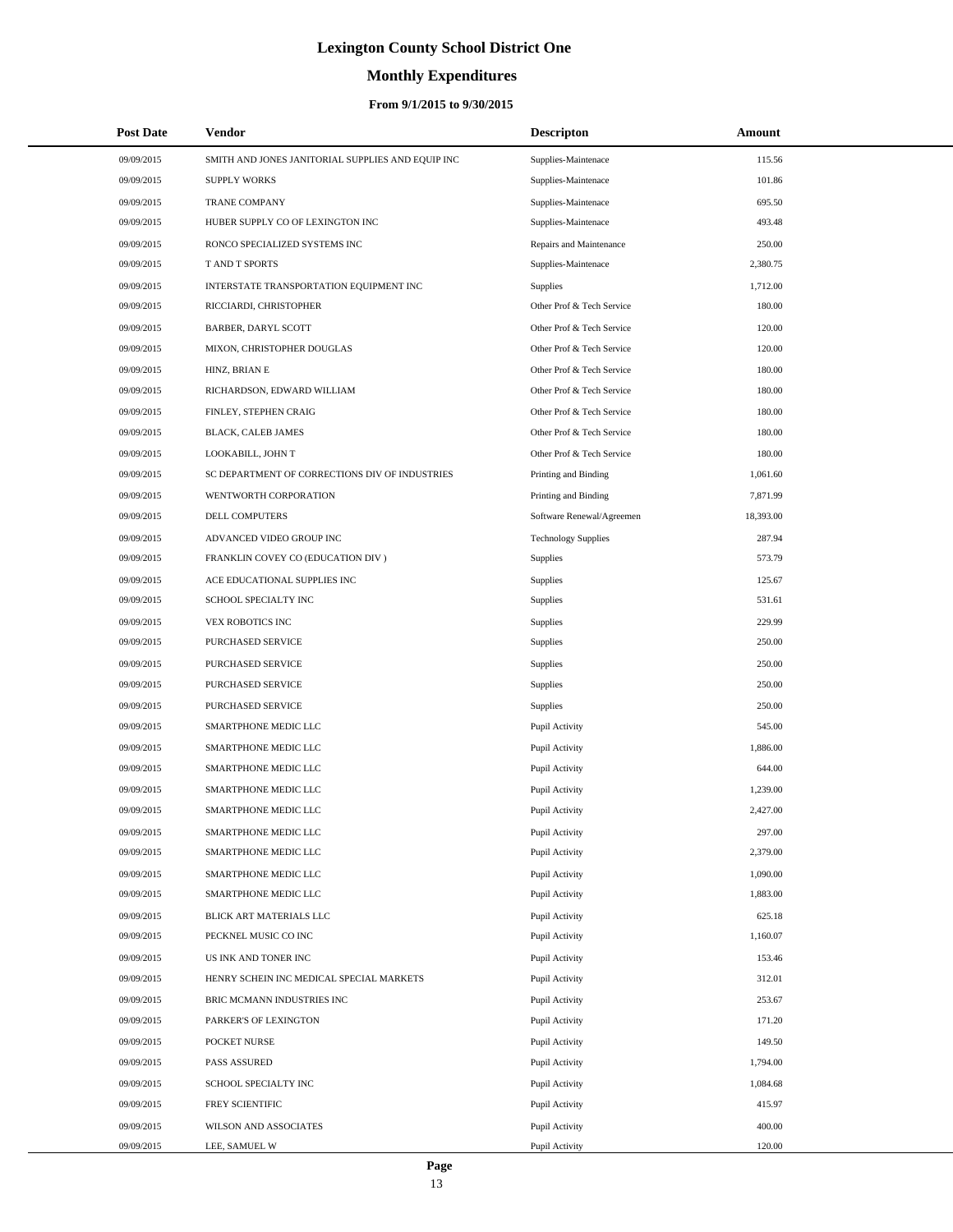# **Monthly Expenditures**

| <b>Post Date</b> | Vendor                                            | <b>Descripton</b>          | Amount    |
|------------------|---------------------------------------------------|----------------------------|-----------|
| 09/09/2015       | SMITH AND JONES JANITORIAL SUPPLIES AND EQUIP INC | Supplies-Maintenace        | 115.56    |
| 09/09/2015       | <b>SUPPLY WORKS</b>                               | Supplies-Maintenace        | 101.86    |
| 09/09/2015       | <b>TRANE COMPANY</b>                              | Supplies-Maintenace        | 695.50    |
| 09/09/2015       | HUBER SUPPLY CO OF LEXINGTON INC                  | Supplies-Maintenace        | 493.48    |
| 09/09/2015       | RONCO SPECIALIZED SYSTEMS INC                     | Repairs and Maintenance    | 250.00    |
| 09/09/2015       | T AND T SPORTS                                    | Supplies-Maintenace        | 2,380.75  |
| 09/09/2015       | INTERSTATE TRANSPORTATION EQUIPMENT INC           | <b>Supplies</b>            | 1,712.00  |
| 09/09/2015       | RICCIARDI, CHRISTOPHER                            | Other Prof & Tech Service  | 180.00    |
| 09/09/2015       | <b>BARBER, DARYL SCOTT</b>                        | Other Prof & Tech Service  | 120.00    |
| 09/09/2015       | MIXON, CHRISTOPHER DOUGLAS                        | Other Prof & Tech Service  | 120.00    |
| 09/09/2015       | HINZ, BRIAN E                                     | Other Prof & Tech Service  | 180.00    |
| 09/09/2015       | RICHARDSON, EDWARD WILLIAM                        | Other Prof & Tech Service  | 180.00    |
| 09/09/2015       | FINLEY, STEPHEN CRAIG                             | Other Prof & Tech Service  | 180.00    |
| 09/09/2015       | BLACK, CALEB JAMES                                | Other Prof & Tech Service  | 180.00    |
| 09/09/2015       | LOOKABILL, JOHN T                                 | Other Prof & Tech Service  | 180.00    |
| 09/09/2015       | SC DEPARTMENT OF CORRECTIONS DIV OF INDUSTRIES    | Printing and Binding       | 1,061.60  |
| 09/09/2015       | WENTWORTH CORPORATION                             | Printing and Binding       | 7.871.99  |
| 09/09/2015       | <b>DELL COMPUTERS</b>                             | Software Renewal/Agreemen  | 18,393.00 |
| 09/09/2015       | ADVANCED VIDEO GROUP INC                          | <b>Technology Supplies</b> | 287.94    |
| 09/09/2015       | FRANKLIN COVEY CO (EDUCATION DIV)                 | <b>Supplies</b>            | 573.79    |
| 09/09/2015       | ACE EDUCATIONAL SUPPLIES INC                      | Supplies                   | 125.67    |
| 09/09/2015       | SCHOOL SPECIALTY INC                              | Supplies                   | 531.61    |
| 09/09/2015       | VEX ROBOTICS INC                                  | Supplies                   | 229.99    |
| 09/09/2015       | PURCHASED SERVICE                                 | Supplies                   | 250.00    |
| 09/09/2015       | PURCHASED SERVICE                                 | Supplies                   | 250.00    |
| 09/09/2015       | PURCHASED SERVICE                                 | Supplies                   | 250.00    |
| 09/09/2015       | PURCHASED SERVICE                                 | Supplies                   | 250.00    |
| 09/09/2015       | SMARTPHONE MEDIC LLC                              | Pupil Activity             | 545.00    |
| 09/09/2015       | SMARTPHONE MEDIC LLC                              | Pupil Activity             | 1,886.00  |
| 09/09/2015       | SMARTPHONE MEDIC LLC                              | Pupil Activity             | 644.00    |
| 09/09/2015       | SMARTPHONE MEDIC LLC                              | Pupil Activity             | 1,239.00  |
| 09/09/2015       | SMARTPHONE MEDIC LLC                              | Pupil Activity             | 2,427.00  |
| 09/09/2015       | SMARTPHONE MEDIC LLC                              | Pupil Activity             | 297.00    |
| 09/09/2015       | SMARTPHONE MEDIC LLC                              | Pupil Activity             | 2,379.00  |
| 09/09/2015       | SMARTPHONE MEDIC LLC                              | Pupil Activity             | 1,090.00  |
| 09/09/2015       | SMARTPHONE MEDIC LLC                              | Pupil Activity             | 1,883.00  |
| 09/09/2015       | BLICK ART MATERIALS LLC                           | Pupil Activity             | 625.18    |
| 09/09/2015       | PECKNEL MUSIC CO INC                              | Pupil Activity             | 1,160.07  |
| 09/09/2015       | US INK AND TONER INC                              | Pupil Activity             | 153.46    |
| 09/09/2015       | HENRY SCHEIN INC MEDICAL SPECIAL MARKETS          | Pupil Activity             | 312.01    |
| 09/09/2015       | BRIC MCMANN INDUSTRIES INC                        | Pupil Activity             | 253.67    |
| 09/09/2015       | PARKER'S OF LEXINGTON                             | Pupil Activity             | 171.20    |
| 09/09/2015       | POCKET NURSE                                      | Pupil Activity             | 149.50    |
| 09/09/2015       | PASS ASSURED                                      | Pupil Activity             | 1,794.00  |
| 09/09/2015       | SCHOOL SPECIALTY INC                              | Pupil Activity             | 1,084.68  |
| 09/09/2015       | FREY SCIENTIFIC                                   | Pupil Activity             | 415.97    |
| 09/09/2015       | WILSON AND ASSOCIATES                             | Pupil Activity             | 400.00    |
| 09/09/2015       | LEE, SAMUEL W                                     | Pupil Activity             | 120.00    |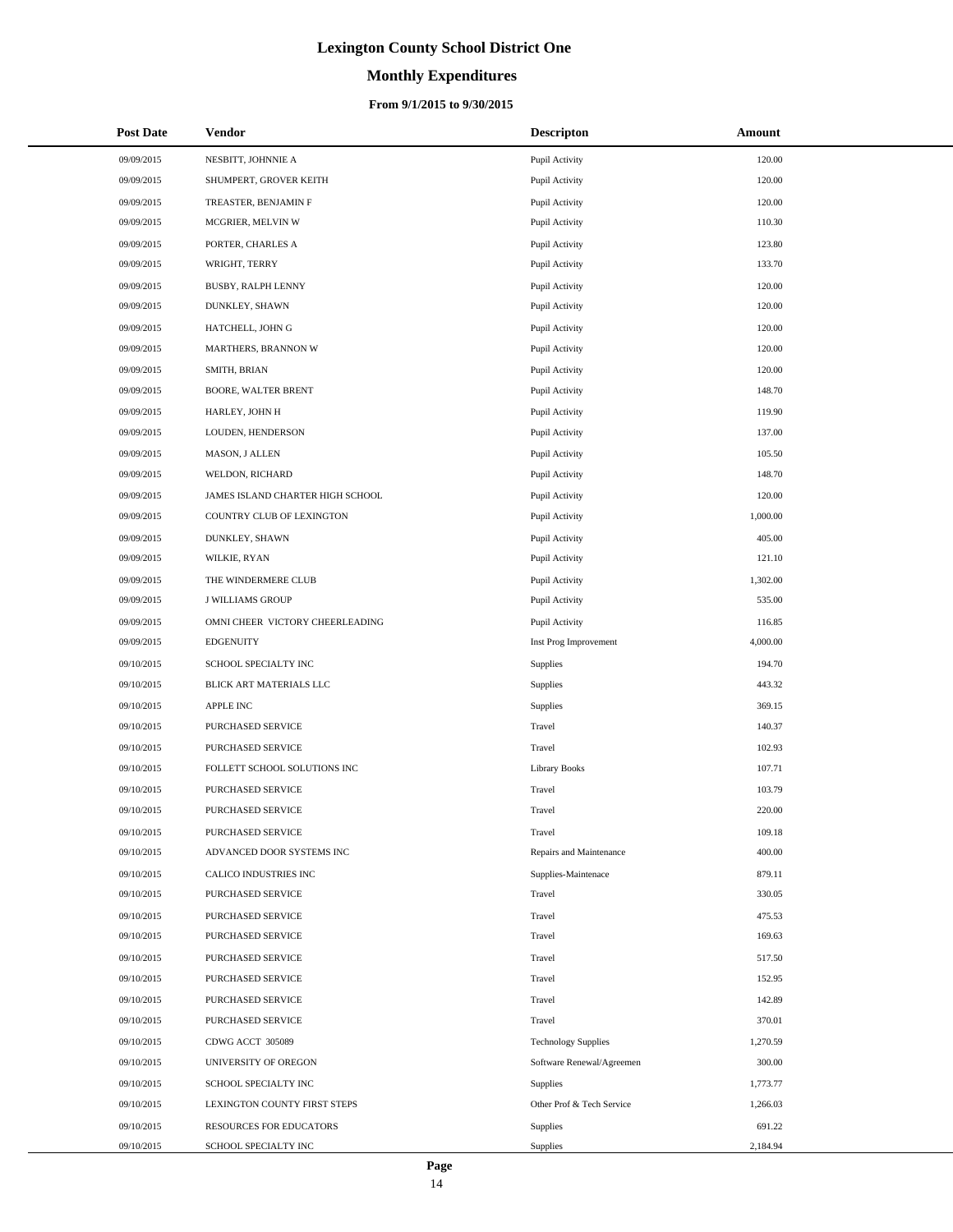# **Monthly Expenditures**

### **From 9/1/2015 to 9/30/2015**

| <b>Post Date</b> | Vendor                           | <b>Descripton</b>          | Amount   |
|------------------|----------------------------------|----------------------------|----------|
| 09/09/2015       | NESBITT, JOHNNIE A               | Pupil Activity             | 120.00   |
| 09/09/2015       | SHUMPERT, GROVER KEITH           | Pupil Activity             | 120.00   |
| 09/09/2015       | TREASTER, BENJAMIN F             | Pupil Activity             | 120.00   |
| 09/09/2015       | MCGRIER, MELVIN W                | Pupil Activity             | 110.30   |
| 09/09/2015       | PORTER, CHARLES A                | Pupil Activity             | 123.80   |
| 09/09/2015       | WRIGHT, TERRY                    | Pupil Activity             | 133.70   |
| 09/09/2015       | BUSBY, RALPH LENNY               | Pupil Activity             | 120.00   |
| 09/09/2015       | DUNKLEY, SHAWN                   | Pupil Activity             | 120.00   |
| 09/09/2015       | HATCHELL, JOHN G                 | Pupil Activity             | 120.00   |
| 09/09/2015       | MARTHERS, BRANNON W              | Pupil Activity             | 120.00   |
| 09/09/2015       | SMITH, BRIAN                     | Pupil Activity             | 120.00   |
| 09/09/2015       | <b>BOORE, WALTER BRENT</b>       | Pupil Activity             | 148.70   |
| 09/09/2015       | HARLEY, JOHN H                   | Pupil Activity             | 119.90   |
| 09/09/2015       | LOUDEN, HENDERSON                | Pupil Activity             | 137.00   |
| 09/09/2015       | MASON, J ALLEN                   | Pupil Activity             | 105.50   |
| 09/09/2015       | WELDON, RICHARD                  | Pupil Activity             | 148.70   |
| 09/09/2015       | JAMES ISLAND CHARTER HIGH SCHOOL | Pupil Activity             | 120.00   |
| 09/09/2015       | COUNTRY CLUB OF LEXINGTON        | Pupil Activity             | 1,000.00 |
| 09/09/2015       | DUNKLEY, SHAWN                   | Pupil Activity             | 405.00   |
| 09/09/2015       | WILKIE, RYAN                     | Pupil Activity             | 121.10   |
| 09/09/2015       | THE WINDERMERE CLUB              | Pupil Activity             | 1,302.00 |
| 09/09/2015       | <b>J WILLIAMS GROUP</b>          | Pupil Activity             | 535.00   |
| 09/09/2015       | OMNI CHEER VICTORY CHEERLEADING  | Pupil Activity             | 116.85   |
| 09/09/2015       | <b>EDGENUITY</b>                 | Inst Prog Improvement      | 4,000.00 |
| 09/10/2015       | SCHOOL SPECIALTY INC             | Supplies                   | 194.70   |
| 09/10/2015       | BLICK ART MATERIALS LLC          | Supplies                   | 443.32   |
| 09/10/2015       | APPLE INC                        | Supplies                   | 369.15   |
| 09/10/2015       | PURCHASED SERVICE                | Travel                     | 140.37   |
| 09/10/2015       | <b>PURCHASED SERVICE</b>         | Travel                     | 102.93   |
| 09/10/2015       | FOLLETT SCHOOL SOLUTIONS INC     | Library Books              | 107.71   |
| 09/10/2015       | PURCHASED SERVICE                | Travel                     | 103.79   |
| 09/10/2015       | PURCHASED SERVICE                | Travel                     | 220.00   |
| 09/10/2015       | PURCHASED SERVICE                | Travel                     | 109.18   |
| 09/10/2015       | ADVANCED DOOR SYSTEMS INC        | Repairs and Maintenance    | 400.00   |
| 09/10/2015       | CALICO INDUSTRIES INC            | Supplies-Maintenace        | 879.11   |
| 09/10/2015       | PURCHASED SERVICE                | Travel                     | 330.05   |
| 09/10/2015       | <b>PURCHASED SERVICE</b>         | Travel                     | 475.53   |
| 09/10/2015       | PURCHASED SERVICE                | Travel                     | 169.63   |
| 09/10/2015       | PURCHASED SERVICE                | Travel                     | 517.50   |
| 09/10/2015       | <b>PURCHASED SERVICE</b>         | Travel                     | 152.95   |
| 09/10/2015       | PURCHASED SERVICE                | Travel                     | 142.89   |
| 09/10/2015       | PURCHASED SERVICE                | Travel                     | 370.01   |
| 09/10/2015       | CDWG ACCT 305089                 | <b>Technology Supplies</b> | 1,270.59 |
| 09/10/2015       | UNIVERSITY OF OREGON             | Software Renewal/Agreemen  | 300.00   |
| 09/10/2015       | SCHOOL SPECIALTY INC             | Supplies                   | 1,773.77 |
| 09/10/2015       | LEXINGTON COUNTY FIRST STEPS     | Other Prof & Tech Service  | 1,266.03 |
| 09/10/2015       | RESOURCES FOR EDUCATORS          | Supplies                   | 691.22   |
| 09/10/2015       | SCHOOL SPECIALTY INC             | Supplies                   | 2,184.94 |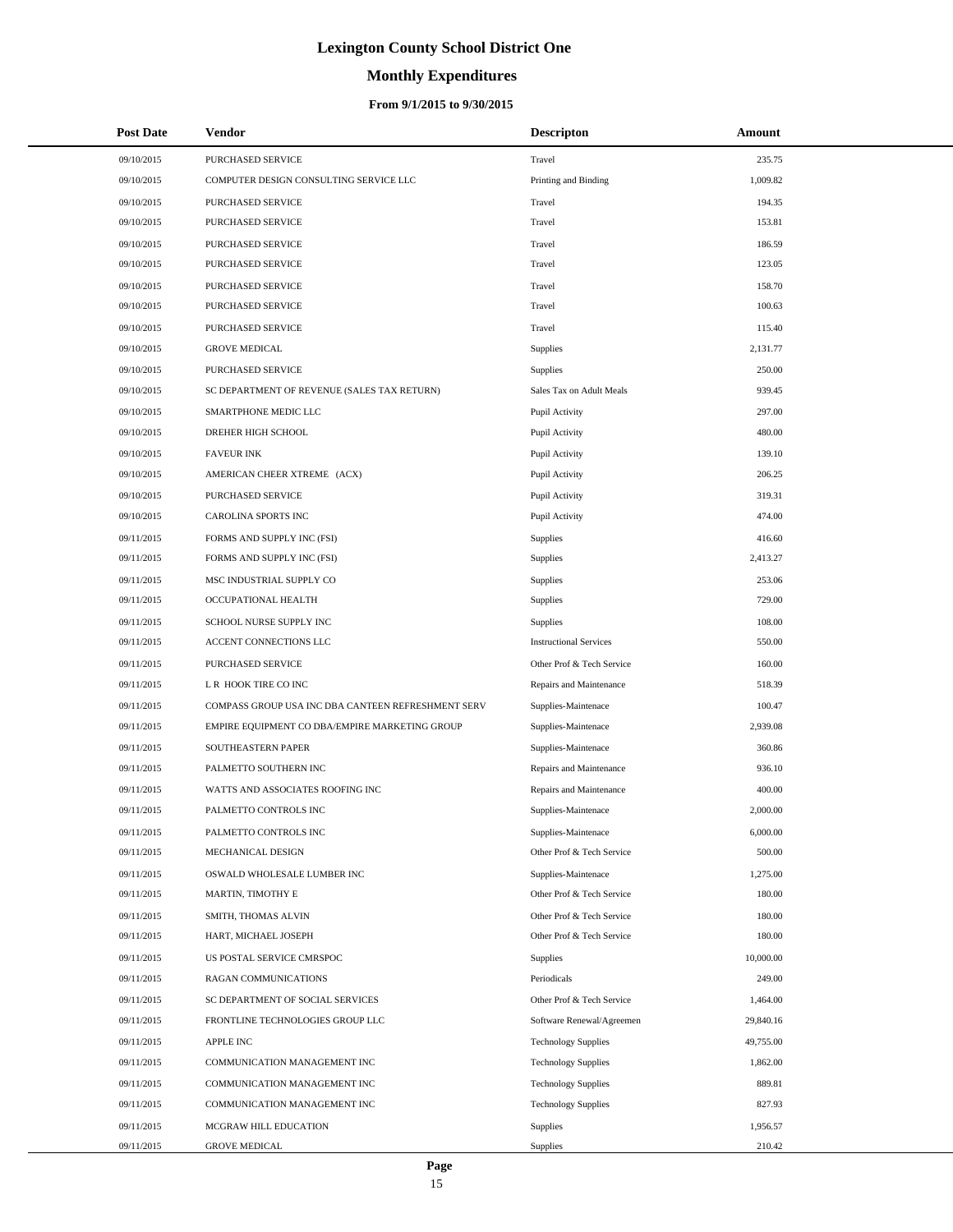# **Monthly Expenditures**

### **From 9/1/2015 to 9/30/2015**

| <b>Post Date</b> | <b>Vendor</b>                                      | <b>Descripton</b>             | Amount    |
|------------------|----------------------------------------------------|-------------------------------|-----------|
| 09/10/2015       | PURCHASED SERVICE                                  | Travel                        | 235.75    |
| 09/10/2015       | COMPUTER DESIGN CONSULTING SERVICE LLC             | Printing and Binding          | 1,009.82  |
| 09/10/2015       | PURCHASED SERVICE                                  | Travel                        | 194.35    |
| 09/10/2015       | PURCHASED SERVICE                                  | Travel                        | 153.81    |
| 09/10/2015       | PURCHASED SERVICE                                  | Travel                        | 186.59    |
| 09/10/2015       | PURCHASED SERVICE                                  | Travel                        | 123.05    |
| 09/10/2015       | PURCHASED SERVICE                                  | Travel                        | 158.70    |
| 09/10/2015       | PURCHASED SERVICE                                  | Travel                        | 100.63    |
| 09/10/2015       | <b>PURCHASED SERVICE</b>                           | Travel                        | 115.40    |
| 09/10/2015       | <b>GROVE MEDICAL</b>                               | Supplies                      | 2,131.77  |
| 09/10/2015       | PURCHASED SERVICE                                  | Supplies                      | 250.00    |
| 09/10/2015       | SC DEPARTMENT OF REVENUE (SALES TAX RETURN)        | Sales Tax on Adult Meals      | 939.45    |
| 09/10/2015       | SMARTPHONE MEDIC LLC                               | Pupil Activity                | 297.00    |
| 09/10/2015       | DREHER HIGH SCHOOL                                 | Pupil Activity                | 480.00    |
| 09/10/2015       | <b>FAVEUR INK</b>                                  | Pupil Activity                | 139.10    |
| 09/10/2015       | AMERICAN CHEER XTREME (ACX)                        | Pupil Activity                | 206.25    |
| 09/10/2015       | PURCHASED SERVICE                                  | Pupil Activity                | 319.31    |
| 09/10/2015       | CAROLINA SPORTS INC                                | Pupil Activity                | 474.00    |
| 09/11/2015       | FORMS AND SUPPLY INC (FSI)                         | Supplies                      | 416.60    |
| 09/11/2015       | FORMS AND SUPPLY INC (FSI)                         | Supplies                      | 2,413.27  |
| 09/11/2015       | MSC INDUSTRIAL SUPPLY CO                           | <b>Supplies</b>               | 253.06    |
| 09/11/2015       | OCCUPATIONAL HEALTH                                | Supplies                      | 729.00    |
| 09/11/2015       | SCHOOL NURSE SUPPLY INC                            | Supplies                      | 108.00    |
| 09/11/2015       | ACCENT CONNECTIONS LLC                             | <b>Instructional Services</b> | 550.00    |
| 09/11/2015       | PURCHASED SERVICE                                  | Other Prof & Tech Service     | 160.00    |
| 09/11/2015       | L R HOOK TIRE CO INC                               | Repairs and Maintenance       | 518.39    |
| 09/11/2015       | COMPASS GROUP USA INC DBA CANTEEN REFRESHMENT SERV | Supplies-Maintenace           | 100.47    |
| 09/11/2015       | EMPIRE EQUIPMENT CO DBA/EMPIRE MARKETING GROUP     | Supplies-Maintenace           | 2,939.08  |
| 09/11/2015       | SOUTHEASTERN PAPER                                 | Supplies-Maintenace           | 360.86    |
| 09/11/2015       | PALMETTO SOUTHERN INC                              | Repairs and Maintenance       | 936.10    |
| 09/11/2015       | WATTS AND ASSOCIATES ROOFING INC                   | Repairs and Maintenance       | 400.00    |
| 09/11/2015       | PALMETTO CONTROLS INC                              | Supplies-Maintenace           | 2,000.00  |
| 09/11/2015       | PALMETTO CONTROLS INC                              | Supplies-Maintenace           | 6,000.00  |
| 09/11/2015       | MECHANICAL DESIGN                                  | Other Prof & Tech Service     | 500.00    |
| 09/11/2015       | OSWALD WHOLESALE LUMBER INC                        | Supplies-Maintenace           | 1,275.00  |
| 09/11/2015       | MARTIN, TIMOTHY E                                  | Other Prof & Tech Service     | 180.00    |
| 09/11/2015       | SMITH, THOMAS ALVIN                                | Other Prof & Tech Service     | 180.00    |
| 09/11/2015       | HART, MICHAEL JOSEPH                               | Other Prof & Tech Service     | 180.00    |
| 09/11/2015       | US POSTAL SERVICE CMRSPOC                          | Supplies                      | 10,000.00 |
| 09/11/2015       | RAGAN COMMUNICATIONS                               | Periodicals                   | 249.00    |
| 09/11/2015       | SC DEPARTMENT OF SOCIAL SERVICES                   | Other Prof & Tech Service     | 1,464.00  |
| 09/11/2015       | FRONTLINE TECHNOLOGIES GROUP LLC                   | Software Renewal/Agreemen     | 29,840.16 |
| 09/11/2015       | APPLE INC                                          | <b>Technology Supplies</b>    | 49,755.00 |
| 09/11/2015       | COMMUNICATION MANAGEMENT INC                       | <b>Technology Supplies</b>    | 1,862.00  |
| 09/11/2015       | COMMUNICATION MANAGEMENT INC                       | <b>Technology Supplies</b>    | 889.81    |
| 09/11/2015       | COMMUNICATION MANAGEMENT INC                       | <b>Technology Supplies</b>    | 827.93    |
| 09/11/2015       | MCGRAW HILL EDUCATION                              | <b>Supplies</b>               | 1,956.57  |
| 09/11/2015       | <b>GROVE MEDICAL</b>                               | Supplies                      | 210.42    |

L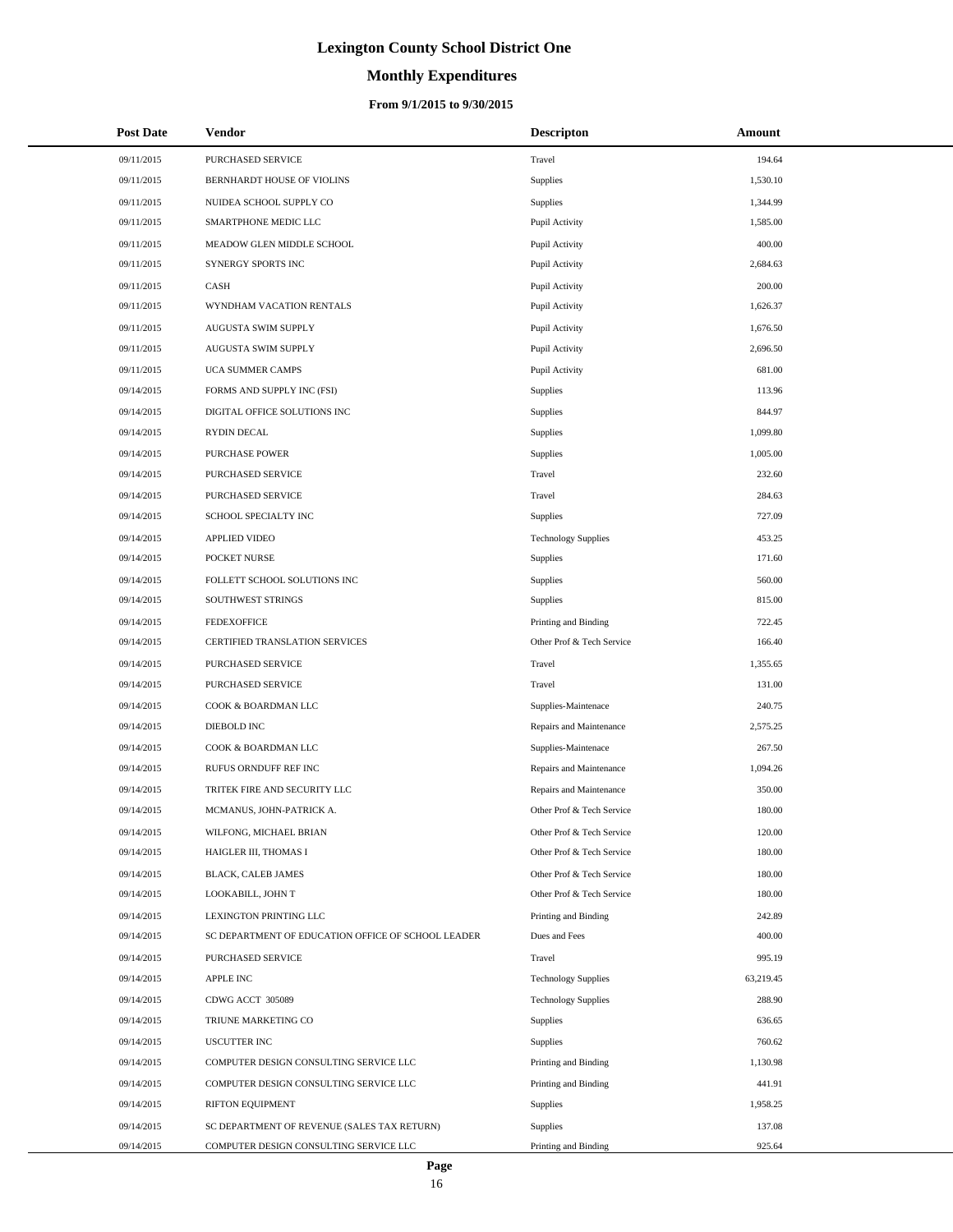# **Monthly Expenditures**

### **From 9/1/2015 to 9/30/2015**

| <b>Post Date</b> | Vendor                                             | <b>Descripton</b>          | Amount    |
|------------------|----------------------------------------------------|----------------------------|-----------|
| 09/11/2015       | PURCHASED SERVICE                                  | Travel                     | 194.64    |
| 09/11/2015       | BERNHARDT HOUSE OF VIOLINS                         | <b>Supplies</b>            | 1,530.10  |
| 09/11/2015       | NUIDEA SCHOOL SUPPLY CO                            | <b>Supplies</b>            | 1,344.99  |
| 09/11/2015       | SMARTPHONE MEDIC LLC                               | Pupil Activity             | 1,585.00  |
| 09/11/2015       | MEADOW GLEN MIDDLE SCHOOL                          | Pupil Activity             | 400.00    |
| 09/11/2015       | SYNERGY SPORTS INC                                 | Pupil Activity             | 2,684.63  |
| 09/11/2015       | CASH                                               | Pupil Activity             | 200.00    |
| 09/11/2015       | WYNDHAM VACATION RENTALS                           | Pupil Activity             | 1,626.37  |
| 09/11/2015       | AUGUSTA SWIM SUPPLY                                | Pupil Activity             | 1,676.50  |
| 09/11/2015       | AUGUSTA SWIM SUPPLY                                | Pupil Activity             | 2,696.50  |
| 09/11/2015       | UCA SUMMER CAMPS                                   | Pupil Activity             | 681.00    |
| 09/14/2015       | FORMS AND SUPPLY INC (FSI)                         | <b>Supplies</b>            | 113.96    |
| 09/14/2015       | DIGITAL OFFICE SOLUTIONS INC                       | <b>Supplies</b>            | 844.97    |
| 09/14/2015       | RYDIN DECAL                                        | <b>Supplies</b>            | 1,099.80  |
| 09/14/2015       | <b>PURCHASE POWER</b>                              | <b>Supplies</b>            | 1,005.00  |
| 09/14/2015       | PURCHASED SERVICE                                  | Travel                     | 232.60    |
| 09/14/2015       | PURCHASED SERVICE                                  | Travel                     | 284.63    |
| 09/14/2015       | SCHOOL SPECIALTY INC                               | Supplies                   | 727.09    |
| 09/14/2015       | <b>APPLIED VIDEO</b>                               | <b>Technology Supplies</b> | 453.25    |
| 09/14/2015       | POCKET NURSE                                       | <b>Supplies</b>            | 171.60    |
| 09/14/2015       | FOLLETT SCHOOL SOLUTIONS INC                       | <b>Supplies</b>            | 560.00    |
| 09/14/2015       | SOUTHWEST STRINGS                                  | <b>Supplies</b>            | 815.00    |
| 09/14/2015       | <b>FEDEXOFFICE</b>                                 | Printing and Binding       | 722.45    |
| 09/14/2015       | CERTIFIED TRANSLATION SERVICES                     | Other Prof & Tech Service  | 166.40    |
| 09/14/2015       | PURCHASED SERVICE                                  | Travel                     | 1,355.65  |
| 09/14/2015       | PURCHASED SERVICE                                  | Travel                     | 131.00    |
| 09/14/2015       | COOK & BOARDMAN LLC                                | Supplies-Maintenace        | 240.75    |
| 09/14/2015       | DIEBOLD INC                                        | Repairs and Maintenance    | 2,575.25  |
| 09/14/2015       | COOK & BOARDMAN LLC                                | Supplies-Maintenace        | 267.50    |
| 09/14/2015       | RUFUS ORNDUFF REF INC                              | Repairs and Maintenance    | 1,094.26  |
| 09/14/2015       | TRITEK FIRE AND SECURITY LLC                       | Repairs and Maintenance    | 350.00    |
| 09/14/2015       | MCMANUS, JOHN-PATRICK A.                           | Other Prof & Tech Service  | 180.00    |
| 09/14/2015       | WILFONG, MICHAEL BRIAN                             | Other Prof & Tech Service  | 120.00    |
| 09/14/2015       | HAIGLER III, THOMAS I                              | Other Prof & Tech Service  | 180.00    |
| 09/14/2015       | BLACK, CALEB JAMES                                 | Other Prof & Tech Service  | 180.00    |
| 09/14/2015       | LOOKABILL, JOHN T                                  | Other Prof & Tech Service  | 180.00    |
| 09/14/2015       | LEXINGTON PRINTING LLC                             | Printing and Binding       | 242.89    |
| 09/14/2015       | SC DEPARTMENT OF EDUCATION OFFICE OF SCHOOL LEADER | Dues and Fees              | 400.00    |
| 09/14/2015       | PURCHASED SERVICE                                  | Travel                     | 995.19    |
| 09/14/2015       | APPLE INC                                          | <b>Technology Supplies</b> | 63,219.45 |
| 09/14/2015       | CDWG ACCT 305089                                   | <b>Technology Supplies</b> | 288.90    |
| 09/14/2015       | TRIUNE MARKETING CO                                | Supplies                   | 636.65    |
| 09/14/2015       | <b>USCUTTER INC</b>                                | Supplies                   | 760.62    |
| 09/14/2015       | COMPUTER DESIGN CONSULTING SERVICE LLC             | Printing and Binding       | 1,130.98  |
| 09/14/2015       | COMPUTER DESIGN CONSULTING SERVICE LLC             | Printing and Binding       | 441.91    |
| 09/14/2015       | RIFTON EQUIPMENT                                   | Supplies                   | 1,958.25  |
| 09/14/2015       | SC DEPARTMENT OF REVENUE (SALES TAX RETURN)        | <b>Supplies</b>            | 137.08    |
| 09/14/2015       | COMPUTER DESIGN CONSULTING SERVICE LLC             | Printing and Binding       | 925.64    |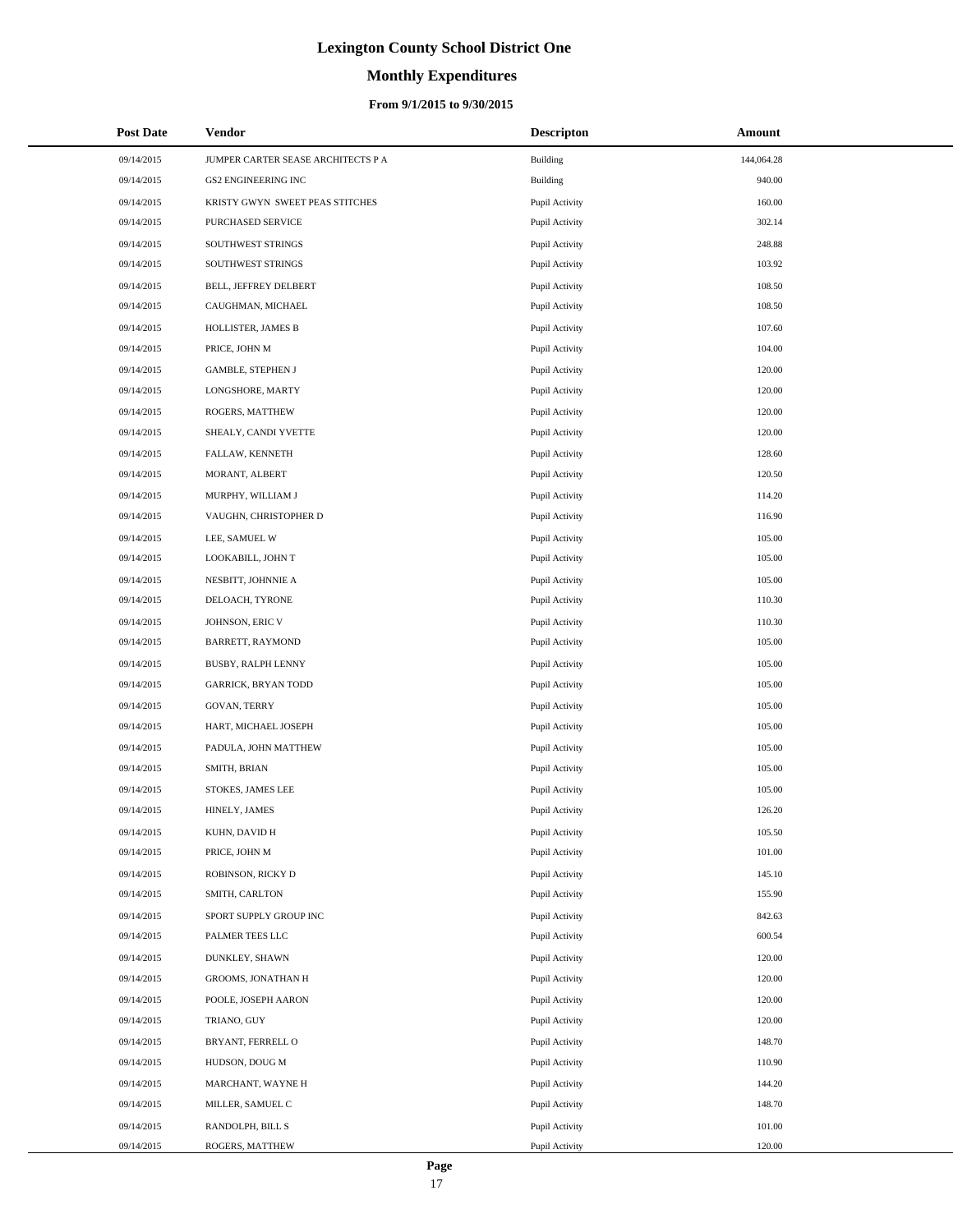# **Monthly Expenditures**

### **From 9/1/2015 to 9/30/2015**

| <b>Post Date</b> | Vendor                             | <b>Descripton</b> | Amount     |
|------------------|------------------------------------|-------------------|------------|
| 09/14/2015       | JUMPER CARTER SEASE ARCHITECTS P A | Building          | 144,064.28 |
| 09/14/2015       | GS2 ENGINEERING INC                | Building          | 940.00     |
| 09/14/2015       | KRISTY GWYN SWEET PEAS STITCHES    | Pupil Activity    | 160.00     |
| 09/14/2015       | PURCHASED SERVICE                  | Pupil Activity    | 302.14     |
| 09/14/2015       | SOUTHWEST STRINGS                  | Pupil Activity    | 248.88     |
| 09/14/2015       | SOUTHWEST STRINGS                  | Pupil Activity    | 103.92     |
| 09/14/2015       | BELL, JEFFREY DELBERT              | Pupil Activity    | 108.50     |
| 09/14/2015       | CAUGHMAN, MICHAEL                  | Pupil Activity    | 108.50     |
| 09/14/2015       | HOLLISTER, JAMES B                 | Pupil Activity    | 107.60     |
| 09/14/2015       | PRICE, JOHN M                      | Pupil Activity    | 104.00     |
| 09/14/2015       | GAMBLE, STEPHEN J                  | Pupil Activity    | 120.00     |
| 09/14/2015       | LONGSHORE, MARTY                   | Pupil Activity    | 120.00     |
| 09/14/2015       | ROGERS, MATTHEW                    | Pupil Activity    | 120.00     |
| 09/14/2015       | SHEALY, CANDI YVETTE               | Pupil Activity    | 120.00     |
| 09/14/2015       | FALLAW, KENNETH                    | Pupil Activity    | 128.60     |
| 09/14/2015       | MORANT, ALBERT                     | Pupil Activity    | 120.50     |
| 09/14/2015       | MURPHY, WILLIAM J                  | Pupil Activity    | 114.20     |
| 09/14/2015       | VAUGHN, CHRISTOPHER D              | Pupil Activity    | 116.90     |
| 09/14/2015       | LEE, SAMUEL W                      | Pupil Activity    | 105.00     |
| 09/14/2015       | LOOKABILL, JOHN T                  | Pupil Activity    | 105.00     |
| 09/14/2015       | NESBITT, JOHNNIE A                 | Pupil Activity    | 105.00     |
| 09/14/2015       | DELOACH, TYRONE                    | Pupil Activity    | 110.30     |
| 09/14/2015       | JOHNSON, ERIC V                    | Pupil Activity    | 110.30     |
| 09/14/2015       | BARRETT, RAYMOND                   | Pupil Activity    | 105.00     |
| 09/14/2015       | BUSBY, RALPH LENNY                 | Pupil Activity    | 105.00     |
| 09/14/2015       | <b>GARRICK, BRYAN TODD</b>         | Pupil Activity    | 105.00     |
| 09/14/2015       | GOVAN, TERRY                       | Pupil Activity    | 105.00     |
| 09/14/2015       | HART, MICHAEL JOSEPH               | Pupil Activity    | 105.00     |
| 09/14/2015       | PADULA, JOHN MATTHEW               | Pupil Activity    | 105.00     |
| 09/14/2015       | SMITH, BRIAN                       | Pupil Activity    | 105.00     |
| 09/14/2015       | STOKES, JAMES LEE                  | Pupil Activity    | 105.00     |
| 09/14/2015       | HINELY, JAMES                      | Pupil Activity    | 126.20     |
| 09/14/2015       | KUHN, DAVID H                      | Pupil Activity    | 105.50     |
| 09/14/2015       | PRICE, JOHN M                      | Pupil Activity    | 101.00     |
| 09/14/2015       | ROBINSON, RICKY D                  | Pupil Activity    | 145.10     |
| 09/14/2015       | SMITH, CARLTON                     | Pupil Activity    | 155.90     |
| 09/14/2015       | SPORT SUPPLY GROUP INC             | Pupil Activity    | 842.63     |
| 09/14/2015       | PALMER TEES LLC                    | Pupil Activity    | 600.54     |
| 09/14/2015       | DUNKLEY, SHAWN                     | Pupil Activity    | 120.00     |
| 09/14/2015       | GROOMS, JONATHAN H                 | Pupil Activity    | 120.00     |
| 09/14/2015       | POOLE, JOSEPH AARON                | Pupil Activity    | 120.00     |
| 09/14/2015       | TRIANO, GUY                        | Pupil Activity    | 120.00     |
| 09/14/2015       | BRYANT, FERRELL O                  | Pupil Activity    | 148.70     |
| 09/14/2015       | HUDSON, DOUG M                     | Pupil Activity    | 110.90     |
| 09/14/2015       | MARCHANT, WAYNE H                  | Pupil Activity    | 144.20     |
| 09/14/2015       | MILLER, SAMUEL C                   | Pupil Activity    | 148.70     |
| 09/14/2015       | RANDOLPH, BILL S                   | Pupil Activity    | 101.00     |
| 09/14/2015       | ROGERS, MATTHEW                    | Pupil Activity    | 120.00     |

 $\overline{a}$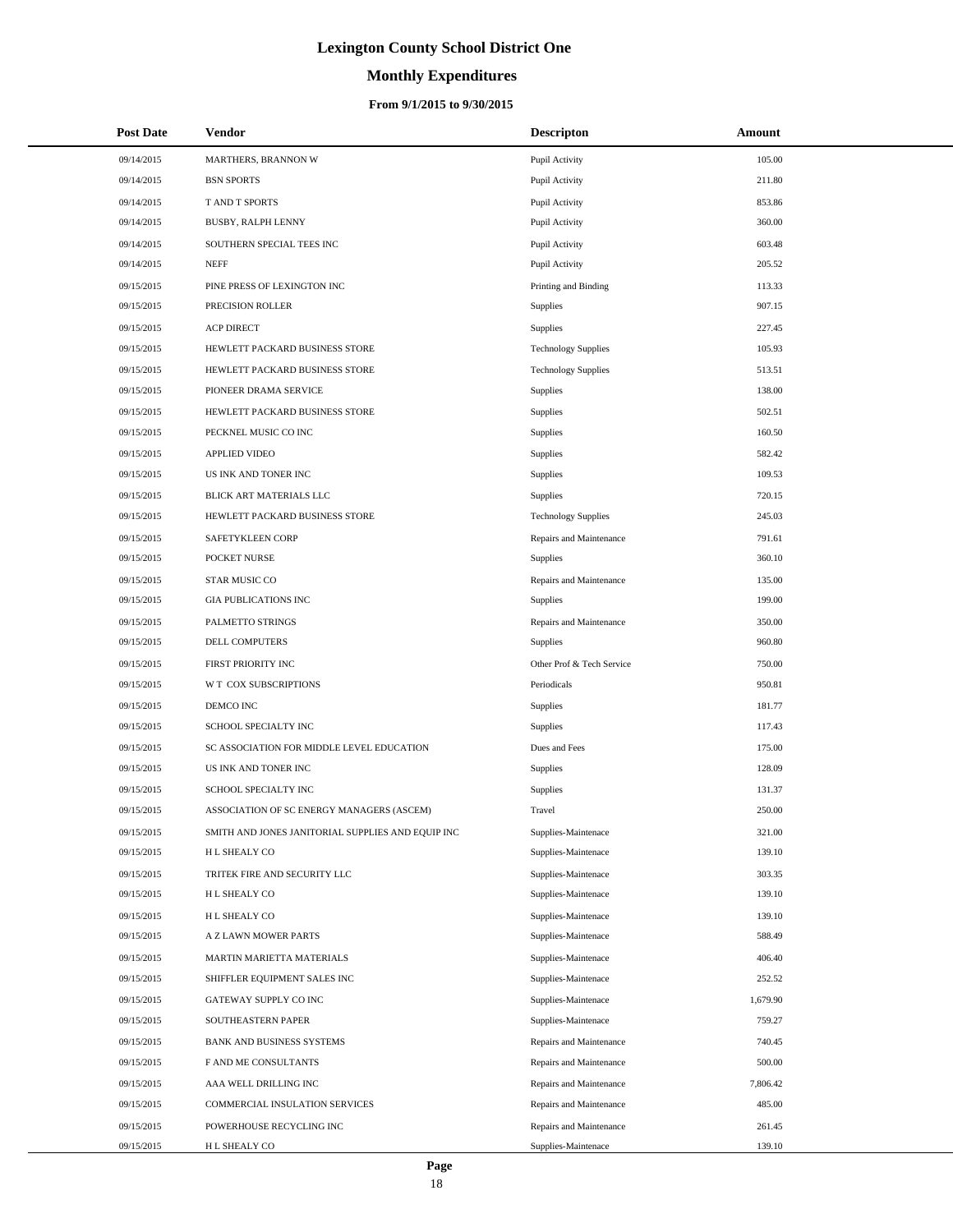# **Monthly Expenditures**

### **From 9/1/2015 to 9/30/2015**

| <b>Post Date</b> | <b>Vendor</b>                                     | <b>Descripton</b>          | Amount   |
|------------------|---------------------------------------------------|----------------------------|----------|
| 09/14/2015       | MARTHERS, BRANNON W                               | Pupil Activity             | 105.00   |
| 09/14/2015       | <b>BSN SPORTS</b>                                 | Pupil Activity             | 211.80   |
| 09/14/2015       | T AND T SPORTS                                    | Pupil Activity             | 853.86   |
| 09/14/2015       | BUSBY, RALPH LENNY                                | Pupil Activity             | 360.00   |
| 09/14/2015       | SOUTHERN SPECIAL TEES INC                         | Pupil Activity             | 603.48   |
| 09/14/2015       | <b>NEFF</b>                                       | Pupil Activity             | 205.52   |
| 09/15/2015       | PINE PRESS OF LEXINGTON INC                       | Printing and Binding       | 113.33   |
| 09/15/2015       | PRECISION ROLLER                                  | <b>Supplies</b>            | 907.15   |
| 09/15/2015       | <b>ACP DIRECT</b>                                 | <b>Supplies</b>            | 227.45   |
| 09/15/2015       | HEWLETT PACKARD BUSINESS STORE                    | <b>Technology Supplies</b> | 105.93   |
| 09/15/2015       | HEWLETT PACKARD BUSINESS STORE                    | <b>Technology Supplies</b> | 513.51   |
| 09/15/2015       | PIONEER DRAMA SERVICE                             | <b>Supplies</b>            | 138.00   |
| 09/15/2015       | HEWLETT PACKARD BUSINESS STORE                    | <b>Supplies</b>            | 502.51   |
| 09/15/2015       | PECKNEL MUSIC CO INC                              | <b>Supplies</b>            | 160.50   |
| 09/15/2015       | <b>APPLIED VIDEO</b>                              | <b>Supplies</b>            | 582.42   |
| 09/15/2015       | US INK AND TONER INC                              | <b>Supplies</b>            | 109.53   |
| 09/15/2015       | BLICK ART MATERIALS LLC                           | <b>Supplies</b>            | 720.15   |
| 09/15/2015       | HEWLETT PACKARD BUSINESS STORE                    | <b>Technology Supplies</b> | 245.03   |
| 09/15/2015       | SAFETYKLEEN CORP                                  | Repairs and Maintenance    | 791.61   |
| 09/15/2015       | POCKET NURSE                                      | <b>Supplies</b>            | 360.10   |
| 09/15/2015       | STAR MUSIC CO                                     | Repairs and Maintenance    | 135.00   |
| 09/15/2015       | <b>GIA PUBLICATIONS INC</b>                       | <b>Supplies</b>            | 199.00   |
| 09/15/2015       | PALMETTO STRINGS                                  | Repairs and Maintenance    | 350.00   |
| 09/15/2015       | DELL COMPUTERS                                    | <b>Supplies</b>            | 960.80   |
| 09/15/2015       | FIRST PRIORITY INC                                | Other Prof & Tech Service  | 750.00   |
| 09/15/2015       | W T COX SUBSCRIPTIONS                             | Periodicals                | 950.81   |
| 09/15/2015       | DEMCO INC                                         | <b>Supplies</b>            | 181.77   |
| 09/15/2015       | SCHOOL SPECIALTY INC                              | <b>Supplies</b>            | 117.43   |
| 09/15/2015       | SC ASSOCIATION FOR MIDDLE LEVEL EDUCATION         | Dues and Fees              | 175.00   |
| 09/15/2015       | US INK AND TONER INC                              | Supplies                   | 128.09   |
| 09/15/2015       | SCHOOL SPECIALTY INC                              | Supplies                   | 131.37   |
| 09/15/2015       | ASSOCIATION OF SC ENERGY MANAGERS (ASCEM)         | Travel                     | 250.00   |
| 09/15/2015       | SMITH AND JONES JANITORIAL SUPPLIES AND EQUIP INC | Supplies-Maintenace        | 321.00   |
| 09/15/2015       | H L SHEALY CO                                     | Supplies-Maintenace        | 139.10   |
| 09/15/2015       | TRITEK FIRE AND SECURITY LLC                      | Supplies-Maintenace        | 303.35   |
| 09/15/2015       | H L SHEALY CO                                     | Supplies-Maintenace        | 139.10   |
| 09/15/2015       | H L SHEALY CO                                     | Supplies-Maintenace        | 139.10   |
| 09/15/2015       | A Z LAWN MOWER PARTS                              | Supplies-Maintenace        | 588.49   |
| 09/15/2015       | MARTIN MARIETTA MATERIALS                         | Supplies-Maintenace        | 406.40   |
| 09/15/2015       | SHIFFLER EQUIPMENT SALES INC                      | Supplies-Maintenace        | 252.52   |
| 09/15/2015       | GATEWAY SUPPLY CO INC                             | Supplies-Maintenace        | 1,679.90 |
| 09/15/2015       | SOUTHEASTERN PAPER                                | Supplies-Maintenace        | 759.27   |
| 09/15/2015       | BANK AND BUSINESS SYSTEMS                         | Repairs and Maintenance    | 740.45   |
| 09/15/2015       | F AND ME CONSULTANTS                              | Repairs and Maintenance    | 500.00   |
| 09/15/2015       | AAA WELL DRILLING INC                             | Repairs and Maintenance    | 7,806.42 |
| 09/15/2015       | COMMERCIAL INSULATION SERVICES                    | Repairs and Maintenance    | 485.00   |
| 09/15/2015       | POWERHOUSE RECYCLING INC                          | Repairs and Maintenance    | 261.45   |
| 09/15/2015       | H L SHEALY CO                                     | Supplies-Maintenace        | 139.10   |

÷.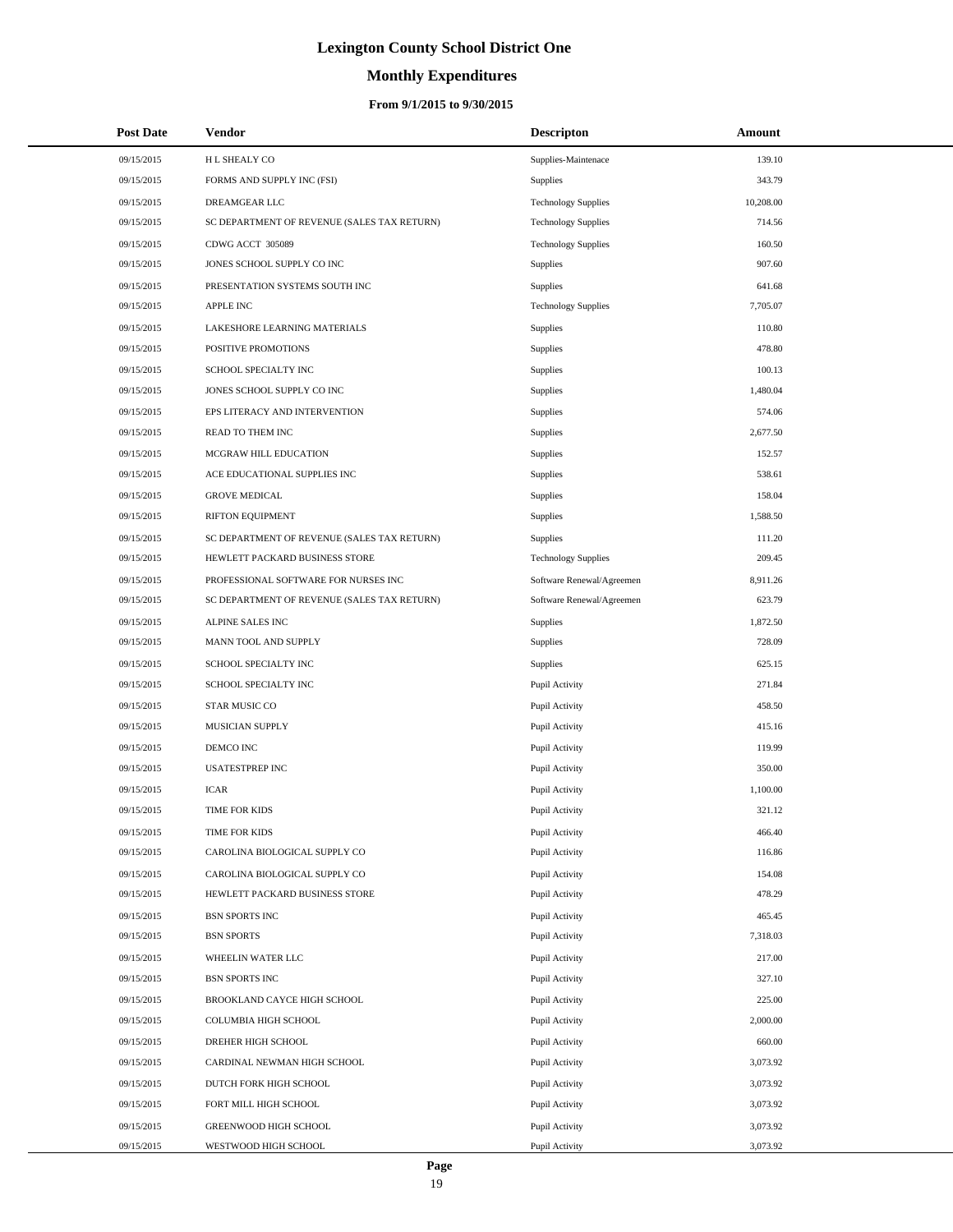# **Monthly Expenditures**

| <b>Post Date</b> | Vendor                                      | <b>Descripton</b>          | Amount    |
|------------------|---------------------------------------------|----------------------------|-----------|
| 09/15/2015       | H L SHEALY CO                               | Supplies-Maintenace        | 139.10    |
| 09/15/2015       | FORMS AND SUPPLY INC (FSI)                  | <b>Supplies</b>            | 343.79    |
| 09/15/2015       | DREAMGEAR LLC                               | <b>Technology Supplies</b> | 10,208.00 |
| 09/15/2015       | SC DEPARTMENT OF REVENUE (SALES TAX RETURN) | <b>Technology Supplies</b> | 714.56    |
| 09/15/2015       | CDWG ACCT 305089                            | <b>Technology Supplies</b> | 160.50    |
| 09/15/2015       | JONES SCHOOL SUPPLY CO INC                  | Supplies                   | 907.60    |
| 09/15/2015       | PRESENTATION SYSTEMS SOUTH INC              | Supplies                   | 641.68    |
| 09/15/2015       | <b>APPLE INC</b>                            | <b>Technology Supplies</b> | 7,705.07  |
| 09/15/2015       | LAKESHORE LEARNING MATERIALS                | Supplies                   | 110.80    |
| 09/15/2015       | POSITIVE PROMOTIONS                         | Supplies                   | 478.80    |
| 09/15/2015       | SCHOOL SPECIALTY INC                        | Supplies                   | 100.13    |
| 09/15/2015       | JONES SCHOOL SUPPLY CO INC                  | Supplies                   | 1,480.04  |
| 09/15/2015       | EPS LITERACY AND INTERVENTION               | Supplies                   | 574.06    |
| 09/15/2015       | READ TO THEM INC                            | Supplies                   | 2,677.50  |
| 09/15/2015       | MCGRAW HILL EDUCATION                       | Supplies                   | 152.57    |
| 09/15/2015       | ACE EDUCATIONAL SUPPLIES INC                | Supplies                   | 538.61    |
| 09/15/2015       | <b>GROVE MEDICAL</b>                        | Supplies                   | 158.04    |
| 09/15/2015       | RIFTON EQUIPMENT                            | Supplies                   | 1,588.50  |
| 09/15/2015       | SC DEPARTMENT OF REVENUE (SALES TAX RETURN) | Supplies                   | 111.20    |
| 09/15/2015       | HEWLETT PACKARD BUSINESS STORE              | <b>Technology Supplies</b> | 209.45    |
| 09/15/2015       | PROFESSIONAL SOFTWARE FOR NURSES INC        | Software Renewal/Agreemen  | 8,911.26  |
| 09/15/2015       | SC DEPARTMENT OF REVENUE (SALES TAX RETURN) | Software Renewal/Agreemen  | 623.79    |
| 09/15/2015       | ALPINE SALES INC                            | Supplies                   | 1,872.50  |
| 09/15/2015       | MANN TOOL AND SUPPLY                        | Supplies                   | 728.09    |
| 09/15/2015       | SCHOOL SPECIALTY INC                        | Supplies                   | 625.15    |
| 09/15/2015       | SCHOOL SPECIALTY INC                        | Pupil Activity             | 271.84    |
| 09/15/2015       | STAR MUSIC CO                               | Pupil Activity             | 458.50    |
| 09/15/2015       | MUSICIAN SUPPLY                             | Pupil Activity             | 415.16    |
| 09/15/2015       | DEMCO INC                                   | Pupil Activity             | 119.99    |
| 09/15/2015       | <b>USATESTPREP INC</b>                      | Pupil Activity             | 350.00    |
| 09/15/2015       | <b>ICAR</b>                                 | Pupil Activity             | 1,100.00  |
| 09/15/2015       | TIME FOR KIDS                               | Pupil Activity             | 321.12    |
| 09/15/2015       | TIME FOR KIDS                               | Pupil Activity             | 466.40    |
| 09/15/2015       | CAROLINA BIOLOGICAL SUPPLY CO               | Pupil Activity             | 116.86    |
| 09/15/2015       | CAROLINA BIOLOGICAL SUPPLY CO               | Pupil Activity             | 154.08    |
| 09/15/2015       | HEWLETT PACKARD BUSINESS STORE              | Pupil Activity             | 478.29    |
| 09/15/2015       | <b>BSN SPORTS INC</b>                       | Pupil Activity             | 465.45    |
| 09/15/2015       | <b>BSN SPORTS</b>                           | Pupil Activity             | 7,318.03  |
| 09/15/2015       | WHEELIN WATER LLC                           | Pupil Activity             | 217.00    |
| 09/15/2015       | <b>BSN SPORTS INC</b>                       | Pupil Activity             | 327.10    |
| 09/15/2015       | BROOKLAND CAYCE HIGH SCHOOL                 | Pupil Activity             | 225.00    |
| 09/15/2015       | COLUMBIA HIGH SCHOOL                        | Pupil Activity             | 2,000.00  |
| 09/15/2015       | DREHER HIGH SCHOOL                          | Pupil Activity             | 660.00    |
| 09/15/2015       | CARDINAL NEWMAN HIGH SCHOOL                 | Pupil Activity             | 3,073.92  |
| 09/15/2015       | DUTCH FORK HIGH SCHOOL                      | Pupil Activity             | 3,073.92  |
| 09/15/2015       | FORT MILL HIGH SCHOOL                       | Pupil Activity             | 3,073.92  |
| 09/15/2015       | GREENWOOD HIGH SCHOOL                       | Pupil Activity             | 3,073.92  |
| 09/15/2015       | WESTWOOD HIGH SCHOOL                        | Pupil Activity             | 3,073.92  |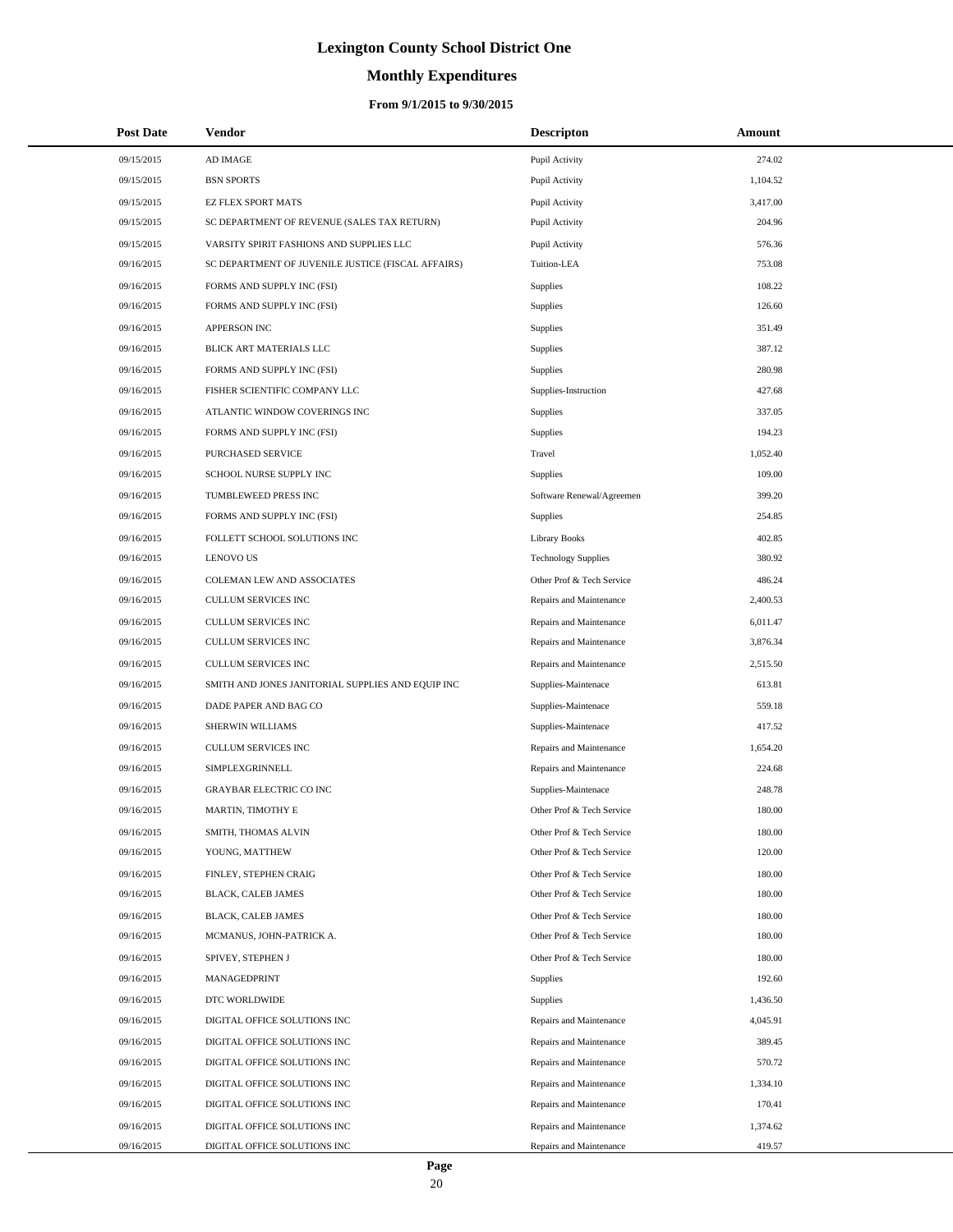# **Monthly Expenditures**

### **From 9/1/2015 to 9/30/2015**

| <b>Post Date</b>         | Vendor                                                       | <b>Descripton</b>                                  | <b>Amount</b>      |
|--------------------------|--------------------------------------------------------------|----------------------------------------------------|--------------------|
| 09/15/2015               | AD IMAGE                                                     | Pupil Activity                                     | 274.02             |
| 09/15/2015               | <b>BSN SPORTS</b>                                            | Pupil Activity                                     | 1,104.52           |
| 09/15/2015               | EZ FLEX SPORT MATS                                           | Pupil Activity                                     | 3,417.00           |
| 09/15/2015               | SC DEPARTMENT OF REVENUE (SALES TAX RETURN)                  | Pupil Activity                                     | 204.96             |
| 09/15/2015               | VARSITY SPIRIT FASHIONS AND SUPPLIES LLC                     | Pupil Activity                                     | 576.36             |
| 09/16/2015               | SC DEPARTMENT OF JUVENILE JUSTICE (FISCAL AFFAIRS)           | Tuition-LEA                                        | 753.08             |
| 09/16/2015               | FORMS AND SUPPLY INC (FSI)                                   | <b>Supplies</b>                                    | 108.22             |
| 09/16/2015               | FORMS AND SUPPLY INC (FSI)                                   | <b>Supplies</b>                                    | 126.60             |
| 09/16/2015               | APPERSON INC                                                 | <b>Supplies</b>                                    | 351.49             |
| 09/16/2015               | BLICK ART MATERIALS LLC                                      | <b>Supplies</b>                                    | 387.12             |
| 09/16/2015               | FORMS AND SUPPLY INC (FSI)                                   | <b>Supplies</b>                                    | 280.98             |
| 09/16/2015               | FISHER SCIENTIFIC COMPANY LLC                                | Supplies-Instruction                               | 427.68             |
| 09/16/2015               | ATLANTIC WINDOW COVERINGS INC                                | <b>Supplies</b>                                    | 337.05             |
| 09/16/2015               | FORMS AND SUPPLY INC (FSI)                                   | <b>Supplies</b>                                    | 194.23             |
| 09/16/2015               | PURCHASED SERVICE                                            | Travel                                             | 1,052.40           |
| 09/16/2015               | SCHOOL NURSE SUPPLY INC                                      | <b>Supplies</b>                                    | 109.00             |
| 09/16/2015               | TUMBLEWEED PRESS INC                                         | Software Renewal/Agreemen                          | 399.20             |
| 09/16/2015               | FORMS AND SUPPLY INC (FSI)                                   | Supplies                                           | 254.85             |
| 09/16/2015               | FOLLETT SCHOOL SOLUTIONS INC                                 | <b>Library Books</b>                               | 402.85             |
| 09/16/2015               | <b>LENOVO US</b>                                             | <b>Technology Supplies</b>                         | 380.92             |
| 09/16/2015               | COLEMAN LEW AND ASSOCIATES                                   | Other Prof & Tech Service                          | 486.24             |
| 09/16/2015               | CULLUM SERVICES INC                                          | Repairs and Maintenance                            | 2,400.53           |
| 09/16/2015               | CULLUM SERVICES INC                                          | Repairs and Maintenance                            | 6,011.47           |
| 09/16/2015               | CULLUM SERVICES INC                                          | Repairs and Maintenance                            | 3,876.34           |
| 09/16/2015               | CULLUM SERVICES INC                                          | Repairs and Maintenance                            | 2,515.50           |
| 09/16/2015               | SMITH AND JONES JANITORIAL SUPPLIES AND EQUIP INC            | Supplies-Maintenace                                | 613.81             |
| 09/16/2015               | DADE PAPER AND BAG CO                                        | Supplies-Maintenace                                | 559.18             |
| 09/16/2015               | SHERWIN WILLIAMS                                             | Supplies-Maintenace                                | 417.52             |
| 09/16/2015               | CULLUM SERVICES INC                                          | Repairs and Maintenance                            | 1,654.20           |
| 09/16/2015               | SIMPLEXGRINNELL                                              | Repairs and Maintenance                            | 224.68             |
| 09/16/2015               | <b>GRAYBAR ELECTRIC CO INC</b>                               | Supplies-Maintenace                                | 248.78             |
| 09/16/2015               | MARTIN, TIMOTHY E                                            | Other Prof & Tech Service                          | 180.00             |
| 09/16/2015               | SMITH, THOMAS ALVIN                                          | Other Prof & Tech Service                          | 180.00             |
| 09/16/2015               | YOUNG, MATTHEW                                               | Other Prof & Tech Service                          | 120.00             |
| 09/16/2015               | FINLEY, STEPHEN CRAIG                                        | Other Prof & Tech Service                          | 180.00             |
| 09/16/2015               | BLACK, CALEB JAMES                                           | Other Prof & Tech Service                          | 180.00             |
| 09/16/2015               | <b>BLACK, CALEB JAMES</b>                                    | Other Prof & Tech Service                          | 180.00             |
| 09/16/2015               | MCMANUS, JOHN-PATRICK A.                                     | Other Prof & Tech Service                          | 180.00             |
| 09/16/2015               | SPIVEY, STEPHEN J                                            | Other Prof & Tech Service                          | 180.00             |
| 09/16/2015               | MANAGEDPRINT                                                 | Supplies                                           | 192.60             |
| 09/16/2015               | DTC WORLDWIDE                                                | Supplies                                           | 1,436.50           |
| 09/16/2015               | DIGITAL OFFICE SOLUTIONS INC                                 | Repairs and Maintenance                            | 4,045.91           |
| 09/16/2015               | DIGITAL OFFICE SOLUTIONS INC                                 | Repairs and Maintenance                            | 389.45             |
| 09/16/2015               | DIGITAL OFFICE SOLUTIONS INC                                 | Repairs and Maintenance                            | 570.72             |
| 09/16/2015               | DIGITAL OFFICE SOLUTIONS INC                                 | Repairs and Maintenance                            | 1,334.10           |
| 09/16/2015               | DIGITAL OFFICE SOLUTIONS INC                                 | Repairs and Maintenance                            | 170.41             |
| 09/16/2015<br>09/16/2015 | DIGITAL OFFICE SOLUTIONS INC<br>DIGITAL OFFICE SOLUTIONS INC | Repairs and Maintenance<br>Repairs and Maintenance | 1,374.62<br>419.57 |
|                          |                                                              |                                                    |                    |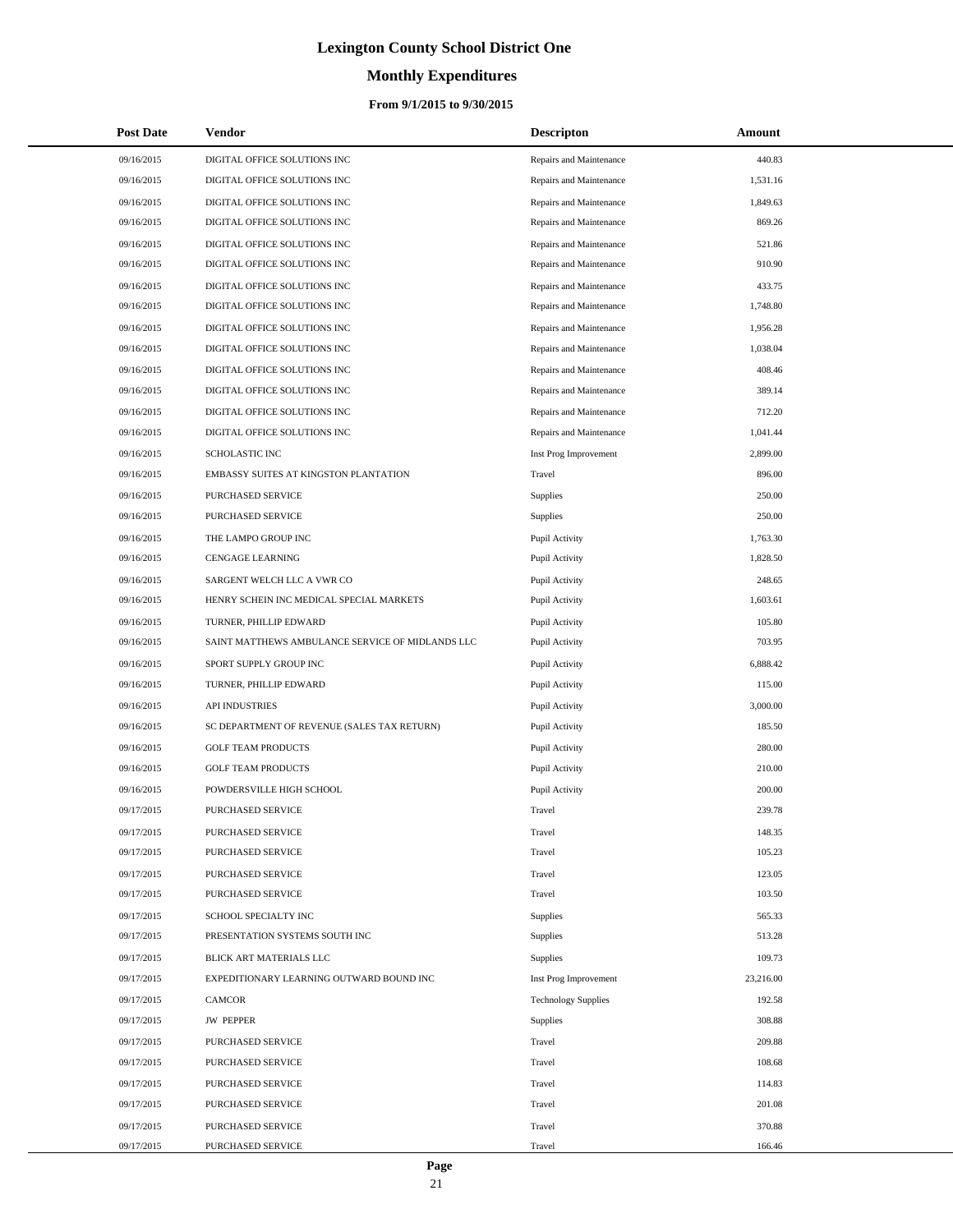# **Monthly Expenditures**

| <b>Post Date</b> | <b>Vendor</b>                                    | <b>Descripton</b>          | Amount    |
|------------------|--------------------------------------------------|----------------------------|-----------|
| 09/16/2015       | DIGITAL OFFICE SOLUTIONS INC                     | Repairs and Maintenance    | 440.83    |
| 09/16/2015       | DIGITAL OFFICE SOLUTIONS INC                     | Repairs and Maintenance    | 1,531.16  |
| 09/16/2015       | DIGITAL OFFICE SOLUTIONS INC                     | Repairs and Maintenance    | 1,849.63  |
| 09/16/2015       | DIGITAL OFFICE SOLUTIONS INC                     | Repairs and Maintenance    | 869.26    |
| 09/16/2015       | DIGITAL OFFICE SOLUTIONS INC                     | Repairs and Maintenance    | 521.86    |
| 09/16/2015       | DIGITAL OFFICE SOLUTIONS INC                     | Repairs and Maintenance    | 910.90    |
| 09/16/2015       | DIGITAL OFFICE SOLUTIONS INC                     | Repairs and Maintenance    | 433.75    |
| 09/16/2015       | DIGITAL OFFICE SOLUTIONS INC                     | Repairs and Maintenance    | 1,748.80  |
| 09/16/2015       | DIGITAL OFFICE SOLUTIONS INC                     | Repairs and Maintenance    | 1,956.28  |
| 09/16/2015       | DIGITAL OFFICE SOLUTIONS INC                     | Repairs and Maintenance    | 1,038.04  |
| 09/16/2015       | DIGITAL OFFICE SOLUTIONS INC                     | Repairs and Maintenance    | 408.46    |
| 09/16/2015       | DIGITAL OFFICE SOLUTIONS INC                     | Repairs and Maintenance    | 389.14    |
| 09/16/2015       | DIGITAL OFFICE SOLUTIONS INC                     | Repairs and Maintenance    | 712.20    |
| 09/16/2015       | DIGITAL OFFICE SOLUTIONS INC                     | Repairs and Maintenance    | 1,041.44  |
| 09/16/2015       | <b>SCHOLASTIC INC</b>                            | Inst Prog Improvement      | 2,899.00  |
| 09/16/2015       | EMBASSY SUITES AT KINGSTON PLANTATION            | Travel                     | 896.00    |
| 09/16/2015       | PURCHASED SERVICE                                | Supplies                   | 250.00    |
| 09/16/2015       | PURCHASED SERVICE                                | Supplies                   | 250.00    |
| 09/16/2015       | THE LAMPO GROUP INC                              | Pupil Activity             | 1,763.30  |
| 09/16/2015       | <b>CENGAGE LEARNING</b>                          | Pupil Activity             | 1,828.50  |
| 09/16/2015       | SARGENT WELCH LLC A VWR CO                       | Pupil Activity             | 248.65    |
| 09/16/2015       | HENRY SCHEIN INC MEDICAL SPECIAL MARKETS         | Pupil Activity             | 1,603.61  |
| 09/16/2015       | TURNER, PHILLIP EDWARD                           | Pupil Activity             | 105.80    |
| 09/16/2015       | SAINT MATTHEWS AMBULANCE SERVICE OF MIDLANDS LLC | Pupil Activity             | 703.95    |
| 09/16/2015       | SPORT SUPPLY GROUP INC                           | Pupil Activity             | 6,888.42  |
| 09/16/2015       | TURNER, PHILLIP EDWARD                           | Pupil Activity             | 115.00    |
| 09/16/2015       | <b>API INDUSTRIES</b>                            | Pupil Activity             | 3,000.00  |
| 09/16/2015       | SC DEPARTMENT OF REVENUE (SALES TAX RETURN)      | Pupil Activity             | 185.50    |
| 09/16/2015       | <b>GOLF TEAM PRODUCTS</b>                        | Pupil Activity             | 280.00    |
| 09/16/2015       | <b>GOLF TEAM PRODUCTS</b>                        | Pupil Activity             | 210.00    |
| 09/16/2015       | POWDERSVILLE HIGH SCHOOL                         | Pupil Activity             | 200.00    |
| 09/17/2015       | PURCHASED SERVICE                                | Travel                     | 239.78    |
| 09/17/2015       | PURCHASED SERVICE                                | Travel                     | 148.35    |
| 09/17/2015       | PURCHASED SERVICE                                | Travel                     | 105.23    |
| 09/17/2015       | PURCHASED SERVICE                                | Travel                     | 123.05    |
| 09/17/2015       | PURCHASED SERVICE                                | Travel                     | 103.50    |
| 09/17/2015       | SCHOOL SPECIALTY INC                             | Supplies                   | 565.33    |
| 09/17/2015       | PRESENTATION SYSTEMS SOUTH INC                   | Supplies                   | 513.28    |
| 09/17/2015       | BLICK ART MATERIALS LLC                          | Supplies                   | 109.73    |
| 09/17/2015       | EXPEDITIONARY LEARNING OUTWARD BOUND INC         | Inst Prog Improvement      | 23,216.00 |
| 09/17/2015       | <b>CAMCOR</b>                                    | <b>Technology Supplies</b> | 192.58    |
| 09/17/2015       | <b>JW PEPPER</b>                                 | Supplies                   | 308.88    |
| 09/17/2015       | PURCHASED SERVICE                                | Travel                     | 209.88    |
| 09/17/2015       | PURCHASED SERVICE                                | Travel                     | 108.68    |
| 09/17/2015       | PURCHASED SERVICE                                | Travel                     | 114.83    |
| 09/17/2015       | PURCHASED SERVICE                                | Travel                     | 201.08    |
| 09/17/2015       | PURCHASED SERVICE                                | Travel                     | 370.88    |
| 09/17/2015       | PURCHASED SERVICE                                | Travel                     | 166.46    |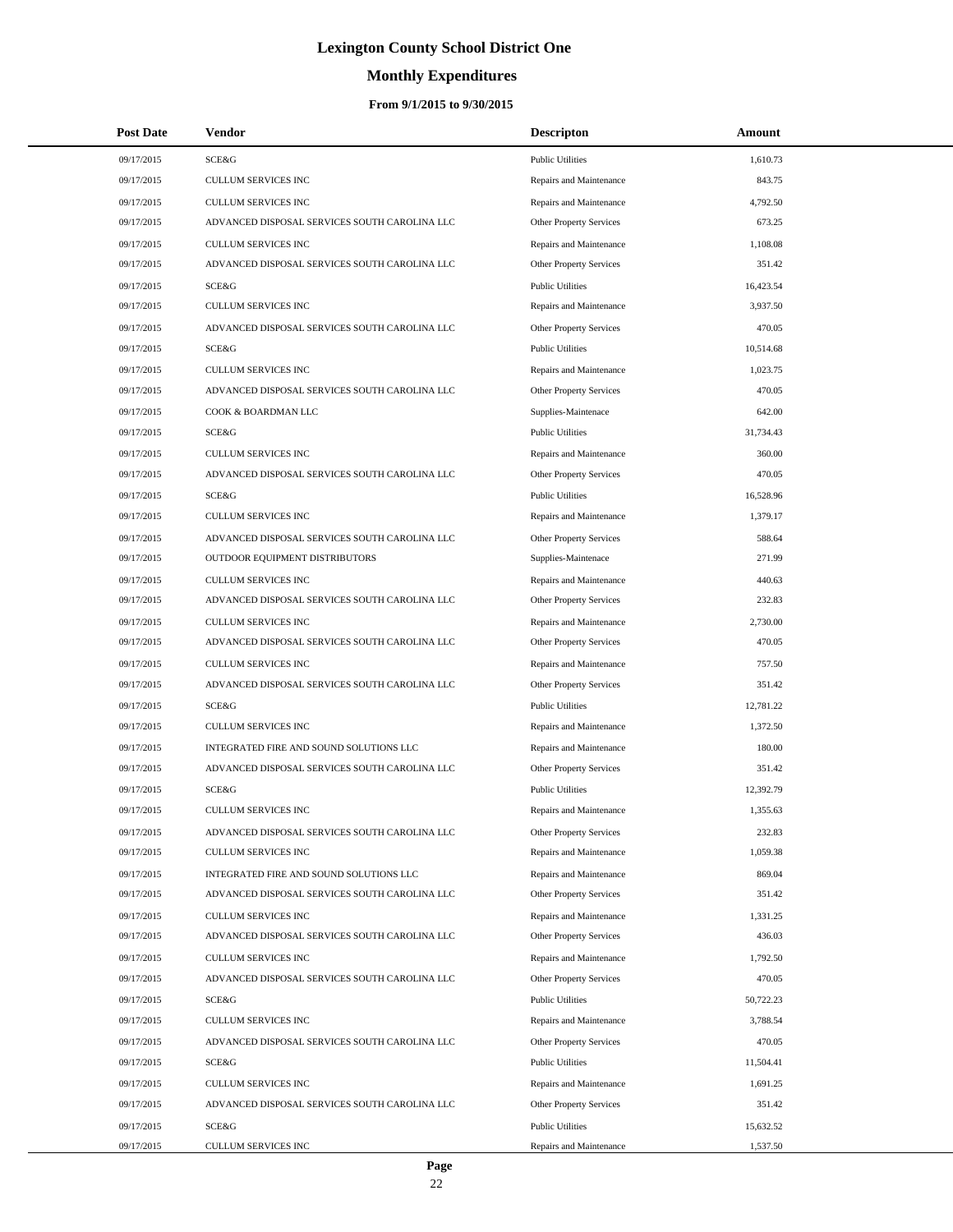# **Monthly Expenditures**

| <b>Post Date</b> | Vendor                                        | <b>Descripton</b>              | Amount    |
|------------------|-----------------------------------------------|--------------------------------|-----------|
| 09/17/2015       | SCE&G                                         | <b>Public Utilities</b>        | 1,610.73  |
| 09/17/2015       | CULLUM SERVICES INC                           | Repairs and Maintenance        | 843.75    |
| 09/17/2015       | <b>CULLUM SERVICES INC</b>                    | Repairs and Maintenance        | 4,792.50  |
| 09/17/2015       | ADVANCED DISPOSAL SERVICES SOUTH CAROLINA LLC | Other Property Services        | 673.25    |
| 09/17/2015       | CULLUM SERVICES INC                           | Repairs and Maintenance        | 1,108.08  |
| 09/17/2015       | ADVANCED DISPOSAL SERVICES SOUTH CAROLINA LLC | Other Property Services        | 351.42    |
| 09/17/2015       | SCE&G                                         | <b>Public Utilities</b>        | 16,423.54 |
| 09/17/2015       | <b>CULLUM SERVICES INC</b>                    | Repairs and Maintenance        | 3,937.50  |
| 09/17/2015       | ADVANCED DISPOSAL SERVICES SOUTH CAROLINA LLC | Other Property Services        | 470.05    |
| 09/17/2015       | SCE&G                                         | <b>Public Utilities</b>        | 10,514.68 |
| 09/17/2015       | <b>CULLUM SERVICES INC</b>                    | Repairs and Maintenance        | 1,023.75  |
| 09/17/2015       | ADVANCED DISPOSAL SERVICES SOUTH CAROLINA LLC | Other Property Services        | 470.05    |
| 09/17/2015       | COOK & BOARDMAN LLC                           | Supplies-Maintenace            | 642.00    |
| 09/17/2015       | SCE&G                                         | <b>Public Utilities</b>        | 31,734.43 |
| 09/17/2015       | <b>CULLUM SERVICES INC</b>                    | Repairs and Maintenance        | 360.00    |
| 09/17/2015       | ADVANCED DISPOSAL SERVICES SOUTH CAROLINA LLC | Other Property Services        | 470.05    |
| 09/17/2015       | SCE&G                                         | <b>Public Utilities</b>        | 16,528.96 |
| 09/17/2015       | <b>CULLUM SERVICES INC</b>                    | Repairs and Maintenance        | 1,379.17  |
| 09/17/2015       | ADVANCED DISPOSAL SERVICES SOUTH CAROLINA LLC | <b>Other Property Services</b> | 588.64    |
| 09/17/2015       | OUTDOOR EQUIPMENT DISTRIBUTORS                | Supplies-Maintenace            | 271.99    |
| 09/17/2015       | <b>CULLUM SERVICES INC</b>                    | Repairs and Maintenance        | 440.63    |
| 09/17/2015       | ADVANCED DISPOSAL SERVICES SOUTH CAROLINA LLC | Other Property Services        | 232.83    |
| 09/17/2015       | <b>CULLUM SERVICES INC</b>                    | Repairs and Maintenance        | 2,730.00  |
| 09/17/2015       | ADVANCED DISPOSAL SERVICES SOUTH CAROLINA LLC | Other Property Services        | 470.05    |
| 09/17/2015       | <b>CULLUM SERVICES INC</b>                    | Repairs and Maintenance        | 757.50    |
| 09/17/2015       | ADVANCED DISPOSAL SERVICES SOUTH CAROLINA LLC | Other Property Services        | 351.42    |
| 09/17/2015       | SCE&G                                         | <b>Public Utilities</b>        | 12,781.22 |
| 09/17/2015       | <b>CULLUM SERVICES INC</b>                    | Repairs and Maintenance        | 1,372.50  |
| 09/17/2015       | INTEGRATED FIRE AND SOUND SOLUTIONS LLC       | Repairs and Maintenance        | 180.00    |
| 09/17/2015       | ADVANCED DISPOSAL SERVICES SOUTH CAROLINA LLC | Other Property Services        | 351.42    |
| 09/17/2015       | SCE&G                                         | <b>Public Utilities</b>        | 12,392.79 |
| 09/17/2015       | <b>CULLUM SERVICES INC</b>                    | Repairs and Maintenance        | 1,355.63  |
| 09/17/2015       | ADVANCED DISPOSAL SERVICES SOUTH CAROLINA LLC | <b>Other Property Services</b> | 232.83    |
| 09/17/2015       | CULLUM SERVICES INC                           | Repairs and Maintenance        | 1,059.38  |
| 09/17/2015       | INTEGRATED FIRE AND SOUND SOLUTIONS LLC       | Repairs and Maintenance        | 869.04    |
| 09/17/2015       | ADVANCED DISPOSAL SERVICES SOUTH CAROLINA LLC | Other Property Services        | 351.42    |
| 09/17/2015       | CULLUM SERVICES INC                           | Repairs and Maintenance        | 1,331.25  |
| 09/17/2015       | ADVANCED DISPOSAL SERVICES SOUTH CAROLINA LLC | Other Property Services        | 436.03    |
| 09/17/2015       | CULLUM SERVICES INC                           | Repairs and Maintenance        | 1,792.50  |
| 09/17/2015       | ADVANCED DISPOSAL SERVICES SOUTH CAROLINA LLC | Other Property Services        | 470.05    |
| 09/17/2015       | SCE&G                                         | <b>Public Utilities</b>        | 50,722.23 |
| 09/17/2015       | CULLUM SERVICES INC                           | Repairs and Maintenance        | 3,788.54  |
| 09/17/2015       | ADVANCED DISPOSAL SERVICES SOUTH CAROLINA LLC | Other Property Services        | 470.05    |
| 09/17/2015       | SCE&G                                         | <b>Public Utilities</b>        | 11,504.41 |
| 09/17/2015       | CULLUM SERVICES INC                           | Repairs and Maintenance        | 1,691.25  |
| 09/17/2015       | ADVANCED DISPOSAL SERVICES SOUTH CAROLINA LLC | Other Property Services        | 351.42    |
| 09/17/2015       | SCE&G                                         | <b>Public Utilities</b>        | 15,632.52 |
| 09/17/2015       | CULLUM SERVICES INC                           | Repairs and Maintenance        | 1,537.50  |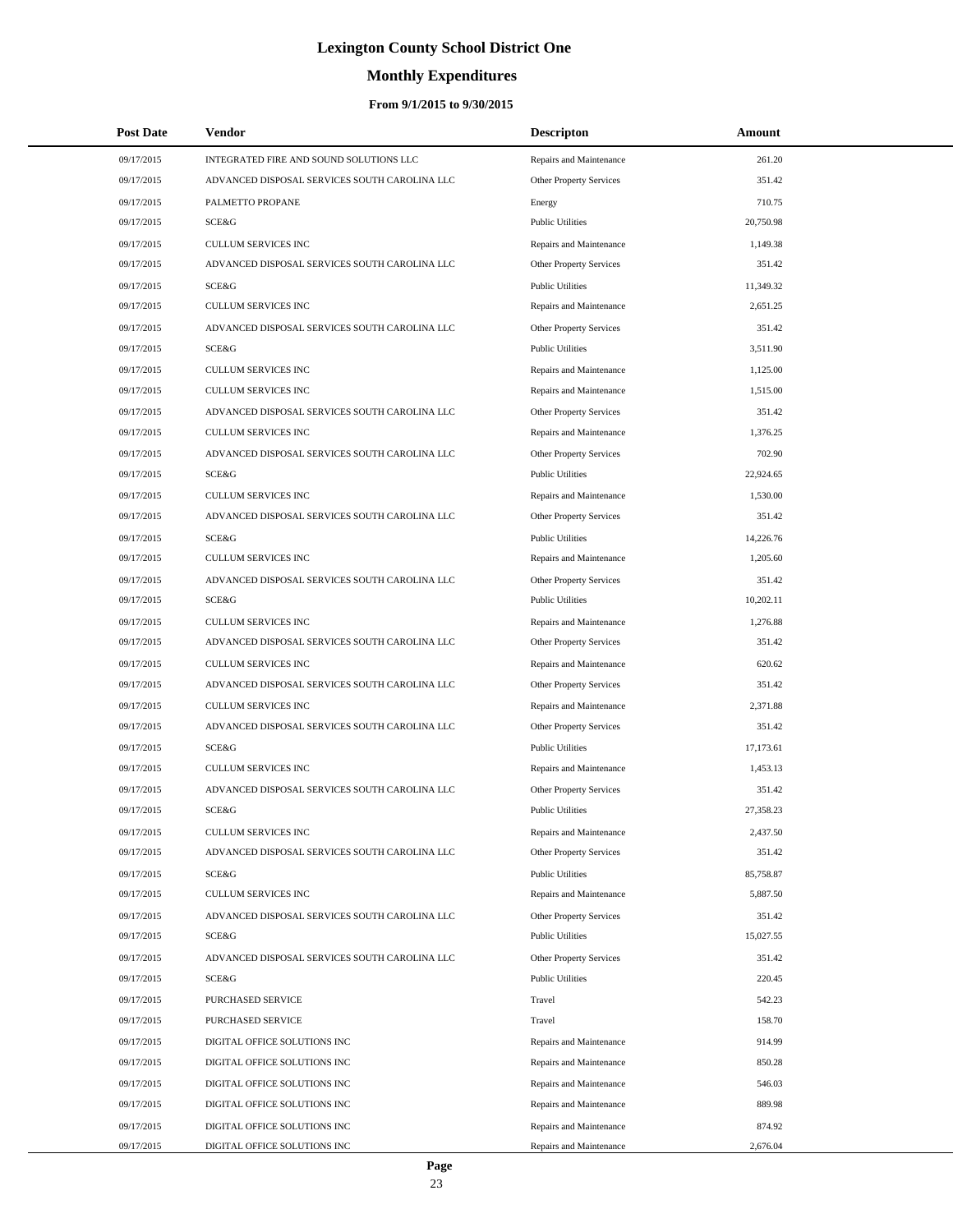# **Monthly Expenditures**

### **From 9/1/2015 to 9/30/2015**

| <b>Post Date</b> | Vendor                                        | <b>Descripton</b>       | Amount    |
|------------------|-----------------------------------------------|-------------------------|-----------|
| 09/17/2015       | INTEGRATED FIRE AND SOUND SOLUTIONS LLC       | Repairs and Maintenance | 261.20    |
| 09/17/2015       | ADVANCED DISPOSAL SERVICES SOUTH CAROLINA LLC | Other Property Services | 351.42    |
| 09/17/2015       | PALMETTO PROPANE                              | Energy                  | 710.75    |
| 09/17/2015       | SCE&G                                         | <b>Public Utilities</b> | 20,750.98 |
| 09/17/2015       | <b>CULLUM SERVICES INC</b>                    | Repairs and Maintenance | 1,149.38  |
| 09/17/2015       | ADVANCED DISPOSAL SERVICES SOUTH CAROLINA LLC | Other Property Services | 351.42    |
| 09/17/2015       | <b>SCE&amp;G</b>                              | <b>Public Utilities</b> | 11,349.32 |
| 09/17/2015       | <b>CULLUM SERVICES INC</b>                    | Repairs and Maintenance | 2,651.25  |
| 09/17/2015       | ADVANCED DISPOSAL SERVICES SOUTH CAROLINA LLC | Other Property Services | 351.42    |
| 09/17/2015       | SCE&G                                         | <b>Public Utilities</b> | 3,511.90  |
| 09/17/2015       | <b>CULLUM SERVICES INC</b>                    | Repairs and Maintenance | 1,125.00  |
| 09/17/2015       | <b>CULLUM SERVICES INC</b>                    | Repairs and Maintenance | 1,515.00  |
| 09/17/2015       | ADVANCED DISPOSAL SERVICES SOUTH CAROLINA LLC | Other Property Services | 351.42    |
| 09/17/2015       | <b>CULLUM SERVICES INC</b>                    | Repairs and Maintenance | 1,376.25  |
| 09/17/2015       | ADVANCED DISPOSAL SERVICES SOUTH CAROLINA LLC | Other Property Services | 702.90    |
| 09/17/2015       | SCE&G                                         | <b>Public Utilities</b> | 22,924.65 |
| 09/17/2015       | <b>CULLUM SERVICES INC</b>                    | Repairs and Maintenance | 1,530.00  |
| 09/17/2015       | ADVANCED DISPOSAL SERVICES SOUTH CAROLINA LLC | Other Property Services | 351.42    |
| 09/17/2015       | <b>SCE&amp;G</b>                              | <b>Public Utilities</b> | 14,226.76 |
| 09/17/2015       | <b>CULLUM SERVICES INC</b>                    | Repairs and Maintenance | 1,205.60  |
| 09/17/2015       | ADVANCED DISPOSAL SERVICES SOUTH CAROLINA LLC | Other Property Services | 351.42    |
| 09/17/2015       | SCE&G                                         | <b>Public Utilities</b> | 10,202.11 |
| 09/17/2015       | <b>CULLUM SERVICES INC</b>                    | Repairs and Maintenance | 1,276.88  |
| 09/17/2015       | ADVANCED DISPOSAL SERVICES SOUTH CAROLINA LLC | Other Property Services | 351.42    |
| 09/17/2015       | <b>CULLUM SERVICES INC</b>                    | Repairs and Maintenance | 620.62    |
| 09/17/2015       | ADVANCED DISPOSAL SERVICES SOUTH CAROLINA LLC | Other Property Services | 351.42    |
| 09/17/2015       | <b>CULLUM SERVICES INC</b>                    | Repairs and Maintenance | 2,371.88  |
| 09/17/2015       | ADVANCED DISPOSAL SERVICES SOUTH CAROLINA LLC | Other Property Services | 351.42    |
| 09/17/2015       | <b>SCE&amp;G</b>                              | <b>Public Utilities</b> | 17,173.61 |
| 09/17/2015       | <b>CULLUM SERVICES INC</b>                    | Repairs and Maintenance | 1,453.13  |
| 09/17/2015       | ADVANCED DISPOSAL SERVICES SOUTH CAROLINA LLC | Other Property Services | 351.42    |
| 09/17/2015       | SCE&G                                         | <b>Public Utilities</b> | 27,358.23 |
| 09/17/2015       | <b>CULLUM SERVICES INC</b>                    | Repairs and Maintenance | 2,437.50  |
| 09/17/2015       | ADVANCED DISPOSAL SERVICES SOUTH CAROLINA LLC | Other Property Services | 351.42    |
| 09/17/2015       | SCE&G                                         | <b>Public Utilities</b> | 85,758.87 |
| 09/17/2015       | CULLUM SERVICES INC                           | Repairs and Maintenance | 5,887.50  |
| 09/17/2015       | ADVANCED DISPOSAL SERVICES SOUTH CAROLINA LLC | Other Property Services | 351.42    |
| 09/17/2015       | SCE&G                                         | <b>Public Utilities</b> | 15,027.55 |
| 09/17/2015       | ADVANCED DISPOSAL SERVICES SOUTH CAROLINA LLC | Other Property Services | 351.42    |
| 09/17/2015       | SCE&G                                         | <b>Public Utilities</b> | 220.45    |
| 09/17/2015       | PURCHASED SERVICE                             | Travel                  | 542.23    |
| 09/17/2015       | PURCHASED SERVICE                             | Travel                  | 158.70    |
| 09/17/2015       | DIGITAL OFFICE SOLUTIONS INC                  | Repairs and Maintenance | 914.99    |
| 09/17/2015       | DIGITAL OFFICE SOLUTIONS INC                  | Repairs and Maintenance | 850.28    |
| 09/17/2015       | DIGITAL OFFICE SOLUTIONS INC                  | Repairs and Maintenance | 546.03    |
| 09/17/2015       | DIGITAL OFFICE SOLUTIONS INC                  | Repairs and Maintenance | 889.98    |
| 09/17/2015       | DIGITAL OFFICE SOLUTIONS INC                  | Repairs and Maintenance | 874.92    |
| 09/17/2015       | DIGITAL OFFICE SOLUTIONS INC                  | Repairs and Maintenance | 2,676.04  |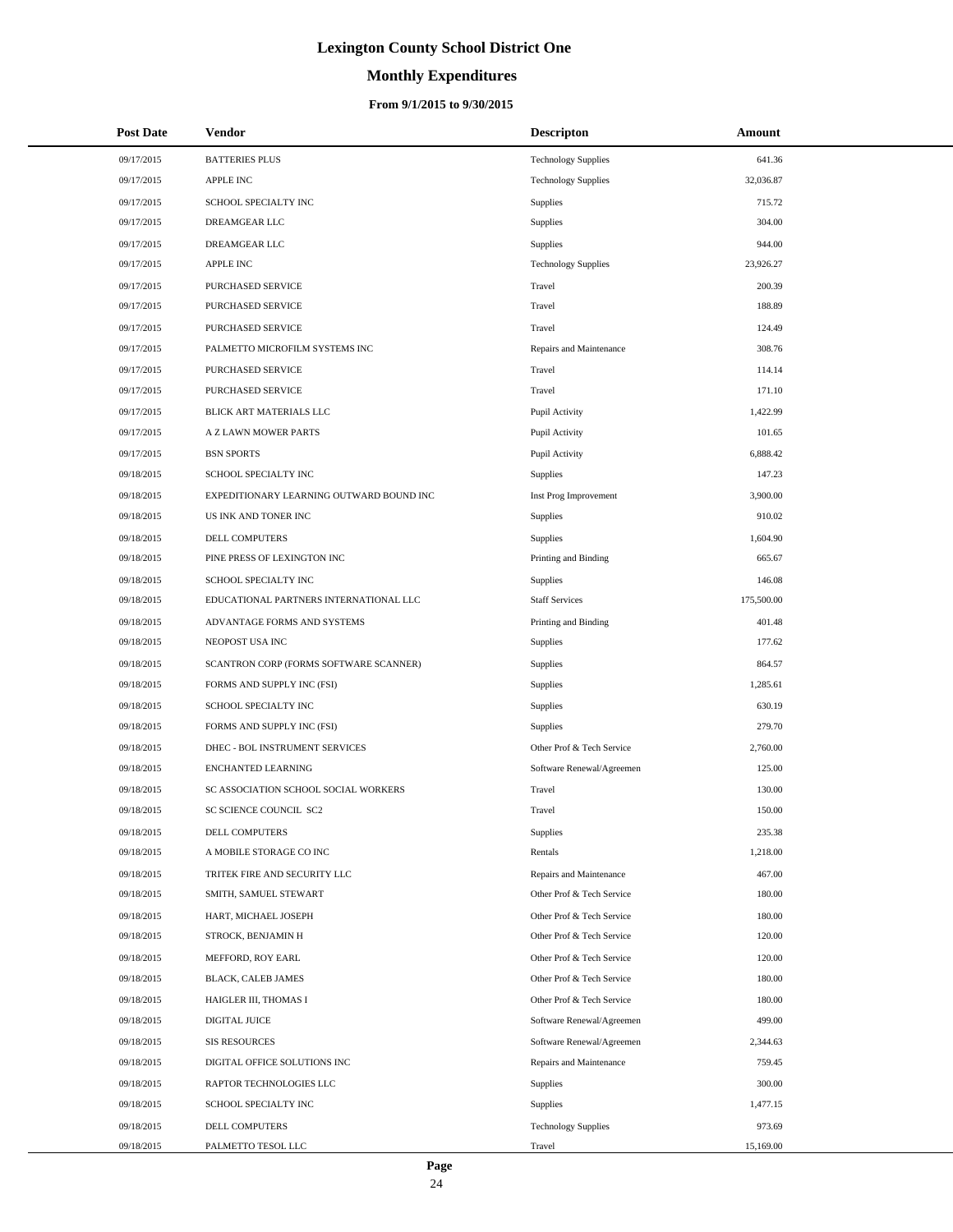# **Monthly Expenditures**

### **From 9/1/2015 to 9/30/2015**

| <b>Post Date</b> | <b>Vendor</b>                            | <b>Descripton</b>          | Amount     |
|------------------|------------------------------------------|----------------------------|------------|
| 09/17/2015       | <b>BATTERIES PLUS</b>                    | <b>Technology Supplies</b> | 641.36     |
| 09/17/2015       | <b>APPLE INC</b>                         | <b>Technology Supplies</b> | 32,036.87  |
| 09/17/2015       | SCHOOL SPECIALTY INC                     | Supplies                   | 715.72     |
| 09/17/2015       | DREAMGEAR LLC                            | Supplies                   | 304.00     |
| 09/17/2015       | DREAMGEAR LLC                            | Supplies                   | 944.00     |
| 09/17/2015       | <b>APPLE INC</b>                         | <b>Technology Supplies</b> | 23,926.27  |
| 09/17/2015       | PURCHASED SERVICE                        | Travel                     | 200.39     |
| 09/17/2015       | PURCHASED SERVICE                        | Travel                     | 188.89     |
| 09/17/2015       | PURCHASED SERVICE                        | Travel                     | 124.49     |
| 09/17/2015       | PALMETTO MICROFILM SYSTEMS INC           | Repairs and Maintenance    | 308.76     |
| 09/17/2015       | PURCHASED SERVICE                        | Travel                     | 114.14     |
| 09/17/2015       | PURCHASED SERVICE                        | Travel                     | 171.10     |
| 09/17/2015       | BLICK ART MATERIALS LLC                  | Pupil Activity             | 1,422.99   |
| 09/17/2015       | A Z LAWN MOWER PARTS                     | Pupil Activity             | 101.65     |
| 09/17/2015       | <b>BSN SPORTS</b>                        | Pupil Activity             | 6,888.42   |
| 09/18/2015       | SCHOOL SPECIALTY INC                     | Supplies                   | 147.23     |
| 09/18/2015       | EXPEDITIONARY LEARNING OUTWARD BOUND INC | Inst Prog Improvement      | 3,900.00   |
| 09/18/2015       | US INK AND TONER INC                     | <b>Supplies</b>            | 910.02     |
| 09/18/2015       | DELL COMPUTERS                           | Supplies                   | 1,604.90   |
| 09/18/2015       | PINE PRESS OF LEXINGTON INC              | Printing and Binding       | 665.67     |
| 09/18/2015       | SCHOOL SPECIALTY INC                     | <b>Supplies</b>            | 146.08     |
| 09/18/2015       | EDUCATIONAL PARTNERS INTERNATIONAL LLC   | <b>Staff Services</b>      | 175,500.00 |
| 09/18/2015       | ADVANTAGE FORMS AND SYSTEMS              | Printing and Binding       | 401.48     |
| 09/18/2015       | NEOPOST USA INC                          | Supplies                   | 177.62     |
| 09/18/2015       | SCANTRON CORP (FORMS SOFTWARE SCANNER)   | Supplies                   | 864.57     |
| 09/18/2015       | FORMS AND SUPPLY INC (FSI)               | Supplies                   | 1,285.61   |
| 09/18/2015       | SCHOOL SPECIALTY INC                     | Supplies                   | 630.19     |
| 09/18/2015       | FORMS AND SUPPLY INC (FSI)               | <b>Supplies</b>            | 279.70     |
| 09/18/2015       | DHEC - BOL INSTRUMENT SERVICES           | Other Prof & Tech Service  | 2,760.00   |
| 09/18/2015       | <b>ENCHANTED LEARNING</b>                | Software Renewal/Agreemen  | 125.00     |
| 09/18/2015       | SC ASSOCIATION SCHOOL SOCIAL WORKERS     | Travel                     | 130.00     |
| 09/18/2015       | <b>SC SCIENCE COUNCIL SC2</b>            | Travel                     | 150.00     |
| 09/18/2015       | DELL COMPUTERS                           | <b>Supplies</b>            | 235.38     |
| 09/18/2015       | A MOBILE STORAGE CO INC                  | Rentals                    | 1,218.00   |
| 09/18/2015       | TRITEK FIRE AND SECURITY LLC             | Repairs and Maintenance    | 467.00     |
| 09/18/2015       | SMITH, SAMUEL STEWART                    | Other Prof & Tech Service  | 180.00     |
| 09/18/2015       | HART, MICHAEL JOSEPH                     | Other Prof & Tech Service  | 180.00     |
| 09/18/2015       | STROCK, BENJAMIN H                       | Other Prof & Tech Service  | 120.00     |
| 09/18/2015       | MEFFORD, ROY EARL                        | Other Prof & Tech Service  | 120.00     |
| 09/18/2015       | BLACK, CALEB JAMES                       | Other Prof & Tech Service  | 180.00     |
| 09/18/2015       | HAIGLER III, THOMAS I                    | Other Prof & Tech Service  | 180.00     |
| 09/18/2015       | DIGITAL JUICE                            | Software Renewal/Agreemen  | 499.00     |
| 09/18/2015       | <b>SIS RESOURCES</b>                     | Software Renewal/Agreemen  | 2,344.63   |
| 09/18/2015       | DIGITAL OFFICE SOLUTIONS INC             | Repairs and Maintenance    | 759.45     |
| 09/18/2015       | RAPTOR TECHNOLOGIES LLC                  | Supplies                   | 300.00     |
| 09/18/2015       | SCHOOL SPECIALTY INC                     | Supplies                   | 1,477.15   |
| 09/18/2015       | DELL COMPUTERS                           | <b>Technology Supplies</b> | 973.69     |
| 09/18/2015       | PALMETTO TESOL LLC                       | Travel                     | 15,169.00  |

 $\overline{a}$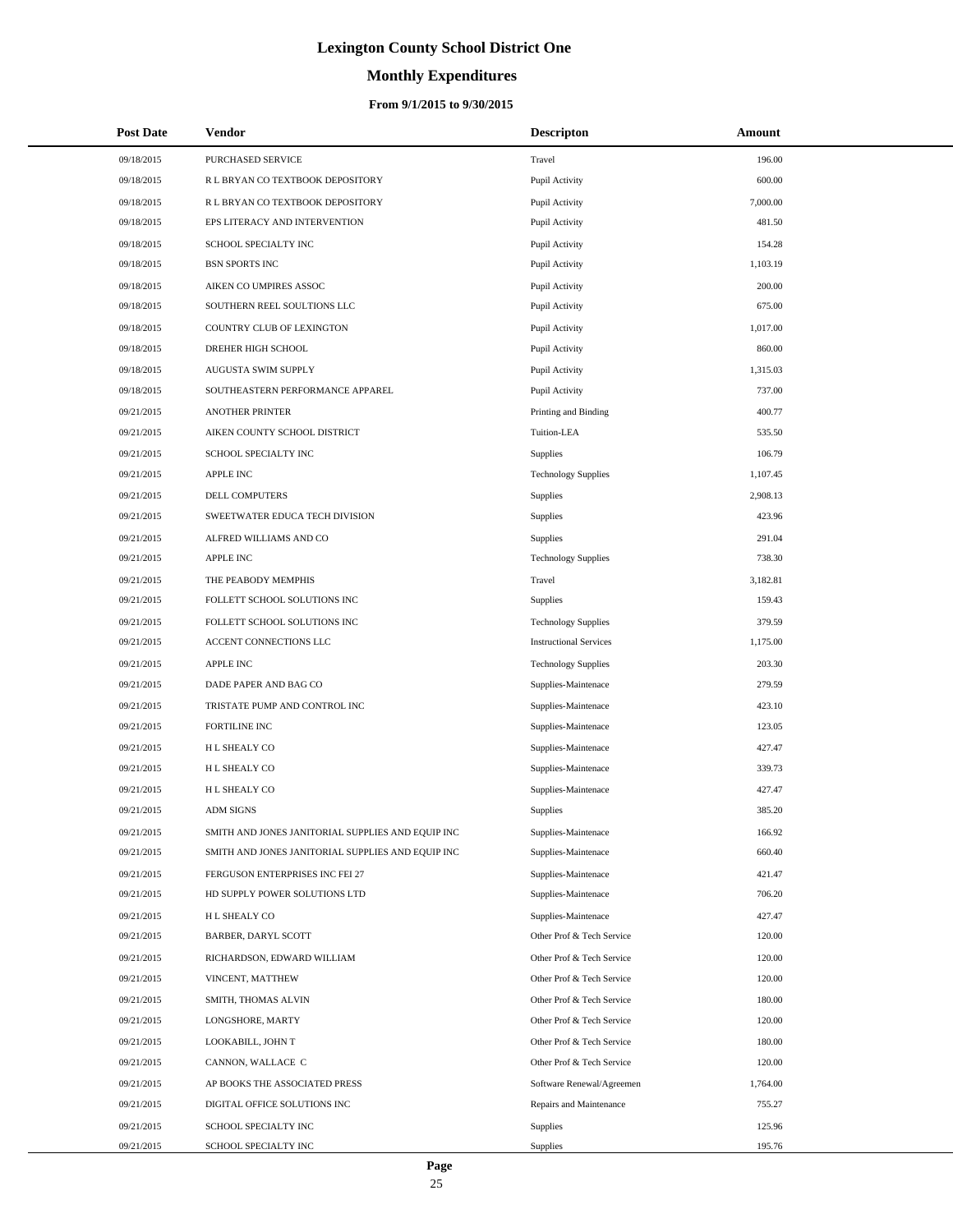# **Monthly Expenditures**

| <b>Post Date</b> | <b>Vendor</b>                                     | <b>Descripton</b>             | Amount   |
|------------------|---------------------------------------------------|-------------------------------|----------|
| 09/18/2015       | PURCHASED SERVICE                                 | Travel                        | 196.00   |
| 09/18/2015       | R L BRYAN CO TEXTBOOK DEPOSITORY                  | Pupil Activity                | 600.00   |
| 09/18/2015       | R L BRYAN CO TEXTBOOK DEPOSITORY                  | Pupil Activity                | 7,000.00 |
| 09/18/2015       | EPS LITERACY AND INTERVENTION                     | Pupil Activity                | 481.50   |
| 09/18/2015       | SCHOOL SPECIALTY INC                              | Pupil Activity                | 154.28   |
| 09/18/2015       | <b>BSN SPORTS INC</b>                             | Pupil Activity                | 1,103.19 |
| 09/18/2015       | AIKEN CO UMPIRES ASSOC                            | Pupil Activity                | 200.00   |
| 09/18/2015       | SOUTHERN REEL SOULTIONS LLC                       | Pupil Activity                | 675.00   |
| 09/18/2015       | COUNTRY CLUB OF LEXINGTON                         | Pupil Activity                | 1,017.00 |
| 09/18/2015       | DREHER HIGH SCHOOL                                | Pupil Activity                | 860.00   |
| 09/18/2015       | AUGUSTA SWIM SUPPLY                               | Pupil Activity                | 1,315.03 |
| 09/18/2015       | SOUTHEASTERN PERFORMANCE APPAREL                  | Pupil Activity                | 737.00   |
| 09/21/2015       | <b>ANOTHER PRINTER</b>                            | Printing and Binding          | 400.77   |
| 09/21/2015       | AIKEN COUNTY SCHOOL DISTRICT                      | Tuition-LEA                   | 535.50   |
| 09/21/2015       | SCHOOL SPECIALTY INC                              | Supplies                      | 106.79   |
| 09/21/2015       | <b>APPLE INC</b>                                  | <b>Technology Supplies</b>    | 1,107.45 |
| 09/21/2015       | DELL COMPUTERS                                    | Supplies                      | 2,908.13 |
| 09/21/2015       | SWEETWATER EDUCA TECH DIVISION                    | Supplies                      | 423.96   |
| 09/21/2015       | ALFRED WILLIAMS AND CO                            | Supplies                      | 291.04   |
| 09/21/2015       | <b>APPLE INC</b>                                  | <b>Technology Supplies</b>    | 738.30   |
| 09/21/2015       | THE PEABODY MEMPHIS                               | Travel                        | 3,182.81 |
| 09/21/2015       | FOLLETT SCHOOL SOLUTIONS INC                      | Supplies                      | 159.43   |
| 09/21/2015       | FOLLETT SCHOOL SOLUTIONS INC                      | <b>Technology Supplies</b>    | 379.59   |
| 09/21/2015       | ACCENT CONNECTIONS LLC                            | <b>Instructional Services</b> | 1,175.00 |
| 09/21/2015       | APPLE INC                                         | <b>Technology Supplies</b>    | 203.30   |
| 09/21/2015       | DADE PAPER AND BAG CO                             | Supplies-Maintenace           | 279.59   |
| 09/21/2015       | TRISTATE PUMP AND CONTROL INC                     | Supplies-Maintenace           | 423.10   |
| 09/21/2015       | FORTILINE INC                                     | Supplies-Maintenace           | 123.05   |
| 09/21/2015       | H L SHEALY CO                                     | Supplies-Maintenace           | 427.47   |
| 09/21/2015       | H L SHEALY CO                                     | Supplies-Maintenace           | 339.73   |
| 09/21/2015       | H L SHEALY CO                                     | Supplies-Maintenace           | 427.47   |
| 09/21/2015       | <b>ADM SIGNS</b>                                  | Supplies                      | 385.20   |
| 09/21/2015       | SMITH AND JONES JANITORIAL SUPPLIES AND EQUIP INC | Supplies-Maintenace           | 166.92   |
| 09/21/2015       | SMITH AND JONES JANITORIAL SUPPLIES AND EQUIP INC | Supplies-Maintenace           | 660.40   |
| 09/21/2015       | FERGUSON ENTERPRISES INC FEI 27                   | Supplies-Maintenace           | 421.47   |
| 09/21/2015       | HD SUPPLY POWER SOLUTIONS LTD                     | Supplies-Maintenace           | 706.20   |
| 09/21/2015       | H L SHEALY CO                                     | Supplies-Maintenace           | 427.47   |
| 09/21/2015       | BARBER, DARYL SCOTT                               | Other Prof & Tech Service     | 120.00   |
| 09/21/2015       | RICHARDSON, EDWARD WILLIAM                        | Other Prof & Tech Service     | 120.00   |
| 09/21/2015       | VINCENT, MATTHEW                                  | Other Prof & Tech Service     | 120.00   |
| 09/21/2015       | SMITH, THOMAS ALVIN                               | Other Prof & Tech Service     | 180.00   |
| 09/21/2015       | LONGSHORE, MARTY                                  | Other Prof & Tech Service     | 120.00   |
| 09/21/2015       | LOOKABILL, JOHN T                                 | Other Prof & Tech Service     | 180.00   |
| 09/21/2015       | CANNON, WALLACE C                                 | Other Prof & Tech Service     | 120.00   |
| 09/21/2015       | AP BOOKS THE ASSOCIATED PRESS                     | Software Renewal/Agreemen     | 1,764.00 |
| 09/21/2015       | DIGITAL OFFICE SOLUTIONS INC                      | Repairs and Maintenance       | 755.27   |
| 09/21/2015       | SCHOOL SPECIALTY INC                              | Supplies                      | 125.96   |
| 09/21/2015       | SCHOOL SPECIALTY INC                              | Supplies                      | 195.76   |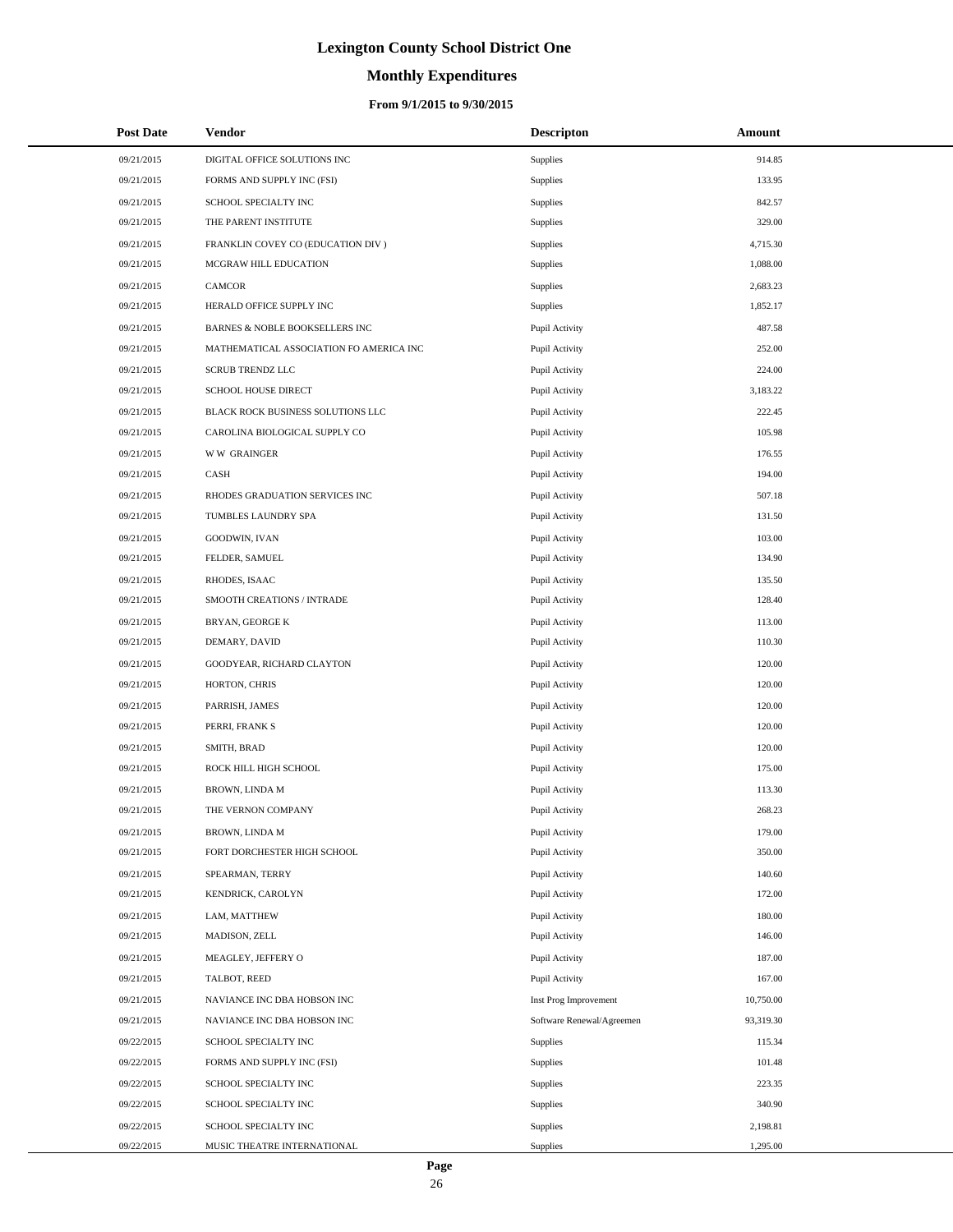# **Monthly Expenditures**

| <b>Post Date</b> | <b>Vendor</b>                           | <b>Descripton</b>         | Amount    |  |
|------------------|-----------------------------------------|---------------------------|-----------|--|
| 09/21/2015       | DIGITAL OFFICE SOLUTIONS INC            | Supplies                  | 914.85    |  |
| 09/21/2015       | FORMS AND SUPPLY INC (FSI)              | Supplies                  | 133.95    |  |
| 09/21/2015       | SCHOOL SPECIALTY INC                    | Supplies                  | 842.57    |  |
| 09/21/2015       | THE PARENT INSTITUTE                    | Supplies                  | 329.00    |  |
| 09/21/2015       | FRANKLIN COVEY CO (EDUCATION DIV)       | Supplies                  | 4,715.30  |  |
| 09/21/2015       | MCGRAW HILL EDUCATION                   | Supplies                  | 1,088.00  |  |
| 09/21/2015       | CAMCOR                                  | Supplies                  | 2,683.23  |  |
| 09/21/2015       | HERALD OFFICE SUPPLY INC                | Supplies                  | 1,852.17  |  |
| 09/21/2015       | BARNES & NOBLE BOOKSELLERS INC          | Pupil Activity            | 487.58    |  |
| 09/21/2015       | MATHEMATICAL ASSOCIATION FO AMERICA INC | Pupil Activity            | 252.00    |  |
| 09/21/2015       | <b>SCRUB TRENDZ LLC</b>                 | Pupil Activity            | 224.00    |  |
| 09/21/2015       | SCHOOL HOUSE DIRECT                     | Pupil Activity            | 3,183.22  |  |
| 09/21/2015       | BLACK ROCK BUSINESS SOLUTIONS LLC       | Pupil Activity            | 222.45    |  |
| 09/21/2015       | CAROLINA BIOLOGICAL SUPPLY CO           | Pupil Activity            | 105.98    |  |
| 09/21/2015       | <b>WW GRAINGER</b>                      | Pupil Activity            | 176.55    |  |
| 09/21/2015       | CASH                                    | Pupil Activity            | 194.00    |  |
| 09/21/2015       | RHODES GRADUATION SERVICES INC          | Pupil Activity            | 507.18    |  |
| 09/21/2015       | TUMBLES LAUNDRY SPA                     | Pupil Activity            | 131.50    |  |
| 09/21/2015       | GOODWIN, IVAN                           | Pupil Activity            | 103.00    |  |
| 09/21/2015       | FELDER, SAMUEL                          | Pupil Activity            | 134.90    |  |
| 09/21/2015       | RHODES, ISAAC                           | Pupil Activity            | 135.50    |  |
| 09/21/2015       | SMOOTH CREATIONS / INTRADE              | Pupil Activity            | 128.40    |  |
| 09/21/2015       | BRYAN, GEORGE K                         | Pupil Activity            | 113.00    |  |
| 09/21/2015       | DEMARY, DAVID                           | Pupil Activity            | 110.30    |  |
| 09/21/2015       | GOODYEAR, RICHARD CLAYTON               | Pupil Activity            | 120.00    |  |
| 09/21/2015       | HORTON, CHRIS                           | Pupil Activity            | 120.00    |  |
| 09/21/2015       | PARRISH, JAMES                          | Pupil Activity            | 120.00    |  |
| 09/21/2015       | PERRI, FRANK S                          | Pupil Activity            | 120.00    |  |
| 09/21/2015       | SMITH, BRAD                             | Pupil Activity            | 120.00    |  |
| 09/21/2015       | ROCK HILL HIGH SCHOOL                   | Pupil Activity            | 175.00    |  |
| 09/21/2015       | BROWN, LINDA M                          | Pupil Activity            | 113.30    |  |
| 09/21/2015       | THE VERNON COMPANY                      | Pupil Activity            | 268.23    |  |
| 09/21/2015       | BROWN, LINDA M                          | Pupil Activity            | 179.00    |  |
| 09/21/2015       | FORT DORCHESTER HIGH SCHOOL             | Pupil Activity            | 350.00    |  |
| 09/21/2015       | SPEARMAN, TERRY                         | Pupil Activity            | 140.60    |  |
| 09/21/2015       | KENDRICK, CAROLYN                       | Pupil Activity            | 172.00    |  |
| 09/21/2015       | LAM, MATTHEW                            | Pupil Activity            | 180.00    |  |
| 09/21/2015       | MADISON, ZELL                           | Pupil Activity            | 146.00    |  |
| 09/21/2015       | MEAGLEY, JEFFERY O                      | Pupil Activity            | 187.00    |  |
| 09/21/2015       | TALBOT, REED                            | Pupil Activity            | 167.00    |  |
| 09/21/2015       | NAVIANCE INC DBA HOBSON INC             | Inst Prog Improvement     | 10,750.00 |  |
| 09/21/2015       | NAVIANCE INC DBA HOBSON INC             | Software Renewal/Agreemen | 93,319.30 |  |
| 09/22/2015       | SCHOOL SPECIALTY INC                    | Supplies                  | 115.34    |  |
| 09/22/2015       | FORMS AND SUPPLY INC (FSI)              | Supplies                  | 101.48    |  |
| 09/22/2015       | SCHOOL SPECIALTY INC                    | Supplies                  | 223.35    |  |
| 09/22/2015       | SCHOOL SPECIALTY INC                    | Supplies                  | 340.90    |  |
| 09/22/2015       | SCHOOL SPECIALTY INC                    | Supplies                  | 2,198.81  |  |
| 09/22/2015       | MUSIC THEATRE INTERNATIONAL             | Supplies                  | 1,295.00  |  |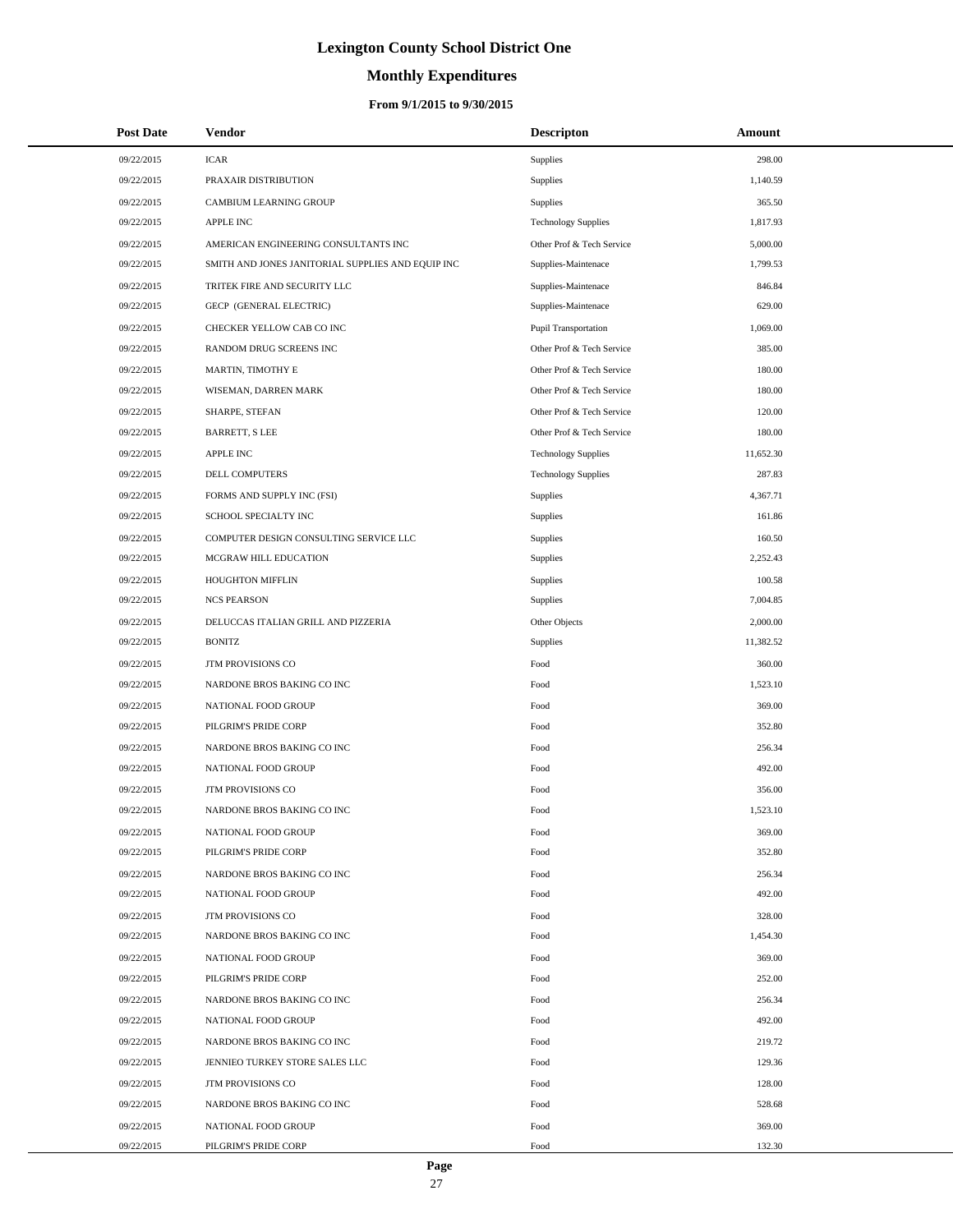# **Monthly Expenditures**

### **From 9/1/2015 to 9/30/2015**

| <b>Post Date</b> | Vendor                                            | <b>Descripton</b>           | Amount    |
|------------------|---------------------------------------------------|-----------------------------|-----------|
| 09/22/2015       | <b>ICAR</b>                                       | <b>Supplies</b>             | 298.00    |
| 09/22/2015       | PRAXAIR DISTRIBUTION                              | Supplies                    | 1,140.59  |
| 09/22/2015       | CAMBIUM LEARNING GROUP                            | Supplies                    | 365.50    |
| 09/22/2015       | <b>APPLE INC</b>                                  | <b>Technology Supplies</b>  | 1,817.93  |
| 09/22/2015       | AMERICAN ENGINEERING CONSULTANTS INC              | Other Prof & Tech Service   | 5,000.00  |
| 09/22/2015       | SMITH AND JONES JANITORIAL SUPPLIES AND EQUIP INC | Supplies-Maintenace         | 1,799.53  |
| 09/22/2015       | TRITEK FIRE AND SECURITY LLC                      | Supplies-Maintenace         | 846.84    |
| 09/22/2015       | <b>GECP (GENERAL ELECTRIC)</b>                    | Supplies-Maintenace         | 629.00    |
| 09/22/2015       | CHECKER YELLOW CAB CO INC                         | <b>Pupil Transportation</b> | 1,069.00  |
| 09/22/2015       | RANDOM DRUG SCREENS INC                           | Other Prof & Tech Service   | 385.00    |
| 09/22/2015       | MARTIN, TIMOTHY E                                 | Other Prof & Tech Service   | 180.00    |
| 09/22/2015       | WISEMAN, DARREN MARK                              | Other Prof & Tech Service   | 180.00    |
| 09/22/2015       | SHARPE, STEFAN                                    | Other Prof & Tech Service   | 120.00    |
| 09/22/2015       | <b>BARRETT, S LEE</b>                             | Other Prof & Tech Service   | 180.00    |
| 09/22/2015       | <b>APPLE INC</b>                                  | <b>Technology Supplies</b>  | 11,652.30 |
| 09/22/2015       | DELL COMPUTERS                                    | <b>Technology Supplies</b>  | 287.83    |
| 09/22/2015       | FORMS AND SUPPLY INC (FSI)                        | Supplies                    | 4,367.71  |
| 09/22/2015       | SCHOOL SPECIALTY INC                              | Supplies                    | 161.86    |
| 09/22/2015       | COMPUTER DESIGN CONSULTING SERVICE LLC            | Supplies                    | 160.50    |
| 09/22/2015       | MCGRAW HILL EDUCATION                             | Supplies                    | 2,252.43  |
| 09/22/2015       | HOUGHTON MIFFLIN                                  | Supplies                    | 100.58    |
| 09/22/2015       | <b>NCS PEARSON</b>                                | Supplies                    | 7,004.85  |
| 09/22/2015       | DELUCCAS ITALIAN GRILL AND PIZZERIA               | Other Objects               | 2,000.00  |
| 09/22/2015       | <b>BONITZ</b>                                     | Supplies                    | 11,382.52 |
| 09/22/2015       | JTM PROVISIONS CO                                 | Food                        | 360.00    |
| 09/22/2015       | NARDONE BROS BAKING CO INC                        | Food                        | 1,523.10  |
| 09/22/2015       | NATIONAL FOOD GROUP                               | Food                        | 369.00    |
| 09/22/2015       | PILGRIM'S PRIDE CORP                              | Food                        | 352.80    |
| 09/22/2015       | NARDONE BROS BAKING CO INC                        | Food                        | 256.34    |
| 09/22/2015       | NATIONAL FOOD GROUP                               | Food                        | 492.00    |
| 09/22/2015       | <b>JTM PROVISIONS CO</b>                          | Food                        | 356.00    |
| 09/22/2015       | NARDONE BROS BAKING CO INC                        | Food                        | 1,523.10  |
| 09/22/2015       | NATIONAL FOOD GROUP                               | Food                        | 369.00    |
| 09/22/2015       | PILGRIM'S PRIDE CORP                              | Food                        | 352.80    |
| 09/22/2015       | NARDONE BROS BAKING CO INC                        | Food                        | 256.34    |
| 09/22/2015       | NATIONAL FOOD GROUP                               | Food                        | 492.00    |
| 09/22/2015       | JTM PROVISIONS CO                                 | Food                        | 328.00    |
| 09/22/2015       | NARDONE BROS BAKING CO INC                        | Food                        | 1,454.30  |
| 09/22/2015       | NATIONAL FOOD GROUP                               | Food                        | 369.00    |
| 09/22/2015       | PILGRIM'S PRIDE CORP                              | Food                        | 252.00    |
| 09/22/2015       | NARDONE BROS BAKING CO INC                        | Food                        | 256.34    |
| 09/22/2015       | NATIONAL FOOD GROUP                               | Food                        | 492.00    |
| 09/22/2015       | NARDONE BROS BAKING CO INC                        | Food                        | 219.72    |
| 09/22/2015       | JENNIEO TURKEY STORE SALES LLC                    | Food                        | 129.36    |
| 09/22/2015       | JTM PROVISIONS CO                                 | Food                        | 128.00    |
| 09/22/2015       | NARDONE BROS BAKING CO INC                        | Food                        | 528.68    |
| 09/22/2015       | NATIONAL FOOD GROUP                               | Food                        | 369.00    |
| 09/22/2015       | PILGRIM'S PRIDE CORP                              | Food                        | 132.30    |

 $\overline{a}$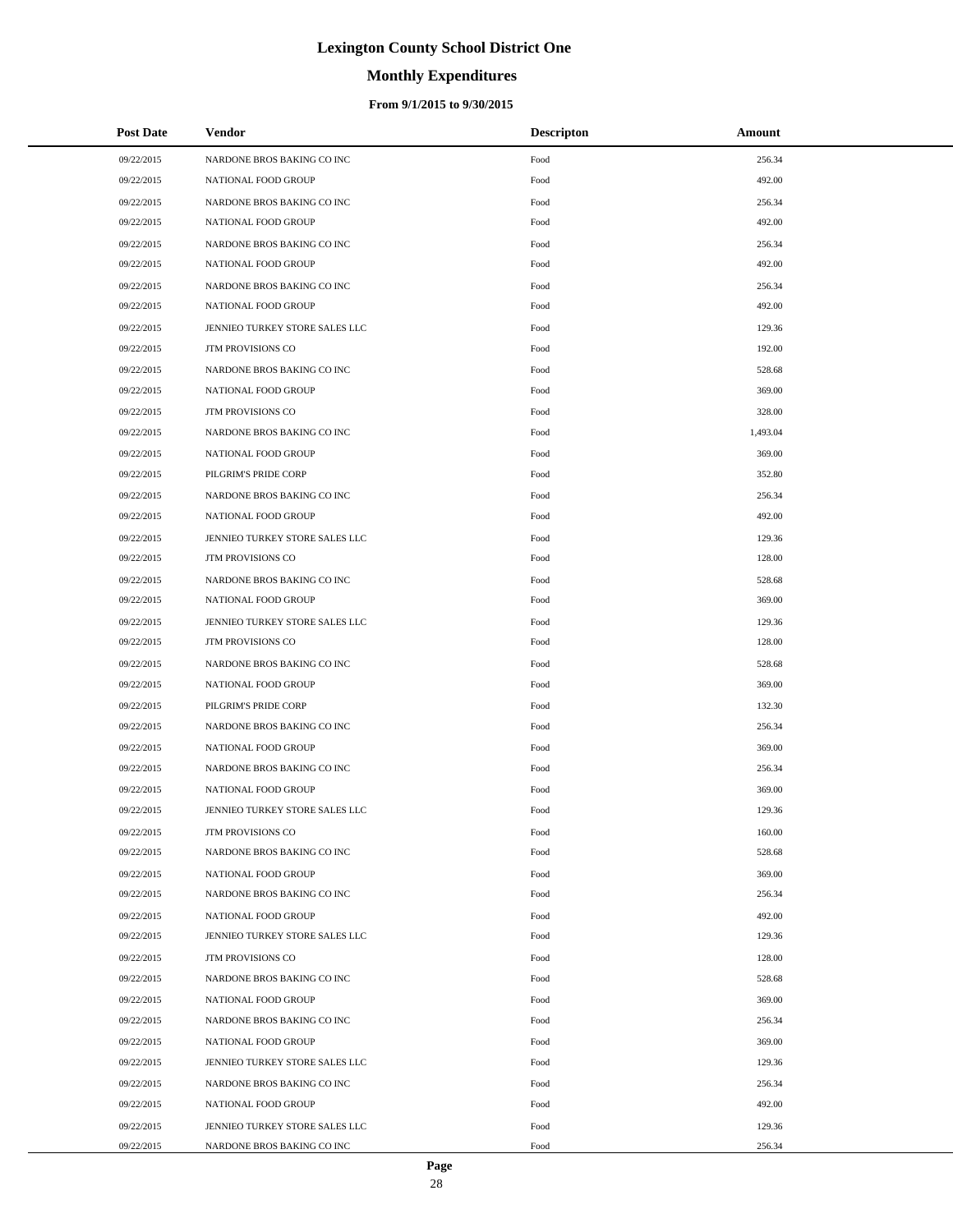# **Monthly Expenditures**

| <b>Post Date</b> | Vendor                         | <b>Descripton</b> | Amount   |
|------------------|--------------------------------|-------------------|----------|
| 09/22/2015       | NARDONE BROS BAKING CO INC     | Food              | 256.34   |
| 09/22/2015       | NATIONAL FOOD GROUP            | Food              | 492.00   |
| 09/22/2015       | NARDONE BROS BAKING CO INC     | Food              | 256.34   |
| 09/22/2015       | NATIONAL FOOD GROUP            | Food              | 492.00   |
| 09/22/2015       | NARDONE BROS BAKING CO INC     | Food              | 256.34   |
| 09/22/2015       | NATIONAL FOOD GROUP            | Food              | 492.00   |
| 09/22/2015       | NARDONE BROS BAKING CO INC     | Food              | 256.34   |
| 09/22/2015       | NATIONAL FOOD GROUP            | Food              | 492.00   |
| 09/22/2015       | JENNIEO TURKEY STORE SALES LLC | Food              | 129.36   |
| 09/22/2015       | JTM PROVISIONS CO              | Food              | 192.00   |
| 09/22/2015       | NARDONE BROS BAKING CO INC     | Food              | 528.68   |
| 09/22/2015       | NATIONAL FOOD GROUP            | Food              | 369.00   |
| 09/22/2015       | <b>JTM PROVISIONS CO</b>       | Food              | 328.00   |
| 09/22/2015       | NARDONE BROS BAKING CO INC     | Food              | 1,493.04 |
| 09/22/2015       | NATIONAL FOOD GROUP            | Food              | 369.00   |
| 09/22/2015       | PILGRIM'S PRIDE CORP           | Food              | 352.80   |
| 09/22/2015       | NARDONE BROS BAKING CO INC     | Food              | 256.34   |
| 09/22/2015       | NATIONAL FOOD GROUP            | Food              | 492.00   |
| 09/22/2015       | JENNIEO TURKEY STORE SALES LLC | Food              | 129.36   |
| 09/22/2015       | <b>JTM PROVISIONS CO</b>       | Food              | 128.00   |
| 09/22/2015       | NARDONE BROS BAKING CO INC     | Food              | 528.68   |
| 09/22/2015       | NATIONAL FOOD GROUP            | Food              | 369.00   |
| 09/22/2015       | JENNIEO TURKEY STORE SALES LLC | Food              | 129.36   |
| 09/22/2015       | JTM PROVISIONS CO              | Food              | 128.00   |
| 09/22/2015       | NARDONE BROS BAKING CO INC     | Food              | 528.68   |
| 09/22/2015       | NATIONAL FOOD GROUP            | Food              | 369.00   |
| 09/22/2015       | PILGRIM'S PRIDE CORP           | Food              | 132.30   |
| 09/22/2015       | NARDONE BROS BAKING CO INC     | Food              | 256.34   |
| 09/22/2015       | NATIONAL FOOD GROUP            | Food              | 369.00   |
| 09/22/2015       | NARDONE BROS BAKING CO INC     | Food              | 256.34   |
| 09/22/2015       | NATIONAL FOOD GROUP            | Food              | 369.00   |
| 09/22/2015       | JENNIEO TURKEY STORE SALES LLC | Food              | 129.36   |
| 09/22/2015       | <b>JTM PROVISIONS CO</b>       | Food              | 160.00   |
| 09/22/2015       | NARDONE BROS BAKING CO INC     | Food              | 528.68   |
| 09/22/2015       | NATIONAL FOOD GROUP            | Food              | 369.00   |
| 09/22/2015       | NARDONE BROS BAKING CO INC     | Food              | 256.34   |
| 09/22/2015       | NATIONAL FOOD GROUP            | Food              | 492.00   |
| 09/22/2015       | JENNIEO TURKEY STORE SALES LLC | Food              | 129.36   |
| 09/22/2015       | JTM PROVISIONS CO              | Food              | 128.00   |
| 09/22/2015       | NARDONE BROS BAKING CO INC     | Food              | 528.68   |
| 09/22/2015       | NATIONAL FOOD GROUP            | Food              | 369.00   |
| 09/22/2015       | NARDONE BROS BAKING CO INC     | Food              | 256.34   |
| 09/22/2015       | NATIONAL FOOD GROUP            | Food              | 369.00   |
| 09/22/2015       | JENNIEO TURKEY STORE SALES LLC | Food              | 129.36   |
| 09/22/2015       | NARDONE BROS BAKING CO INC     | Food              | 256.34   |
| 09/22/2015       | NATIONAL FOOD GROUP            | Food              | 492.00   |
| 09/22/2015       | JENNIEO TURKEY STORE SALES LLC | Food              | 129.36   |
| 09/22/2015       | NARDONE BROS BAKING CO INC     | Food              | 256.34   |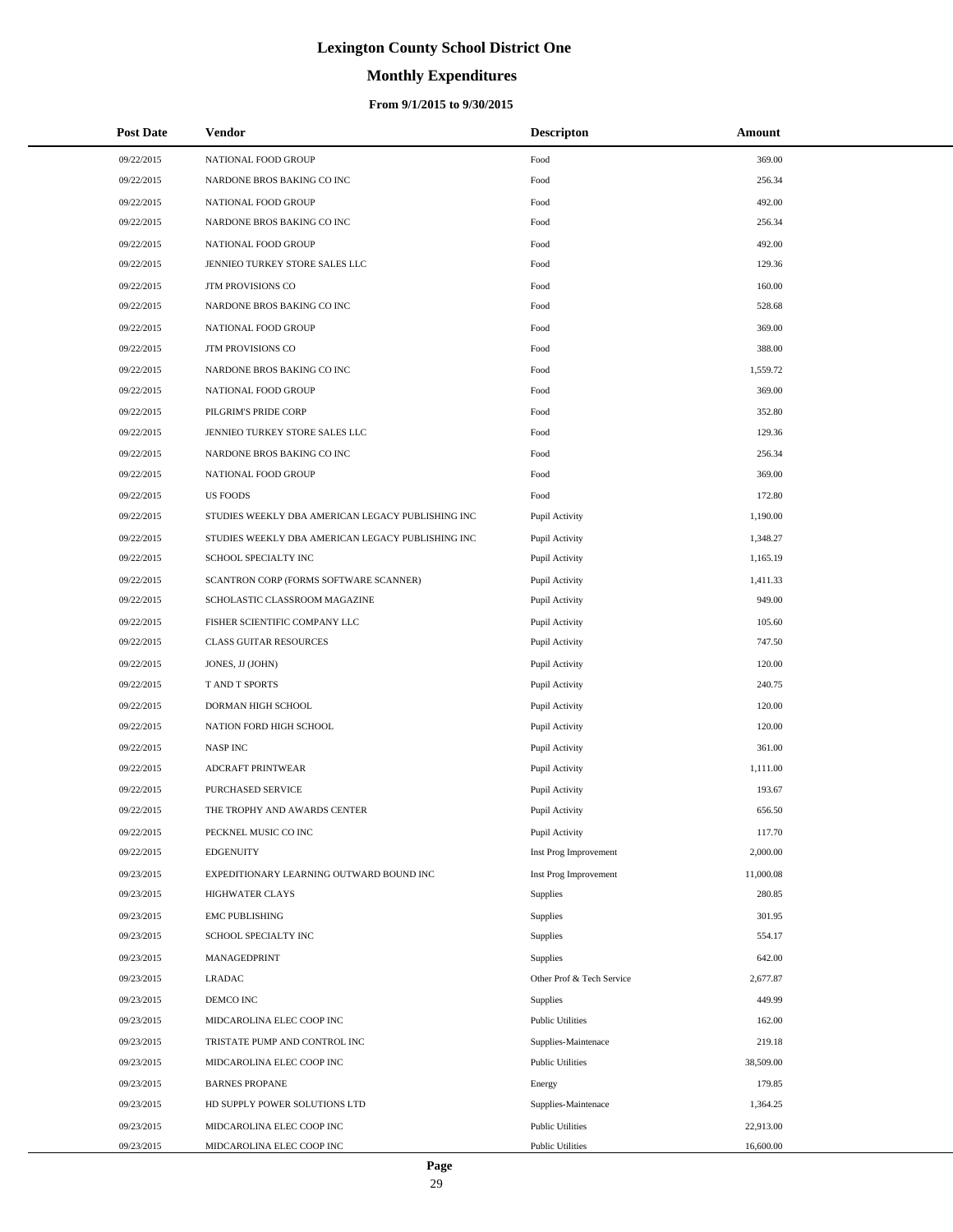# **Monthly Expenditures**

| <b>Post Date</b> | Vendor                                            | <b>Descripton</b>         | Amount    |
|------------------|---------------------------------------------------|---------------------------|-----------|
| 09/22/2015       | NATIONAL FOOD GROUP                               | Food                      | 369.00    |
| 09/22/2015       | NARDONE BROS BAKING CO INC                        | Food                      | 256.34    |
| 09/22/2015       | NATIONAL FOOD GROUP                               | Food                      | 492.00    |
| 09/22/2015       | NARDONE BROS BAKING CO INC                        | Food                      | 256.34    |
| 09/22/2015       | NATIONAL FOOD GROUP                               | Food                      | 492.00    |
| 09/22/2015       | JENNIEO TURKEY STORE SALES LLC                    | Food                      | 129.36    |
| 09/22/2015       | JTM PROVISIONS CO                                 | Food                      | 160.00    |
| 09/22/2015       | NARDONE BROS BAKING CO INC                        | Food                      | 528.68    |
| 09/22/2015       | NATIONAL FOOD GROUP                               | Food                      | 369.00    |
| 09/22/2015       | JTM PROVISIONS CO                                 | Food                      | 388.00    |
| 09/22/2015       | NARDONE BROS BAKING CO INC                        | Food                      | 1,559.72  |
| 09/22/2015       | NATIONAL FOOD GROUP                               | Food                      | 369.00    |
| 09/22/2015       | PILGRIM'S PRIDE CORP                              | Food                      | 352.80    |
| 09/22/2015       | JENNIEO TURKEY STORE SALES LLC                    | Food                      | 129.36    |
| 09/22/2015       | NARDONE BROS BAKING CO INC                        | Food                      | 256.34    |
| 09/22/2015       | NATIONAL FOOD GROUP                               | Food                      | 369.00    |
| 09/22/2015       | <b>US FOODS</b>                                   | Food                      | 172.80    |
| 09/22/2015       | STUDIES WEEKLY DBA AMERICAN LEGACY PUBLISHING INC | Pupil Activity            | 1,190.00  |
| 09/22/2015       | STUDIES WEEKLY DBA AMERICAN LEGACY PUBLISHING INC | Pupil Activity            | 1,348.27  |
| 09/22/2015       | SCHOOL SPECIALTY INC                              | Pupil Activity            | 1,165.19  |
| 09/22/2015       | SCANTRON CORP (FORMS SOFTWARE SCANNER)            | Pupil Activity            | 1,411.33  |
| 09/22/2015       | SCHOLASTIC CLASSROOM MAGAZINE                     | Pupil Activity            | 949.00    |
| 09/22/2015       | FISHER SCIENTIFIC COMPANY LLC                     | Pupil Activity            | 105.60    |
| 09/22/2015       | <b>CLASS GUITAR RESOURCES</b>                     | Pupil Activity            | 747.50    |
| 09/22/2015       | JONES, JJ (JOHN)                                  | Pupil Activity            | 120.00    |
| 09/22/2015       | T AND T SPORTS                                    | Pupil Activity            | 240.75    |
| 09/22/2015       | DORMAN HIGH SCHOOL                                | Pupil Activity            | 120.00    |
| 09/22/2015       | NATION FORD HIGH SCHOOL                           | Pupil Activity            | 120.00    |
| 09/22/2015       | <b>NASP INC</b>                                   | Pupil Activity            | 361.00    |
| 09/22/2015       | ADCRAFT PRINTWEAR                                 | Pupil Activity            | 1,111.00  |
| 09/22/2015       | PURCHASED SERVICE                                 | Pupil Activity            | 193.67    |
| 09/22/2015       | THE TROPHY AND AWARDS CENTER                      | Pupil Activity            | 656.50    |
| 09/22/2015       | PECKNEL MUSIC CO INC                              | Pupil Activity            | 117.70    |
| 09/22/2015       | <b>EDGENUITY</b>                                  | Inst Prog Improvement     | 2,000.00  |
| 09/23/2015       | EXPEDITIONARY LEARNING OUTWARD BOUND INC          | Inst Prog Improvement     | 11,000.08 |
| 09/23/2015       | <b>HIGHWATER CLAYS</b>                            | Supplies                  | 280.85    |
| 09/23/2015       | <b>EMC PUBLISHING</b>                             | Supplies                  | 301.95    |
| 09/23/2015       | SCHOOL SPECIALTY INC                              | Supplies                  | 554.17    |
| 09/23/2015       | MANAGEDPRINT                                      | Supplies                  | 642.00    |
| 09/23/2015       | <b>LRADAC</b>                                     | Other Prof & Tech Service | 2,677.87  |
| 09/23/2015       | DEMCO INC                                         | Supplies                  | 449.99    |
| 09/23/2015       | MIDCAROLINA ELEC COOP INC                         | <b>Public Utilities</b>   | 162.00    |
| 09/23/2015       | TRISTATE PUMP AND CONTROL INC                     | Supplies-Maintenace       | 219.18    |
| 09/23/2015       | MIDCAROLINA ELEC COOP INC                         | <b>Public Utilities</b>   | 38,509.00 |
| 09/23/2015       | <b>BARNES PROPANE</b>                             | Energy                    | 179.85    |
| 09/23/2015       | HD SUPPLY POWER SOLUTIONS LTD                     | Supplies-Maintenace       | 1,364.25  |
| 09/23/2015       | MIDCAROLINA ELEC COOP INC                         | <b>Public Utilities</b>   | 22,913.00 |
| 09/23/2015       | MIDCAROLINA ELEC COOP INC                         | <b>Public Utilities</b>   | 16,600.00 |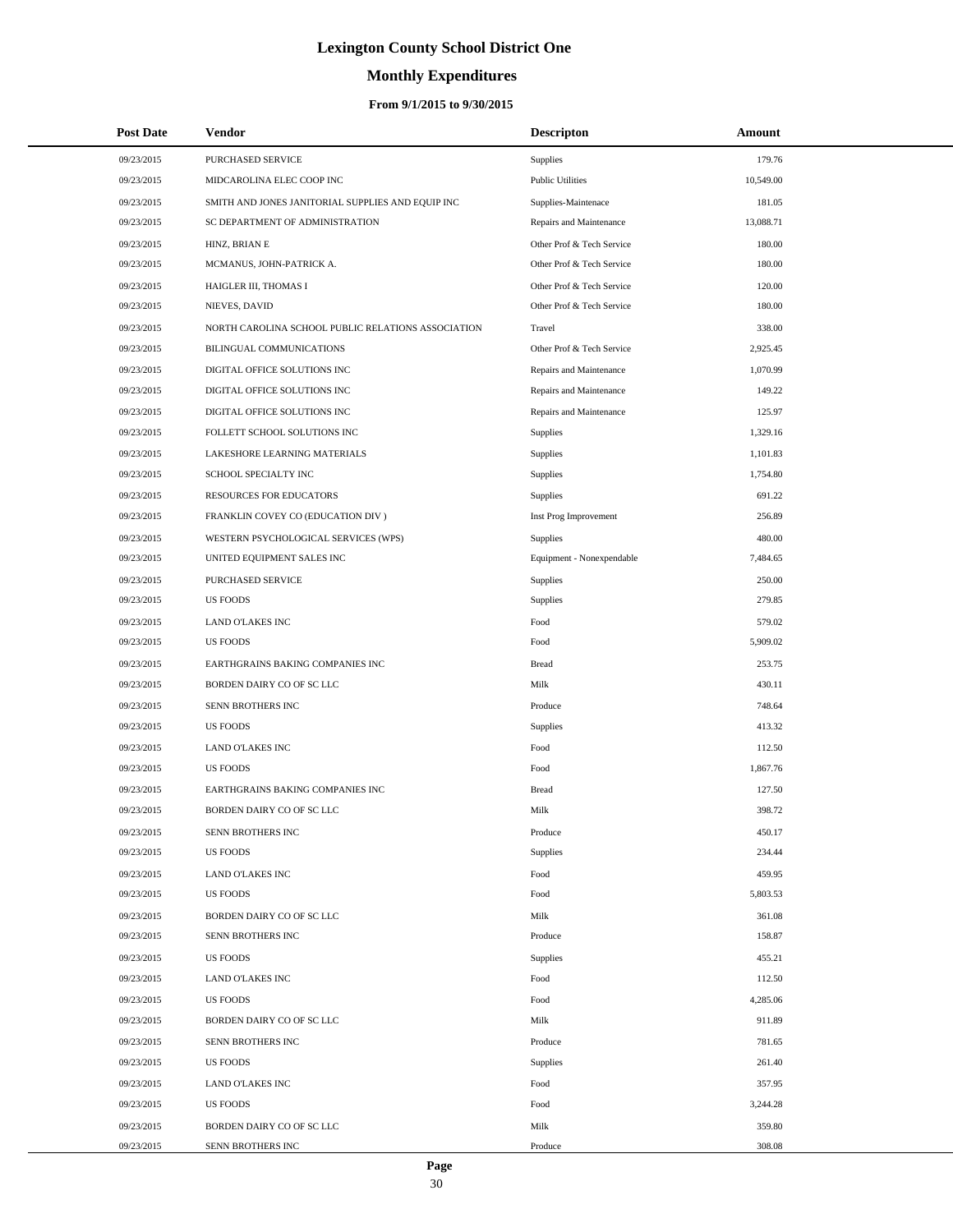# **Monthly Expenditures**

### **From 9/1/2015 to 9/30/2015**

| <b>Post Date</b> | <b>Vendor</b>                                      | <b>Descripton</b>         | Amount    |  |
|------------------|----------------------------------------------------|---------------------------|-----------|--|
| 09/23/2015       | PURCHASED SERVICE                                  | Supplies                  | 179.76    |  |
| 09/23/2015       | MIDCAROLINA ELEC COOP INC                          | <b>Public Utilities</b>   | 10,549.00 |  |
| 09/23/2015       | SMITH AND JONES JANITORIAL SUPPLIES AND EQUIP INC  | Supplies-Maintenace       | 181.05    |  |
| 09/23/2015       | SC DEPARTMENT OF ADMINISTRATION                    | Repairs and Maintenance   | 13,088.71 |  |
| 09/23/2015       | HINZ, BRIAN E                                      | Other Prof & Tech Service | 180.00    |  |
| 09/23/2015       | MCMANUS, JOHN-PATRICK A.                           | Other Prof & Tech Service | 180.00    |  |
| 09/23/2015       | HAIGLER III, THOMAS I                              | Other Prof & Tech Service | 120.00    |  |
| 09/23/2015       | NIEVES, DAVID                                      | Other Prof & Tech Service | 180.00    |  |
| 09/23/2015       | NORTH CAROLINA SCHOOL PUBLIC RELATIONS ASSOCIATION | Travel                    | 338.00    |  |
| 09/23/2015       | BILINGUAL COMMUNICATIONS                           | Other Prof & Tech Service | 2,925.45  |  |
| 09/23/2015       | DIGITAL OFFICE SOLUTIONS INC                       | Repairs and Maintenance   | 1,070.99  |  |
| 09/23/2015       | DIGITAL OFFICE SOLUTIONS INC                       | Repairs and Maintenance   | 149.22    |  |
| 09/23/2015       | DIGITAL OFFICE SOLUTIONS INC                       | Repairs and Maintenance   | 125.97    |  |
| 09/23/2015       | FOLLETT SCHOOL SOLUTIONS INC                       | Supplies                  | 1,329.16  |  |
| 09/23/2015       | LAKESHORE LEARNING MATERIALS                       | Supplies                  | 1,101.83  |  |
| 09/23/2015       | SCHOOL SPECIALTY INC                               | Supplies                  | 1,754.80  |  |
| 09/23/2015       | <b>RESOURCES FOR EDUCATORS</b>                     | Supplies                  | 691.22    |  |
| 09/23/2015       | FRANKLIN COVEY CO (EDUCATION DIV)                  | Inst Prog Improvement     | 256.89    |  |
| 09/23/2015       | WESTERN PSYCHOLOGICAL SERVICES (WPS)               | <b>Supplies</b>           | 480.00    |  |
| 09/23/2015       | UNITED EQUIPMENT SALES INC                         | Equipment - Nonexpendable | 7,484.65  |  |
| 09/23/2015       | PURCHASED SERVICE                                  | Supplies                  | 250.00    |  |
| 09/23/2015       | <b>US FOODS</b>                                    | Supplies                  | 279.85    |  |
| 09/23/2015       | LAND O'LAKES INC                                   | Food                      | 579.02    |  |
| 09/23/2015       | <b>US FOODS</b>                                    | Food                      | 5,909.02  |  |
| 09/23/2015       | EARTHGRAINS BAKING COMPANIES INC                   | <b>Bread</b>              | 253.75    |  |
| 09/23/2015       | BORDEN DAIRY CO OF SC LLC                          | Milk                      | 430.11    |  |
| 09/23/2015       | SENN BROTHERS INC                                  | Produce                   | 748.64    |  |
| 09/23/2015       | <b>US FOODS</b>                                    | Supplies                  | 413.32    |  |
| 09/23/2015       | <b>LAND O'LAKES INC</b>                            | Food                      | 112.50    |  |
| 09/23/2015       | <b>US FOODS</b>                                    | Food                      | 1,867.76  |  |
| 09/23/2015       | EARTHGRAINS BAKING COMPANIES INC                   | <b>Bread</b>              | 127.50    |  |
| 09/23/2015       | BORDEN DAIRY CO OF SC LLC                          | Milk                      | 398.72    |  |
| 09/23/2015       | SENN BROTHERS INC                                  | Produce                   | 450.17    |  |
| 09/23/2015       | <b>US FOODS</b>                                    | Supplies                  | 234.44    |  |
| 09/23/2015       | LAND O'LAKES INC                                   | Food                      | 459.95    |  |
| 09/23/2015       | US FOODS                                           | Food                      | 5,803.53  |  |
| 09/23/2015       | BORDEN DAIRY CO OF SC LLC                          | Milk                      | 361.08    |  |
| 09/23/2015       | SENN BROTHERS INC                                  | Produce                   | 158.87    |  |
| 09/23/2015       | <b>US FOODS</b>                                    | Supplies                  | 455.21    |  |
| 09/23/2015       | <b>LAND O'LAKES INC</b>                            | Food                      | 112.50    |  |
| 09/23/2015       | <b>US FOODS</b>                                    | Food                      | 4,285.06  |  |
| 09/23/2015       | BORDEN DAIRY CO OF SC LLC                          | Milk                      | 911.89    |  |
| 09/23/2015       | SENN BROTHERS INC                                  | Produce                   | 781.65    |  |
| 09/23/2015       | <b>US FOODS</b>                                    | <b>Supplies</b>           | 261.40    |  |
| 09/23/2015       | LAND O'LAKES INC                                   | Food                      | 357.95    |  |
| 09/23/2015       | <b>US FOODS</b>                                    | Food                      | 3,244.28  |  |
| 09/23/2015       | BORDEN DAIRY CO OF SC LLC                          | Milk                      | 359.80    |  |
| 09/23/2015       | SENN BROTHERS INC                                  | Produce                   | 308.08    |  |

 $\overline{a}$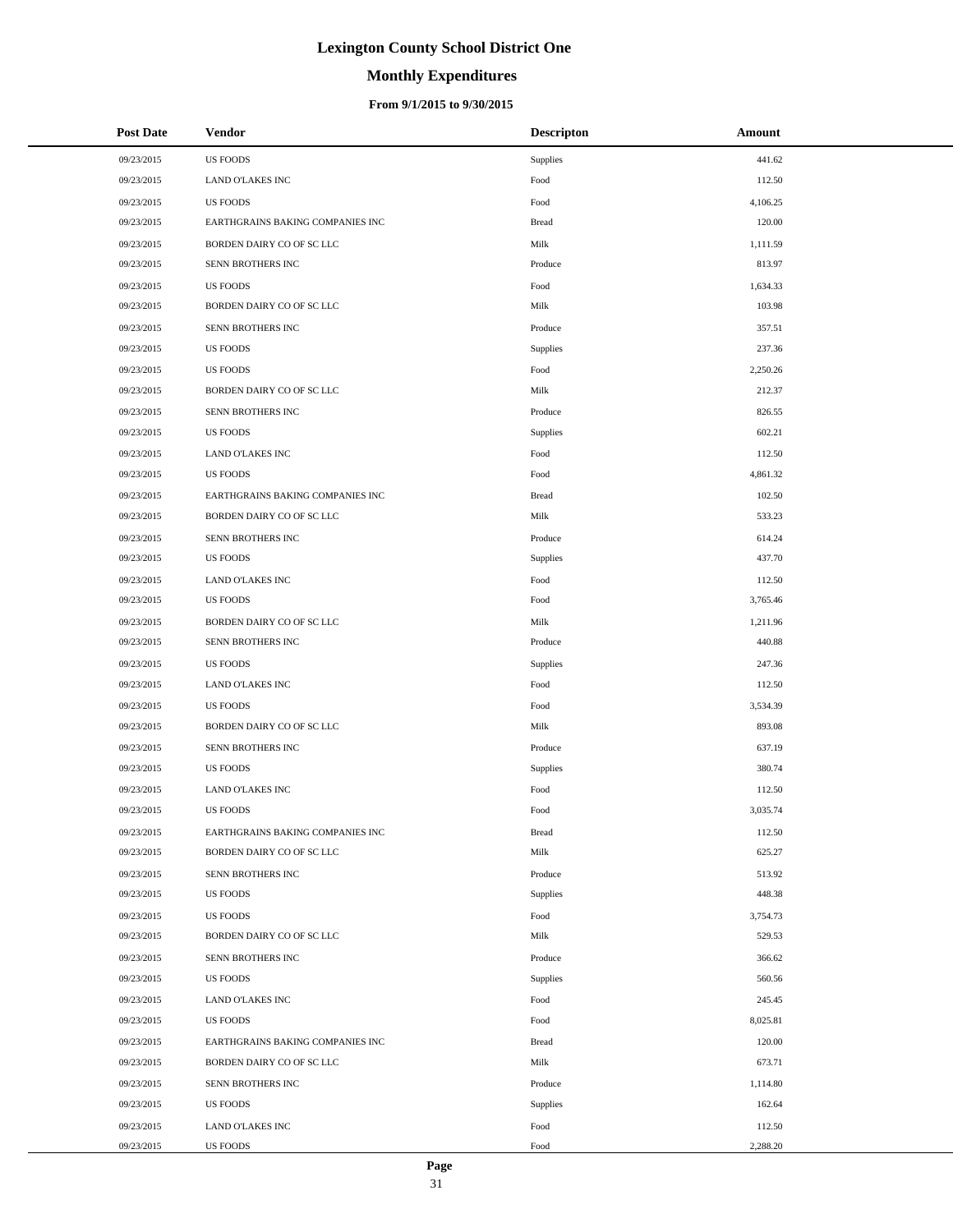# **Monthly Expenditures**

### **From 9/1/2015 to 9/30/2015**

| <b>Post Date</b> | <b>Vendor</b>                    | <b>Descripton</b> | Amount   |
|------------------|----------------------------------|-------------------|----------|
| 09/23/2015       | <b>US FOODS</b>                  | Supplies          | 441.62   |
| 09/23/2015       | <b>LAND O'LAKES INC</b>          | Food              | 112.50   |
| 09/23/2015       | <b>US FOODS</b>                  | Food              | 4,106.25 |
| 09/23/2015       | EARTHGRAINS BAKING COMPANIES INC | <b>Bread</b>      | 120.00   |
| 09/23/2015       | BORDEN DAIRY CO OF SC LLC        | Milk              | 1,111.59 |
| 09/23/2015       | SENN BROTHERS INC                | Produce           | 813.97   |
| 09/23/2015       | <b>US FOODS</b>                  | Food              | 1,634.33 |
| 09/23/2015       | BORDEN DAIRY CO OF SC LLC        | Milk              | 103.98   |
| 09/23/2015       | SENN BROTHERS INC                | Produce           | 357.51   |
| 09/23/2015       | <b>US FOODS</b>                  | Supplies          | 237.36   |
| 09/23/2015       | <b>US FOODS</b>                  | Food              | 2,250.26 |
| 09/23/2015       | BORDEN DAIRY CO OF SC LLC        | Milk              | 212.37   |
| 09/23/2015       | SENN BROTHERS INC                | Produce           | 826.55   |
| 09/23/2015       | US FOODS                         | Supplies          | 602.21   |
| 09/23/2015       | <b>LAND O'LAKES INC</b>          | Food              | 112.50   |
| 09/23/2015       | <b>US FOODS</b>                  | Food              | 4,861.32 |
| 09/23/2015       | EARTHGRAINS BAKING COMPANIES INC | <b>Bread</b>      | 102.50   |
| 09/23/2015       | BORDEN DAIRY CO OF SC LLC        | Milk              | 533.23   |
| 09/23/2015       | SENN BROTHERS INC                | Produce           | 614.24   |
| 09/23/2015       | US FOODS                         | Supplies          | 437.70   |
| 09/23/2015       | LAND O'LAKES INC                 | Food              | 112.50   |
| 09/23/2015       | US FOODS                         | Food              | 3,765.46 |
| 09/23/2015       | BORDEN DAIRY CO OF SC LLC        | Milk              | 1,211.96 |
| 09/23/2015       | SENN BROTHERS INC                | Produce           | 440.88   |
| 09/23/2015       | US FOODS                         | Supplies          | 247.36   |
| 09/23/2015       | <b>LAND O'LAKES INC</b>          | Food              | 112.50   |
| 09/23/2015       | <b>US FOODS</b>                  | Food              | 3,534.39 |
| 09/23/2015       | BORDEN DAIRY CO OF SC LLC        | Milk              | 893.08   |
| 09/23/2015       | SENN BROTHERS INC                | Produce           | 637.19   |
| 09/23/2015       | <b>US FOODS</b>                  | Supplies          | 380.74   |
| 09/23/2015       | <b>LAND O'LAKES INC</b>          | Food              | 112.50   |
| 09/23/2015       | US FOODS                         | Food              | 3,035.74 |
| 09/23/2015       | EARTHGRAINS BAKING COMPANIES INC | <b>Bread</b>      | 112.50   |
| 09/23/2015       | BORDEN DAIRY CO OF SC LLC        | Milk              | 625.27   |
| 09/23/2015       | SENN BROTHERS INC                | Produce           | 513.92   |
| 09/23/2015       | <b>US FOODS</b>                  | Supplies          | 448.38   |
| 09/23/2015       | <b>US FOODS</b>                  | Food              | 3,754.73 |
| 09/23/2015       | BORDEN DAIRY CO OF SC LLC        | Milk              | 529.53   |
| 09/23/2015       | SENN BROTHERS INC                | Produce           | 366.62   |
| 09/23/2015       | US FOODS                         | Supplies          | 560.56   |
| 09/23/2015       | <b>LAND O'LAKES INC</b>          | Food              | 245.45   |
| 09/23/2015       | <b>US FOODS</b>                  | Food              | 8,025.81 |
| 09/23/2015       | EARTHGRAINS BAKING COMPANIES INC | <b>Bread</b>      | 120.00   |
| 09/23/2015       | BORDEN DAIRY CO OF SC LLC        | Milk              | 673.71   |
| 09/23/2015       | SENN BROTHERS INC                | Produce           | 1,114.80 |
| 09/23/2015       | US FOODS                         | Supplies          | 162.64   |
| 09/23/2015       | LAND O'LAKES INC                 | Food              | 112.50   |
| 09/23/2015       | US FOODS                         | Food              | 2,288.20 |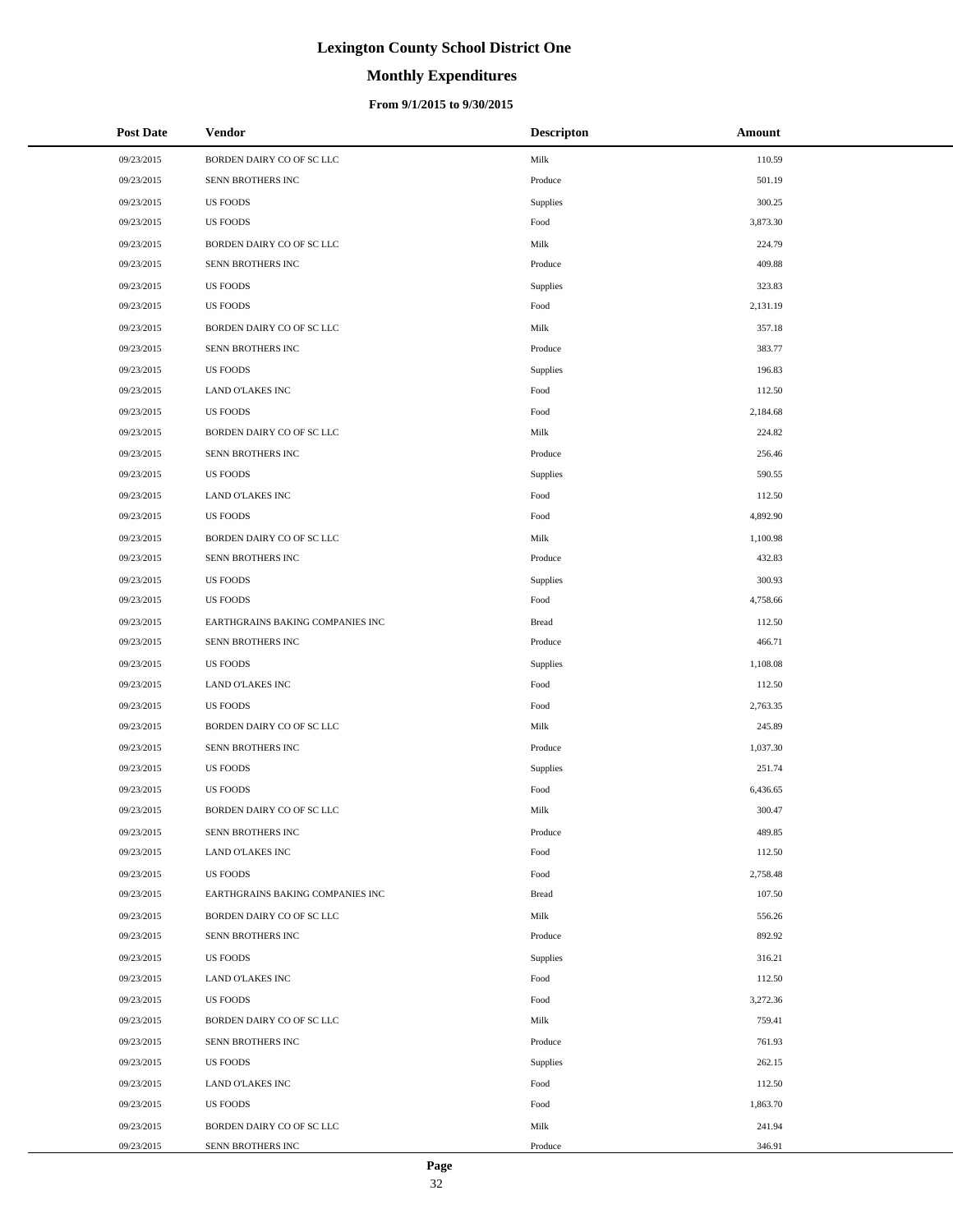# **Monthly Expenditures**

### **From 9/1/2015 to 9/30/2015**

| <b>Post Date</b> | <b>Vendor</b>                    | <b>Descripton</b> | Amount   |
|------------------|----------------------------------|-------------------|----------|
| 09/23/2015       | BORDEN DAIRY CO OF SC LLC        | Milk              | 110.59   |
| 09/23/2015       | SENN BROTHERS INC                | Produce           | 501.19   |
| 09/23/2015       | <b>US FOODS</b>                  | Supplies          | 300.25   |
| 09/23/2015       | <b>US FOODS</b>                  | Food              | 3,873.30 |
| 09/23/2015       | BORDEN DAIRY CO OF SC LLC        | Milk              | 224.79   |
| 09/23/2015       | SENN BROTHERS INC                | Produce           | 409.88   |
| 09/23/2015       | <b>US FOODS</b>                  | Supplies          | 323.83   |
| 09/23/2015       | <b>US FOODS</b>                  | Food              | 2,131.19 |
| 09/23/2015       | BORDEN DAIRY CO OF SC LLC        | Milk              | 357.18   |
| 09/23/2015       | SENN BROTHERS INC                | Produce           | 383.77   |
| 09/23/2015       | <b>US FOODS</b>                  | Supplies          | 196.83   |
| 09/23/2015       | <b>LAND O'LAKES INC</b>          | Food              | 112.50   |
| 09/23/2015       | <b>US FOODS</b>                  | Food              | 2,184.68 |
| 09/23/2015       | BORDEN DAIRY CO OF SC LLC        | Milk              | 224.82   |
| 09/23/2015       | SENN BROTHERS INC                | Produce           | 256.46   |
| 09/23/2015       | <b>US FOODS</b>                  | Supplies          | 590.55   |
| 09/23/2015       | <b>LAND O'LAKES INC</b>          | Food              | 112.50   |
| 09/23/2015       | <b>US FOODS</b>                  | Food              | 4,892.90 |
| 09/23/2015       | BORDEN DAIRY CO OF SC LLC        | Milk              | 1,100.98 |
| 09/23/2015       | SENN BROTHERS INC                | Produce           | 432.83   |
| 09/23/2015       | <b>US FOODS</b>                  | Supplies          | 300.93   |
| 09/23/2015       | <b>US FOODS</b>                  | Food              | 4,758.66 |
| 09/23/2015       | EARTHGRAINS BAKING COMPANIES INC | <b>Bread</b>      | 112.50   |
| 09/23/2015       | SENN BROTHERS INC                | Produce           | 466.71   |
| 09/23/2015       | <b>US FOODS</b>                  | Supplies          | 1,108.08 |
| 09/23/2015       | LAND O'LAKES INC                 | Food              | 112.50   |
| 09/23/2015       | <b>US FOODS</b>                  | Food              | 2,763.35 |
| 09/23/2015       | BORDEN DAIRY CO OF SC LLC        | Milk              | 245.89   |
| 09/23/2015       | SENN BROTHERS INC                | Produce           | 1,037.30 |
| 09/23/2015       | <b>US FOODS</b>                  | Supplies          | 251.74   |
| 09/23/2015       | <b>US FOODS</b>                  | Food              | 6,436.65 |
| 09/23/2015       | BORDEN DAIRY CO OF SC LLC        | Milk              | 300.47   |
| 09/23/2015       | SENN BROTHERS INC                | Produce           | 489.85   |
| 09/23/2015       | <b>LAND O'LAKES INC</b>          | Food              | 112.50   |
| 09/23/2015       | US FOODS                         | Food              | 2,758.48 |
| 09/23/2015       | EARTHGRAINS BAKING COMPANIES INC | <b>Bread</b>      | 107.50   |
| 09/23/2015       | BORDEN DAIRY CO OF SC LLC        | Milk              | 556.26   |
| 09/23/2015       | SENN BROTHERS INC                | Produce           | 892.92   |
| 09/23/2015       | US FOODS                         | Supplies          | 316.21   |
| 09/23/2015       | <b>LAND O'LAKES INC</b>          | Food              | 112.50   |
| 09/23/2015       | <b>US FOODS</b>                  | Food              | 3,272.36 |
| 09/23/2015       | BORDEN DAIRY CO OF SC LLC        | Milk              | 759.41   |
| 09/23/2015       | SENN BROTHERS INC                | Produce           | 761.93   |
| 09/23/2015       | US FOODS                         | Supplies          | 262.15   |
| 09/23/2015       | <b>LAND O'LAKES INC</b>          | Food              | 112.50   |
| 09/23/2015       | <b>US FOODS</b>                  | Food              | 1,863.70 |
| 09/23/2015       | BORDEN DAIRY CO OF SC LLC        | Milk              | 241.94   |
| 09/23/2015       | SENN BROTHERS INC                | Produce           | 346.91   |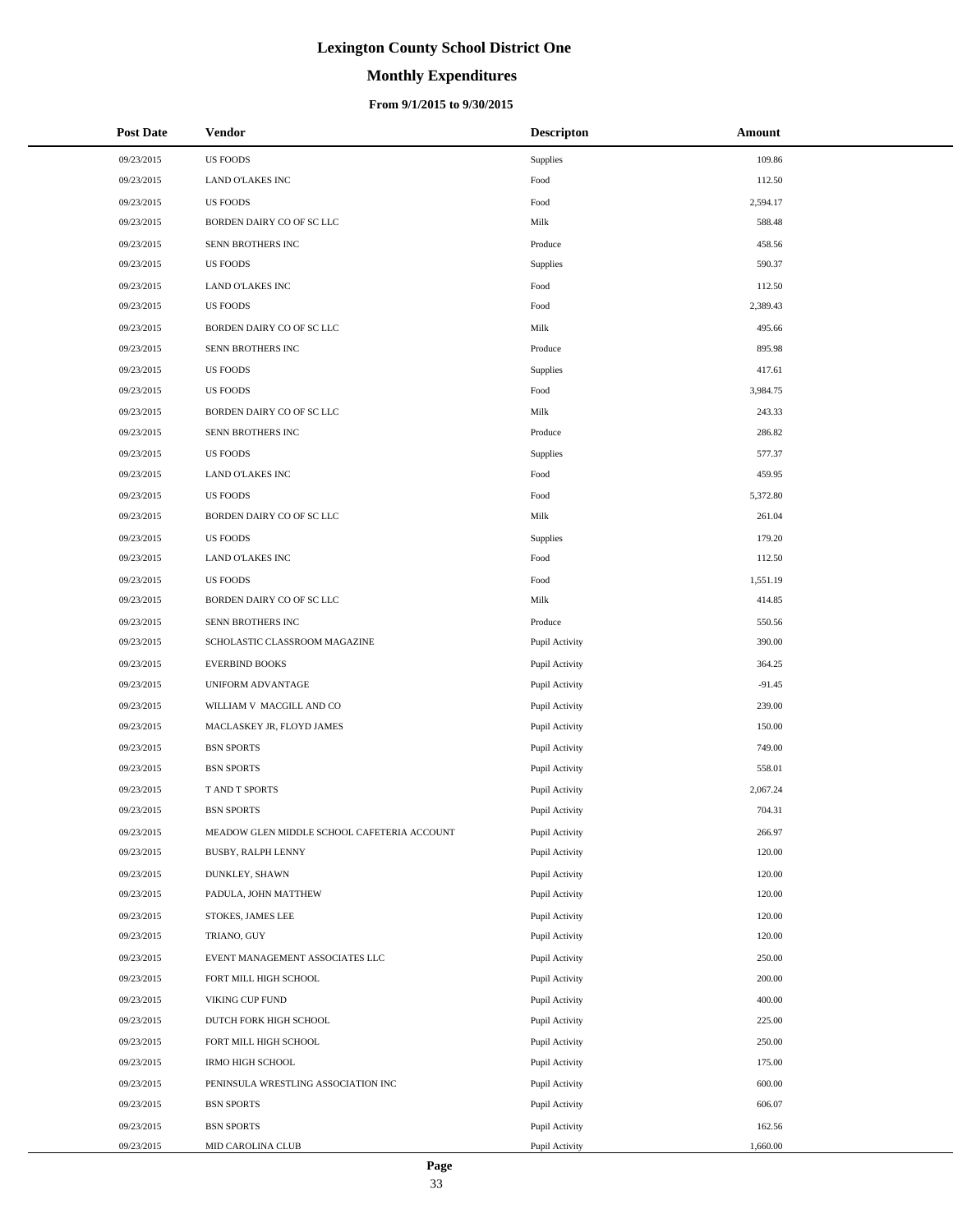# **Monthly Expenditures**

### **From 9/1/2015 to 9/30/2015**

| <b>Post Date</b> | Vendor                                      | <b>Descripton</b> | Amount   |
|------------------|---------------------------------------------|-------------------|----------|
| 09/23/2015       | <b>US FOODS</b>                             | Supplies          | 109.86   |
| 09/23/2015       | <b>LAND O'LAKES INC</b>                     | Food              | 112.50   |
| 09/23/2015       | <b>US FOODS</b>                             | Food              | 2,594.17 |
| 09/23/2015       | BORDEN DAIRY CO OF SC LLC                   | Milk              | 588.48   |
| 09/23/2015       | SENN BROTHERS INC                           | Produce           | 458.56   |
| 09/23/2015       | <b>US FOODS</b>                             | Supplies          | 590.37   |
| 09/23/2015       | <b>LAND O'LAKES INC</b>                     | Food              | 112.50   |
| 09/23/2015       | <b>US FOODS</b>                             | Food              | 2,389.43 |
| 09/23/2015       | BORDEN DAIRY CO OF SC LLC                   | Milk              | 495.66   |
| 09/23/2015       | SENN BROTHERS INC                           | Produce           | 895.98   |
| 09/23/2015       | <b>US FOODS</b>                             | Supplies          | 417.61   |
| 09/23/2015       | <b>US FOODS</b>                             | Food              | 3,984.75 |
| 09/23/2015       | BORDEN DAIRY CO OF SC LLC                   | Milk              | 243.33   |
| 09/23/2015       | SENN BROTHERS INC                           | Produce           | 286.82   |
| 09/23/2015       | <b>US FOODS</b>                             | Supplies          | 577.37   |
| 09/23/2015       | <b>LAND O'LAKES INC</b>                     | Food              | 459.95   |
| 09/23/2015       | <b>US FOODS</b>                             | Food              | 5,372.80 |
| 09/23/2015       | BORDEN DAIRY CO OF SC LLC                   | Milk              | 261.04   |
| 09/23/2015       | <b>US FOODS</b>                             | Supplies          | 179.20   |
| 09/23/2015       | LAND O'LAKES INC                            | Food              | 112.50   |
| 09/23/2015       | <b>US FOODS</b>                             | Food              | 1,551.19 |
| 09/23/2015       | BORDEN DAIRY CO OF SC LLC                   | Milk              | 414.85   |
| 09/23/2015       | SENN BROTHERS INC                           | Produce           | 550.56   |
| 09/23/2015       | SCHOLASTIC CLASSROOM MAGAZINE               | Pupil Activity    | 390.00   |
| 09/23/2015       | <b>EVERBIND BOOKS</b>                       | Pupil Activity    | 364.25   |
| 09/23/2015       | UNIFORM ADVANTAGE                           | Pupil Activity    | $-91.45$ |
| 09/23/2015       | WILLIAM V MACGILL AND CO                    | Pupil Activity    | 239.00   |
| 09/23/2015       | MACLASKEY JR, FLOYD JAMES                   | Pupil Activity    | 150.00   |
| 09/23/2015       | <b>BSN SPORTS</b>                           | Pupil Activity    | 749.00   |
| 09/23/2015       | <b>BSN SPORTS</b>                           | Pupil Activity    | 558.01   |
| 09/23/2015       | T AND T SPORTS                              | Pupil Activity    | 2,067.24 |
| 09/23/2015       | <b>BSN SPORTS</b>                           | Pupil Activity    | 704.31   |
| 09/23/2015       | MEADOW GLEN MIDDLE SCHOOL CAFETERIA ACCOUNT | Pupil Activity    | 266.97   |
| 09/23/2015       | BUSBY, RALPH LENNY                          | Pupil Activity    | 120.00   |
| 09/23/2015       | DUNKLEY, SHAWN                              | Pupil Activity    | 120.00   |
| 09/23/2015       | PADULA, JOHN MATTHEW                        | Pupil Activity    | 120.00   |
| 09/23/2015       | STOKES, JAMES LEE                           | Pupil Activity    | 120.00   |
| 09/23/2015       | TRIANO, GUY                                 | Pupil Activity    | 120.00   |
| 09/23/2015       | EVENT MANAGEMENT ASSOCIATES LLC             | Pupil Activity    | 250.00   |
| 09/23/2015       | FORT MILL HIGH SCHOOL                       | Pupil Activity    | 200.00   |
| 09/23/2015       | VIKING CUP FUND                             | Pupil Activity    | 400.00   |
| 09/23/2015       | DUTCH FORK HIGH SCHOOL                      | Pupil Activity    | 225.00   |
| 09/23/2015       | FORT MILL HIGH SCHOOL                       | Pupil Activity    | 250.00   |
| 09/23/2015       | <b>IRMO HIGH SCHOOL</b>                     | Pupil Activity    | 175.00   |
| 09/23/2015       | PENINSULA WRESTLING ASSOCIATION INC         | Pupil Activity    | 600.00   |
| 09/23/2015       | <b>BSN SPORTS</b>                           | Pupil Activity    | 606.07   |
| 09/23/2015       | <b>BSN SPORTS</b>                           | Pupil Activity    | 162.56   |
| 09/23/2015       | MID CAROLINA CLUB                           | Pupil Activity    | 1,660.00 |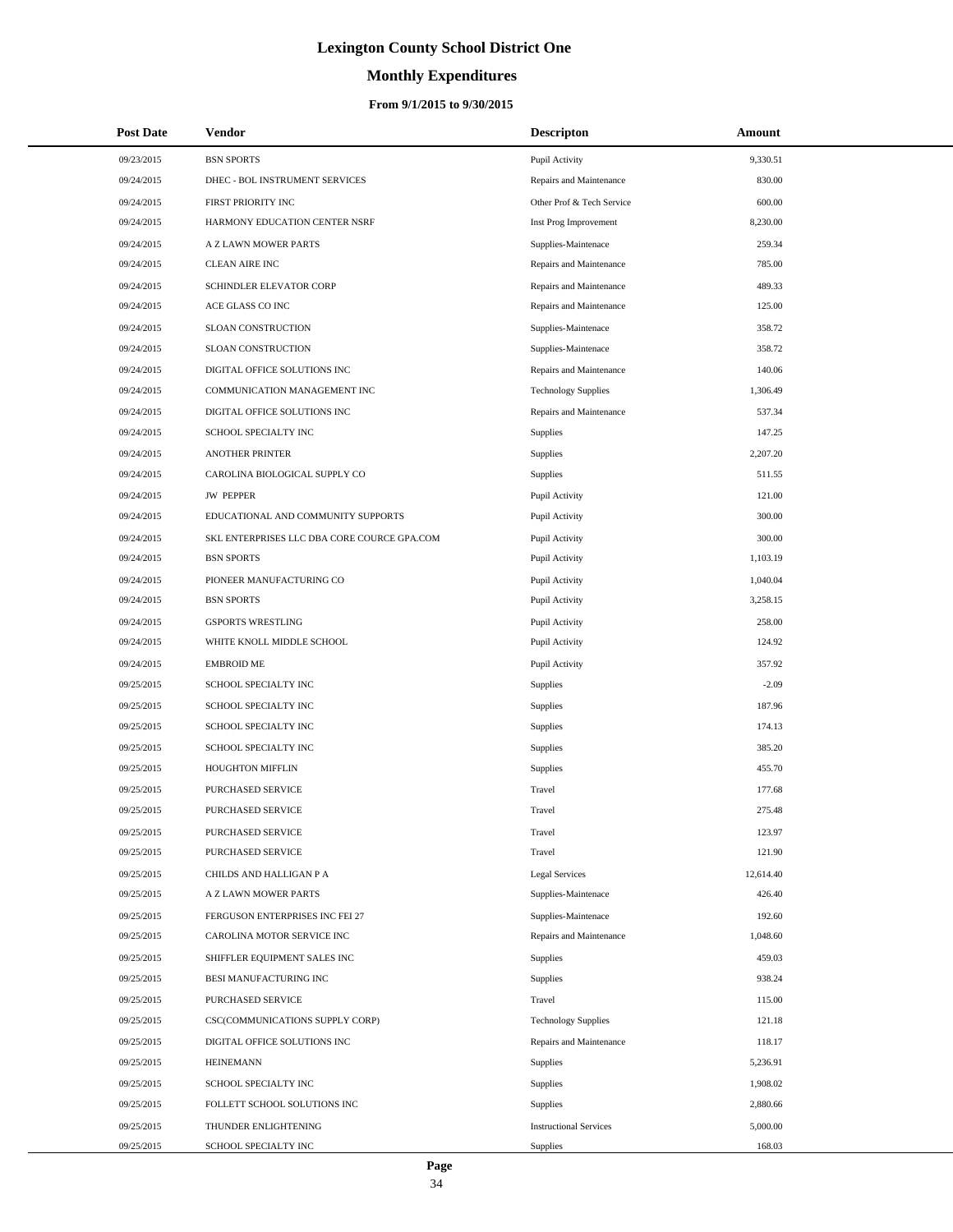# **Monthly Expenditures**

### **From 9/1/2015 to 9/30/2015**

| <b>Post Date</b> | Vendor                                      | <b>Descripton</b>             | Amount    |  |
|------------------|---------------------------------------------|-------------------------------|-----------|--|
| 09/23/2015       | <b>BSN SPORTS</b>                           | Pupil Activity                | 9,330.51  |  |
| 09/24/2015       | DHEC - BOL INSTRUMENT SERVICES              | Repairs and Maintenance       | 830.00    |  |
| 09/24/2015       | FIRST PRIORITY INC                          | Other Prof & Tech Service     | 600.00    |  |
| 09/24/2015       | HARMONY EDUCATION CENTER NSRF               | Inst Prog Improvement         | 8,230.00  |  |
| 09/24/2015       | A Z LAWN MOWER PARTS                        | Supplies-Maintenace           | 259.34    |  |
| 09/24/2015       | <b>CLEAN AIRE INC</b>                       | Repairs and Maintenance       | 785.00    |  |
| 09/24/2015       | SCHINDLER ELEVATOR CORP                     | Repairs and Maintenance       | 489.33    |  |
| 09/24/2015       | ACE GLASS CO INC                            | Repairs and Maintenance       | 125.00    |  |
| 09/24/2015       | SLOAN CONSTRUCTION                          | Supplies-Maintenace           | 358.72    |  |
| 09/24/2015       | SLOAN CONSTRUCTION                          | Supplies-Maintenace           | 358.72    |  |
| 09/24/2015       | DIGITAL OFFICE SOLUTIONS INC                | Repairs and Maintenance       | 140.06    |  |
| 09/24/2015       | COMMUNICATION MANAGEMENT INC                | <b>Technology Supplies</b>    | 1,306.49  |  |
| 09/24/2015       | DIGITAL OFFICE SOLUTIONS INC                | Repairs and Maintenance       | 537.34    |  |
| 09/24/2015       | SCHOOL SPECIALTY INC                        | Supplies                      | 147.25    |  |
| 09/24/2015       | <b>ANOTHER PRINTER</b>                      | Supplies                      | 2,207.20  |  |
| 09/24/2015       | CAROLINA BIOLOGICAL SUPPLY CO               | <b>Supplies</b>               | 511.55    |  |
| 09/24/2015       | <b>JW PEPPER</b>                            | Pupil Activity                | 121.00    |  |
| 09/24/2015       | EDUCATIONAL AND COMMUNITY SUPPORTS          | Pupil Activity                | 300.00    |  |
| 09/24/2015       | SKL ENTERPRISES LLC DBA CORE COURCE GPA.COM | Pupil Activity                | 300.00    |  |
| 09/24/2015       | <b>BSN SPORTS</b>                           | Pupil Activity                | 1,103.19  |  |
| 09/24/2015       | PIONEER MANUFACTURING CO                    | Pupil Activity                | 1,040.04  |  |
| 09/24/2015       | <b>BSN SPORTS</b>                           | Pupil Activity                | 3,258.15  |  |
| 09/24/2015       | <b>GSPORTS WRESTLING</b>                    | Pupil Activity                | 258.00    |  |
| 09/24/2015       | WHITE KNOLL MIDDLE SCHOOL                   | Pupil Activity                | 124.92    |  |
| 09/24/2015       | <b>EMBROID ME</b>                           | Pupil Activity                | 357.92    |  |
| 09/25/2015       | SCHOOL SPECIALTY INC                        | <b>Supplies</b>               | $-2.09$   |  |
| 09/25/2015       | SCHOOL SPECIALTY INC                        | <b>Supplies</b>               | 187.96    |  |
| 09/25/2015       | SCHOOL SPECIALTY INC                        | <b>Supplies</b>               | 174.13    |  |
| 09/25/2015       | SCHOOL SPECIALTY INC                        | <b>Supplies</b>               | 385.20    |  |
| 09/25/2015       | HOUGHTON MIFFLIN                            | <b>Supplies</b>               | 455.70    |  |
| 09/25/2015       | PURCHASED SERVICE                           | Travel                        | 177.68    |  |
| 09/25/2015       | PURCHASED SERVICE                           | Travel                        | 275.48    |  |
| 09/25/2015       | PURCHASED SERVICE                           | Travel                        | 123.97    |  |
| 09/25/2015       | <b>PURCHASED SERVICE</b>                    | Travel                        | 121.90    |  |
| 09/25/2015       | CHILDS AND HALLIGAN P A                     | <b>Legal Services</b>         | 12,614.40 |  |
| 09/25/2015       | A Z LAWN MOWER PARTS                        | Supplies-Maintenace           | 426.40    |  |
| 09/25/2015       | FERGUSON ENTERPRISES INC FEI 27             | Supplies-Maintenace           | 192.60    |  |
| 09/25/2015       | CAROLINA MOTOR SERVICE INC                  | Repairs and Maintenance       | 1,048.60  |  |
| 09/25/2015       | SHIFFLER EQUIPMENT SALES INC                | <b>Supplies</b>               | 459.03    |  |
| 09/25/2015       | BESI MANUFACTURING INC                      | <b>Supplies</b>               | 938.24    |  |
| 09/25/2015       | PURCHASED SERVICE                           | Travel                        | 115.00    |  |
| 09/25/2015       | CSC(COMMUNICATIONS SUPPLY CORP)             | <b>Technology Supplies</b>    | 121.18    |  |
| 09/25/2015       | DIGITAL OFFICE SOLUTIONS INC                | Repairs and Maintenance       | 118.17    |  |
| 09/25/2015       | <b>HEINEMANN</b>                            | <b>Supplies</b>               | 5,236.91  |  |
| 09/25/2015       | SCHOOL SPECIALTY INC                        | <b>Supplies</b>               | 1,908.02  |  |
| 09/25/2015       | FOLLETT SCHOOL SOLUTIONS INC                | <b>Supplies</b>               | 2,880.66  |  |
| 09/25/2015       | THUNDER ENLIGHTENING                        | <b>Instructional Services</b> | 5,000.00  |  |
| 09/25/2015       | SCHOOL SPECIALTY INC                        | Supplies                      | 168.03    |  |

÷.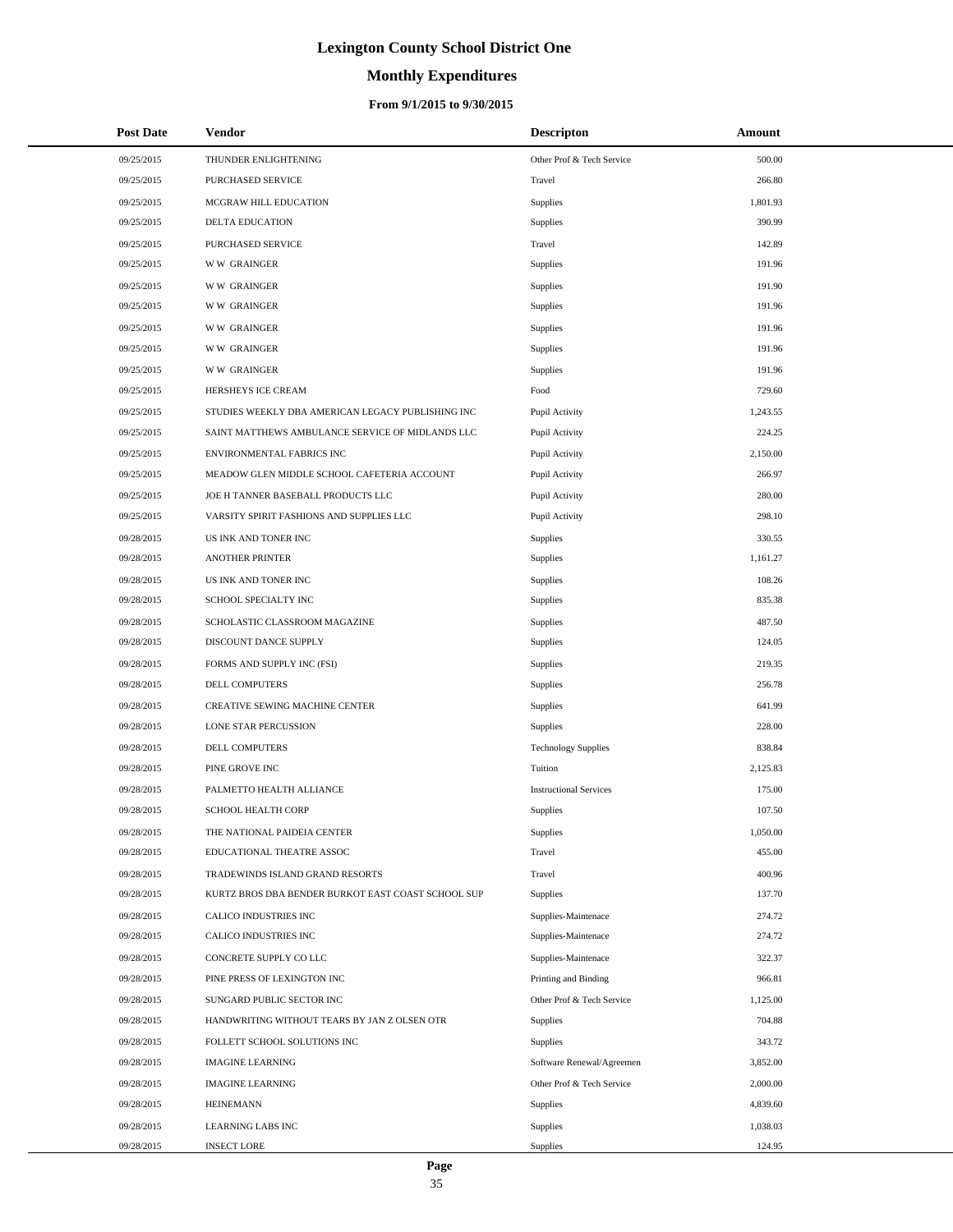# **Monthly Expenditures**

### **From 9/1/2015 to 9/30/2015**

| <b>Post Date</b> | <b>Vendor</b>                                      | <b>Descripton</b>             | Amount   |
|------------------|----------------------------------------------------|-------------------------------|----------|
| 09/25/2015       | THUNDER ENLIGHTENING                               | Other Prof & Tech Service     | 500.00   |
| 09/25/2015       | PURCHASED SERVICE                                  | Travel                        | 266.80   |
| 09/25/2015       | MCGRAW HILL EDUCATION                              | Supplies                      | 1,801.93 |
| 09/25/2015       | <b>DELTA EDUCATION</b>                             | Supplies                      | 390.99   |
| 09/25/2015       | PURCHASED SERVICE                                  | Travel                        | 142.89   |
| 09/25/2015       | <b>WW GRAINGER</b>                                 | Supplies                      | 191.96   |
| 09/25/2015       | <b>WW GRAINGER</b>                                 | Supplies                      | 191.90   |
| 09/25/2015       | <b>WW GRAINGER</b>                                 | Supplies                      | 191.96   |
| 09/25/2015       | <b>WW GRAINGER</b>                                 | Supplies                      | 191.96   |
| 09/25/2015       | <b>WW GRAINGER</b>                                 | Supplies                      | 191.96   |
| 09/25/2015       | <b>WW GRAINGER</b>                                 | Supplies                      | 191.96   |
| 09/25/2015       | HERSHEYS ICE CREAM                                 | Food                          | 729.60   |
| 09/25/2015       | STUDIES WEEKLY DBA AMERICAN LEGACY PUBLISHING INC  | Pupil Activity                | 1,243.55 |
| 09/25/2015       | SAINT MATTHEWS AMBULANCE SERVICE OF MIDLANDS LLC   | Pupil Activity                | 224.25   |
| 09/25/2015       | ENVIRONMENTAL FABRICS INC                          | Pupil Activity                | 2,150.00 |
| 09/25/2015       | MEADOW GLEN MIDDLE SCHOOL CAFETERIA ACCOUNT        | Pupil Activity                | 266.97   |
| 09/25/2015       | JOE H TANNER BASEBALL PRODUCTS LLC                 | Pupil Activity                | 280.00   |
| 09/25/2015       | VARSITY SPIRIT FASHIONS AND SUPPLIES LLC           | Pupil Activity                | 298.10   |
| 09/28/2015       | US INK AND TONER INC                               | Supplies                      | 330.55   |
| 09/28/2015       | <b>ANOTHER PRINTER</b>                             | Supplies                      | 1,161.27 |
| 09/28/2015       | US INK AND TONER INC                               | Supplies                      | 108.26   |
| 09/28/2015       | SCHOOL SPECIALTY INC                               | Supplies                      | 835.38   |
| 09/28/2015       | SCHOLASTIC CLASSROOM MAGAZINE                      | Supplies                      | 487.50   |
| 09/28/2015       | DISCOUNT DANCE SUPPLY                              | Supplies                      | 124.05   |
| 09/28/2015       | FORMS AND SUPPLY INC (FSI)                         | Supplies                      | 219.35   |
| 09/28/2015       | DELL COMPUTERS                                     | Supplies                      | 256.78   |
| 09/28/2015       | CREATIVE SEWING MACHINE CENTER                     | Supplies                      | 641.99   |
| 09/28/2015       | LONE STAR PERCUSSION                               | Supplies                      | 228.00   |
| 09/28/2015       | DELL COMPUTERS                                     | <b>Technology Supplies</b>    | 838.84   |
| 09/28/2015       | PINE GROVE INC                                     | Tuition                       | 2,125.83 |
| 09/28/2015       | PALMETTO HEALTH ALLIANCE                           | <b>Instructional Services</b> | 175.00   |
| 09/28/2015       | <b>SCHOOL HEALTH CORP</b>                          | Supplies                      | 107.50   |
| 09/28/2015       | THE NATIONAL PAIDEIA CENTER                        | <b>Supplies</b>               | 1,050.00 |
| 09/28/2015       | EDUCATIONAL THEATRE ASSOC                          | Travel                        | 455.00   |
| 09/28/2015       | TRADEWINDS ISLAND GRAND RESORTS                    | Travel                        | 400.96   |
| 09/28/2015       | KURTZ BROS DBA BENDER BURKOT EAST COAST SCHOOL SUP | <b>Supplies</b>               | 137.70   |
| 09/28/2015       | CALICO INDUSTRIES INC                              | Supplies-Maintenace           | 274.72   |
| 09/28/2015       | CALICO INDUSTRIES INC                              | Supplies-Maintenace           | 274.72   |
| 09/28/2015       | CONCRETE SUPPLY CO LLC                             | Supplies-Maintenace           | 322.37   |
| 09/28/2015       | PINE PRESS OF LEXINGTON INC                        | Printing and Binding          | 966.81   |
| 09/28/2015       | SUNGARD PUBLIC SECTOR INC                          | Other Prof & Tech Service     | 1,125.00 |
| 09/28/2015       | HANDWRITING WITHOUT TEARS BY JAN Z OLSEN OTR       | <b>Supplies</b>               | 704.88   |
| 09/28/2015       | FOLLETT SCHOOL SOLUTIONS INC                       | <b>Supplies</b>               | 343.72   |
| 09/28/2015       | <b>IMAGINE LEARNING</b>                            | Software Renewal/Agreemen     | 3,852.00 |
| 09/28/2015       | <b>IMAGINE LEARNING</b>                            | Other Prof & Tech Service     | 2,000.00 |
| 09/28/2015       | <b>HEINEMANN</b>                                   | Supplies                      | 4,839.60 |
| 09/28/2015       | LEARNING LABS INC                                  | <b>Supplies</b>               | 1,038.03 |
| 09/28/2015       | <b>INSECT LORE</b>                                 | Supplies                      | 124.95   |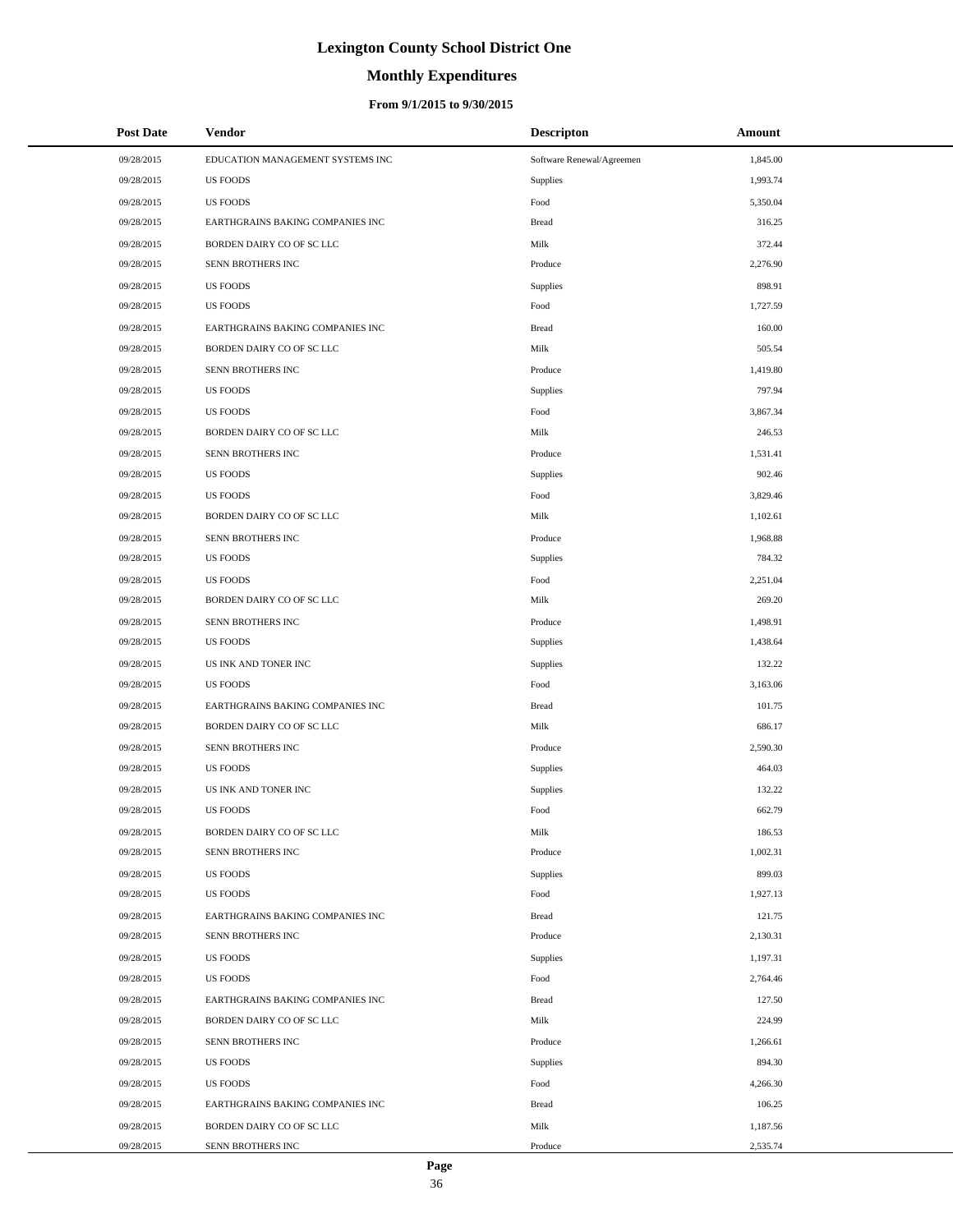# **Monthly Expenditures**

| <b>Post Date</b> | Vendor                           | <b>Descripton</b>         | Amount   |
|------------------|----------------------------------|---------------------------|----------|
| 09/28/2015       | EDUCATION MANAGEMENT SYSTEMS INC | Software Renewal/Agreemen | 1,845.00 |
| 09/28/2015       | <b>US FOODS</b>                  | Supplies                  | 1,993.74 |
| 09/28/2015       | <b>US FOODS</b>                  | Food                      | 5,350.04 |
| 09/28/2015       | EARTHGRAINS BAKING COMPANIES INC | <b>Bread</b>              | 316.25   |
| 09/28/2015       | BORDEN DAIRY CO OF SC LLC        | Milk                      | 372.44   |
| 09/28/2015       | SENN BROTHERS INC                | Produce                   | 2,276.90 |
| 09/28/2015       | <b>US FOODS</b>                  | Supplies                  | 898.91   |
| 09/28/2015       | <b>US FOODS</b>                  | Food                      | 1,727.59 |
| 09/28/2015       | EARTHGRAINS BAKING COMPANIES INC | <b>Bread</b>              | 160.00   |
| 09/28/2015       | BORDEN DAIRY CO OF SC LLC        | Milk                      | 505.54   |
| 09/28/2015       | SENN BROTHERS INC                | Produce                   | 1,419.80 |
| 09/28/2015       | <b>US FOODS</b>                  | Supplies                  | 797.94   |
| 09/28/2015       | <b>US FOODS</b>                  | Food                      | 3,867.34 |
| 09/28/2015       | BORDEN DAIRY CO OF SC LLC        | Milk                      | 246.53   |
| 09/28/2015       | SENN BROTHERS INC                | Produce                   | 1,531.41 |
| 09/28/2015       | <b>US FOODS</b>                  | Supplies                  | 902.46   |
| 09/28/2015       | <b>US FOODS</b>                  | Food                      | 3,829.46 |
| 09/28/2015       | BORDEN DAIRY CO OF SC LLC        | Milk                      | 1,102.61 |
| 09/28/2015       | SENN BROTHERS INC                | Produce                   | 1,968.88 |
| 09/28/2015       | <b>US FOODS</b>                  | Supplies                  | 784.32   |
| 09/28/2015       | <b>US FOODS</b>                  | Food                      | 2,251.04 |
| 09/28/2015       | BORDEN DAIRY CO OF SC LLC        | Milk                      | 269.20   |
| 09/28/2015       | SENN BROTHERS INC                | Produce                   | 1,498.91 |
| 09/28/2015       | <b>US FOODS</b>                  | Supplies                  | 1,438.64 |
| 09/28/2015       | US INK AND TONER INC             | Supplies                  | 132.22   |
| 09/28/2015       | <b>US FOODS</b>                  | Food                      | 3,163.06 |
| 09/28/2015       | EARTHGRAINS BAKING COMPANIES INC | <b>Bread</b>              | 101.75   |
| 09/28/2015       | BORDEN DAIRY CO OF SC LLC        | Milk                      | 686.17   |
| 09/28/2015       | SENN BROTHERS INC                | Produce                   | 2,590.30 |
| 09/28/2015       | <b>US FOODS</b>                  | Supplies                  | 464.03   |
| 09/28/2015       | US INK AND TONER INC             | Supplies                  | 132.22   |
| 09/28/2015       | <b>US FOODS</b>                  | Food                      | 662.79   |
| 09/28/2015       | BORDEN DAIRY CO OF SC LLC        | Milk                      | 186.53   |
| 09/28/2015       | SENN BROTHERS INC                | Produce                   | 1,002.31 |
| 09/28/2015       | <b>US FOODS</b>                  | Supplies                  | 899.03   |
| 09/28/2015       | <b>US FOODS</b>                  | Food                      | 1,927.13 |
| 09/28/2015       | EARTHGRAINS BAKING COMPANIES INC | <b>Bread</b>              | 121.75   |
| 09/28/2015       | SENN BROTHERS INC                | Produce                   | 2,130.31 |
| 09/28/2015       | <b>US FOODS</b>                  | Supplies                  | 1,197.31 |
| 09/28/2015       | <b>US FOODS</b>                  | Food                      | 2,764.46 |
| 09/28/2015       | EARTHGRAINS BAKING COMPANIES INC | <b>Bread</b>              | 127.50   |
| 09/28/2015       | BORDEN DAIRY CO OF SC LLC        | Milk                      | 224.99   |
| 09/28/2015       | SENN BROTHERS INC                | Produce                   | 1,266.61 |
| 09/28/2015       | <b>US FOODS</b>                  | Supplies                  | 894.30   |
| 09/28/2015       | <b>US FOODS</b>                  | Food                      | 4,266.30 |
| 09/28/2015       | EARTHGRAINS BAKING COMPANIES INC | <b>Bread</b>              | 106.25   |
| 09/28/2015       | BORDEN DAIRY CO OF SC LLC        | Milk                      | 1,187.56 |
| 09/28/2015       | SENN BROTHERS INC                | Produce                   | 2,535.74 |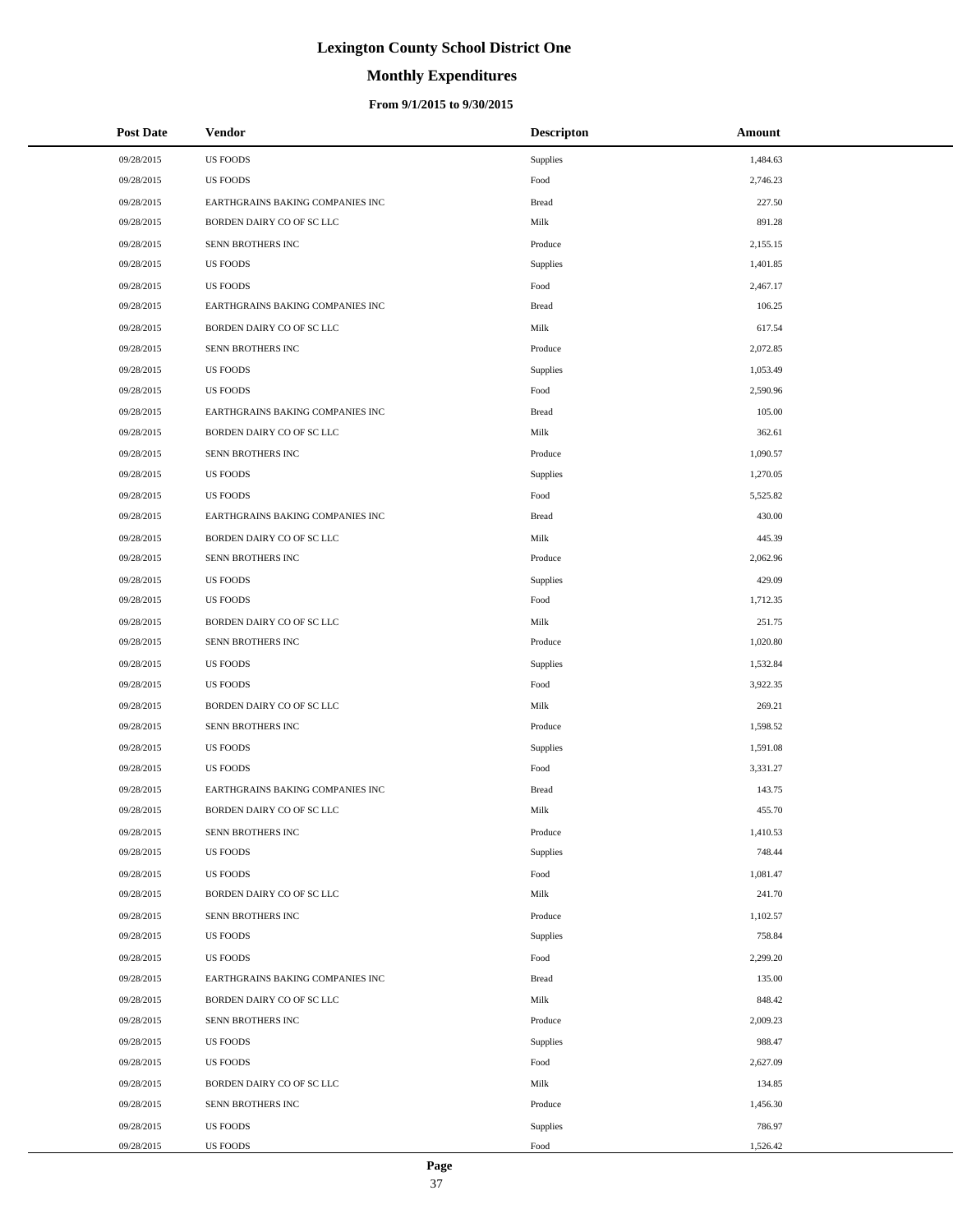# **Monthly Expenditures**

### **From 9/1/2015 to 9/30/2015**

| <b>Post Date</b> | <b>Vendor</b>                    | <b>Descripton</b> | Amount   |
|------------------|----------------------------------|-------------------|----------|
| 09/28/2015       | <b>US FOODS</b>                  | Supplies          | 1,484.63 |
| 09/28/2015       | <b>US FOODS</b>                  | Food              | 2,746.23 |
| 09/28/2015       | EARTHGRAINS BAKING COMPANIES INC | <b>Bread</b>      | 227.50   |
| 09/28/2015       | BORDEN DAIRY CO OF SC LLC        | Milk              | 891.28   |
| 09/28/2015       | SENN BROTHERS INC                | Produce           | 2,155.15 |
| 09/28/2015       | <b>US FOODS</b>                  | Supplies          | 1,401.85 |
| 09/28/2015       | <b>US FOODS</b>                  | Food              | 2,467.17 |
| 09/28/2015       | EARTHGRAINS BAKING COMPANIES INC | <b>Bread</b>      | 106.25   |
| 09/28/2015       | BORDEN DAIRY CO OF SC LLC        | Milk              | 617.54   |
| 09/28/2015       | SENN BROTHERS INC                | Produce           | 2,072.85 |
| 09/28/2015       | <b>US FOODS</b>                  | Supplies          | 1,053.49 |
| 09/28/2015       | <b>US FOODS</b>                  | Food              | 2,590.96 |
| 09/28/2015       | EARTHGRAINS BAKING COMPANIES INC | <b>Bread</b>      | 105.00   |
| 09/28/2015       | BORDEN DAIRY CO OF SC LLC        | Milk              | 362.61   |
| 09/28/2015       | SENN BROTHERS INC                | Produce           | 1,090.57 |
| 09/28/2015       | <b>US FOODS</b>                  | Supplies          | 1,270.05 |
| 09/28/2015       | <b>US FOODS</b>                  | Food              | 5,525.82 |
| 09/28/2015       | EARTHGRAINS BAKING COMPANIES INC | <b>Bread</b>      | 430.00   |
| 09/28/2015       | BORDEN DAIRY CO OF SC LLC        | Milk              | 445.39   |
| 09/28/2015       | SENN BROTHERS INC                | Produce           | 2,062.96 |
| 09/28/2015       | <b>US FOODS</b>                  | Supplies          | 429.09   |
| 09/28/2015       | <b>US FOODS</b>                  | Food              | 1,712.35 |
| 09/28/2015       | BORDEN DAIRY CO OF SC LLC        | Milk              | 251.75   |
| 09/28/2015       | SENN BROTHERS INC                | Produce           | 1,020.80 |
| 09/28/2015       | <b>US FOODS</b>                  | Supplies          | 1,532.84 |
| 09/28/2015       | <b>US FOODS</b>                  | Food              | 3,922.35 |
| 09/28/2015       | BORDEN DAIRY CO OF SC LLC        | Milk              | 269.21   |
| 09/28/2015       | SENN BROTHERS INC                | Produce           | 1,598.52 |
| 09/28/2015       | <b>US FOODS</b>                  | Supplies          | 1,591.08 |
| 09/28/2015       | <b>US FOODS</b>                  | Food              | 3,331.27 |
| 09/28/2015       | EARTHGRAINS BAKING COMPANIES INC | <b>Bread</b>      | 143.75   |
| 09/28/2015       | BORDEN DAIRY CO OF SC LLC        | Milk              | 455.70   |
| 09/28/2015       | SENN BROTHERS INC                | Produce           | 1,410.53 |
| 09/28/2015       | <b>US FOODS</b>                  | Supplies          | 748.44   |
| 09/28/2015       | <b>US FOODS</b>                  | Food              | 1,081.47 |
| 09/28/2015       | BORDEN DAIRY CO OF SC LLC        | Milk              | 241.70   |
| 09/28/2015       | SENN BROTHERS INC                | Produce           | 1,102.57 |
| 09/28/2015       | <b>US FOODS</b>                  | Supplies          | 758.84   |
| 09/28/2015       | <b>US FOODS</b>                  | Food              | 2,299.20 |
| 09/28/2015       | EARTHGRAINS BAKING COMPANIES INC | <b>Bread</b>      | 135.00   |
| 09/28/2015       | BORDEN DAIRY CO OF SC LLC        | Milk              | 848.42   |
| 09/28/2015       | SENN BROTHERS INC                | Produce           | 2,009.23 |
| 09/28/2015       | <b>US FOODS</b>                  | Supplies          | 988.47   |
| 09/28/2015       | <b>US FOODS</b>                  | Food              | 2,627.09 |
| 09/28/2015       | BORDEN DAIRY CO OF SC LLC        | Milk              | 134.85   |
| 09/28/2015       | SENN BROTHERS INC                | Produce           | 1,456.30 |
| 09/28/2015       | <b>US FOODS</b>                  | Supplies          | 786.97   |
| 09/28/2015       | <b>US FOODS</b>                  | Food              | 1,526.42 |

 $\overline{a}$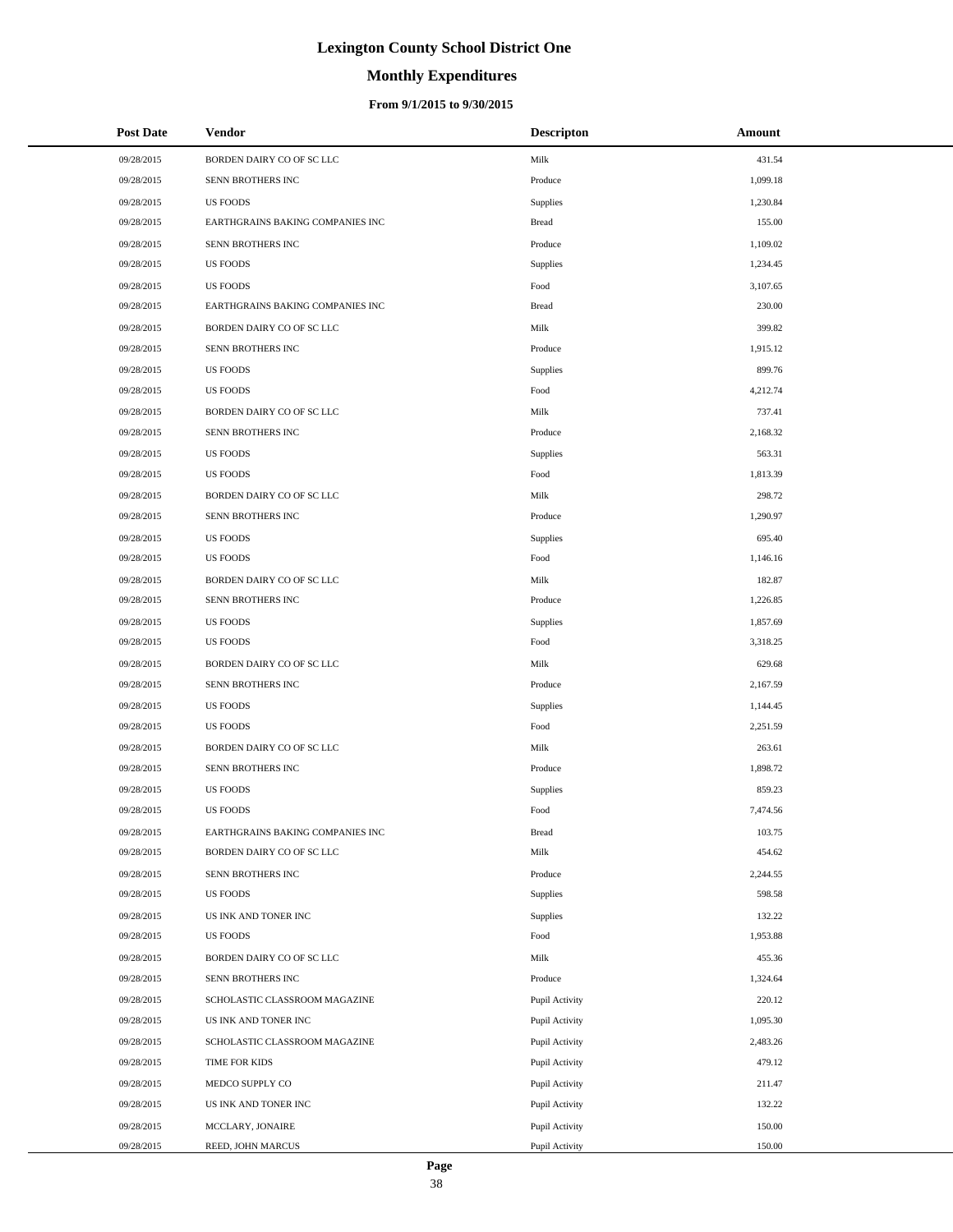# **Monthly Expenditures**

### **From 9/1/2015 to 9/30/2015**

| <b>Post Date</b> | Vendor                           | <b>Descripton</b> | Amount   |
|------------------|----------------------------------|-------------------|----------|
| 09/28/2015       | BORDEN DAIRY CO OF SC LLC        | Milk              | 431.54   |
| 09/28/2015       | SENN BROTHERS INC                | Produce           | 1,099.18 |
| 09/28/2015       | <b>US FOODS</b>                  | Supplies          | 1,230.84 |
| 09/28/2015       | EARTHGRAINS BAKING COMPANIES INC | <b>Bread</b>      | 155.00   |
| 09/28/2015       | SENN BROTHERS INC                | Produce           | 1,109.02 |
| 09/28/2015       | <b>US FOODS</b>                  | Supplies          | 1,234.45 |
| 09/28/2015       | <b>US FOODS</b>                  | Food              | 3,107.65 |
| 09/28/2015       | EARTHGRAINS BAKING COMPANIES INC | <b>Bread</b>      | 230.00   |
| 09/28/2015       | BORDEN DAIRY CO OF SC LLC        | Milk              | 399.82   |
| 09/28/2015       | SENN BROTHERS INC                | Produce           | 1,915.12 |
| 09/28/2015       | <b>US FOODS</b>                  | Supplies          | 899.76   |
| 09/28/2015       | <b>US FOODS</b>                  | Food              | 4,212.74 |
| 09/28/2015       | BORDEN DAIRY CO OF SC LLC        | Milk              | 737.41   |
| 09/28/2015       | SENN BROTHERS INC                | Produce           | 2,168.32 |
| 09/28/2015       | <b>US FOODS</b>                  | Supplies          | 563.31   |
| 09/28/2015       | <b>US FOODS</b>                  | Food              | 1,813.39 |
| 09/28/2015       | BORDEN DAIRY CO OF SC LLC        | Milk              | 298.72   |
| 09/28/2015       | SENN BROTHERS INC                | Produce           | 1,290.97 |
| 09/28/2015       | <b>US FOODS</b>                  | Supplies          | 695.40   |
| 09/28/2015       | <b>US FOODS</b>                  | Food              | 1,146.16 |
| 09/28/2015       | BORDEN DAIRY CO OF SC LLC        | Milk              | 182.87   |
| 09/28/2015       | SENN BROTHERS INC                | Produce           | 1,226.85 |
| 09/28/2015       | <b>US FOODS</b>                  | Supplies          | 1,857.69 |
| 09/28/2015       | <b>US FOODS</b>                  | Food              | 3,318.25 |
| 09/28/2015       | BORDEN DAIRY CO OF SC LLC        | Milk              | 629.68   |
| 09/28/2015       | SENN BROTHERS INC                | Produce           | 2,167.59 |
| 09/28/2015       | <b>US FOODS</b>                  | Supplies          | 1,144.45 |
| 09/28/2015       | <b>US FOODS</b>                  | Food              | 2,251.59 |
| 09/28/2015       | BORDEN DAIRY CO OF SC LLC        | Milk              | 263.61   |
| 09/28/2015       | SENN BROTHERS INC                | Produce           | 1,898.72 |
| 09/28/2015       | <b>US FOODS</b>                  | Supplies          | 859.23   |
| 09/28/2015       | <b>US FOODS</b>                  | Food              | 7,474.56 |
| 09/28/2015       | EARTHGRAINS BAKING COMPANIES INC | <b>Bread</b>      | 103.75   |
| 09/28/2015       | BORDEN DAIRY CO OF SC LLC        | Milk              | 454.62   |
| 09/28/2015       | SENN BROTHERS INC                | Produce           | 2,244.55 |
| 09/28/2015       | <b>US FOODS</b>                  | Supplies          | 598.58   |
| 09/28/2015       | US INK AND TONER INC             | Supplies          | 132.22   |
| 09/28/2015       | US FOODS                         | Food              | 1,953.88 |
| 09/28/2015       | BORDEN DAIRY CO OF SC LLC        | Milk              | 455.36   |
| 09/28/2015       | SENN BROTHERS INC                | Produce           | 1,324.64 |
| 09/28/2015       | SCHOLASTIC CLASSROOM MAGAZINE    | Pupil Activity    | 220.12   |
| 09/28/2015       | US INK AND TONER INC             | Pupil Activity    | 1,095.30 |
| 09/28/2015       | SCHOLASTIC CLASSROOM MAGAZINE    | Pupil Activity    | 2,483.26 |
| 09/28/2015       | TIME FOR KIDS                    | Pupil Activity    | 479.12   |
| 09/28/2015       | MEDCO SUPPLY CO                  | Pupil Activity    | 211.47   |
| 09/28/2015       | US INK AND TONER INC             | Pupil Activity    | 132.22   |
| 09/28/2015       | MCCLARY, JONAIRE                 | Pupil Activity    | 150.00   |
| 09/28/2015       | REED, JOHN MARCUS                | Pupil Activity    | 150.00   |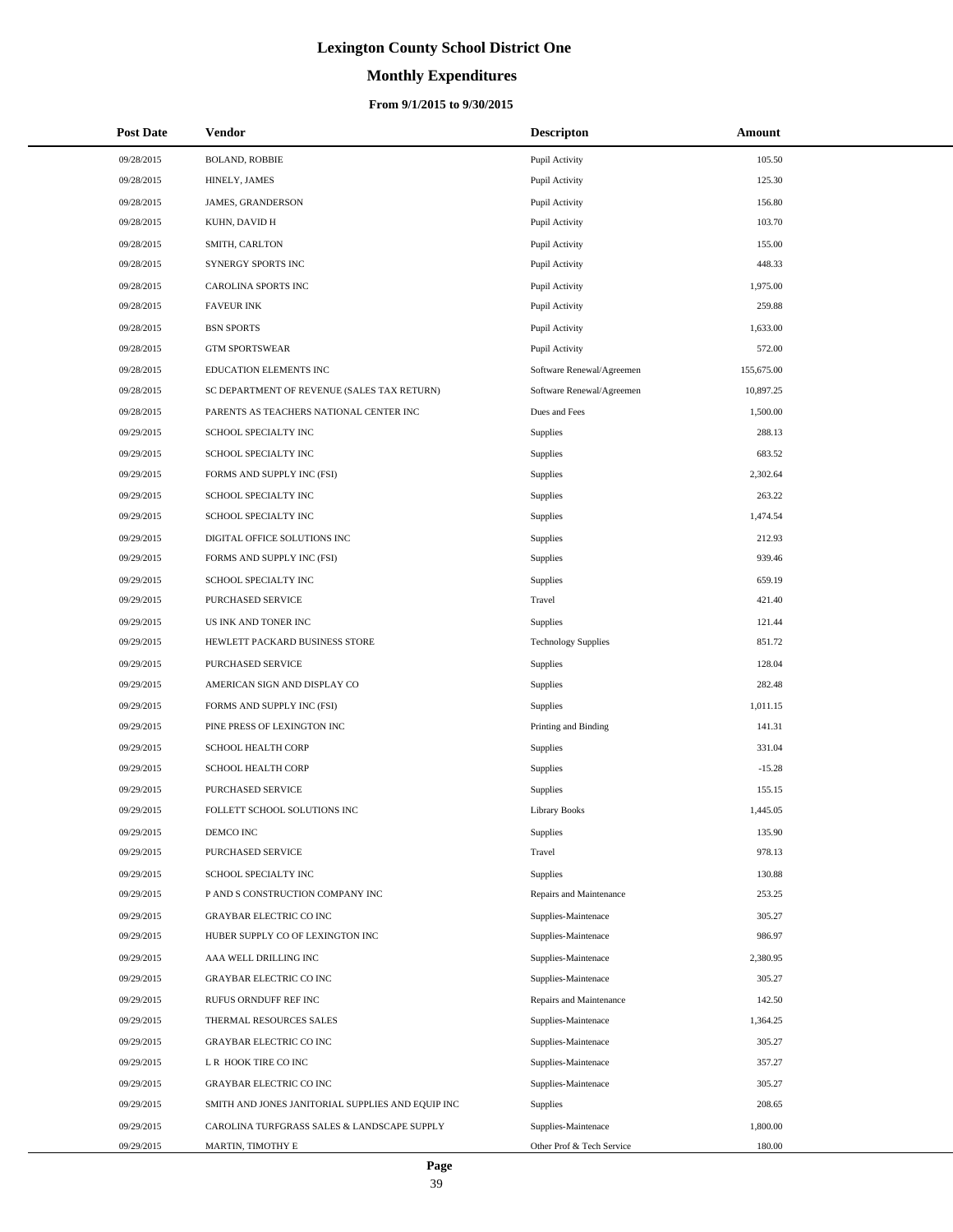# **Monthly Expenditures**

### **From 9/1/2015 to 9/30/2015**

| <b>Post Date</b> | Vendor                                            | <b>Descripton</b>          | Amount     |
|------------------|---------------------------------------------------|----------------------------|------------|
| 09/28/2015       | <b>BOLAND, ROBBIE</b>                             | Pupil Activity             | 105.50     |
| 09/28/2015       | HINELY, JAMES                                     | Pupil Activity             | 125.30     |
| 09/28/2015       | <b>JAMES, GRANDERSON</b>                          | Pupil Activity             | 156.80     |
| 09/28/2015       | KUHN, DAVID H                                     | Pupil Activity             | 103.70     |
| 09/28/2015       | SMITH, CARLTON                                    | Pupil Activity             | 155.00     |
| 09/28/2015       | SYNERGY SPORTS INC                                | Pupil Activity             | 448.33     |
| 09/28/2015       | CAROLINA SPORTS INC                               | Pupil Activity             | 1,975.00   |
| 09/28/2015       | <b>FAVEUR INK</b>                                 | Pupil Activity             | 259.88     |
| 09/28/2015       | <b>BSN SPORTS</b>                                 | Pupil Activity             | 1,633.00   |
| 09/28/2015       | <b>GTM SPORTSWEAR</b>                             | Pupil Activity             | 572.00     |
| 09/28/2015       | EDUCATION ELEMENTS INC                            | Software Renewal/Agreemen  | 155,675.00 |
| 09/28/2015       | SC DEPARTMENT OF REVENUE (SALES TAX RETURN)       | Software Renewal/Agreemen  | 10,897.25  |
| 09/28/2015       | PARENTS AS TEACHERS NATIONAL CENTER INC           | Dues and Fees              | 1,500.00   |
| 09/29/2015       | SCHOOL SPECIALTY INC                              | <b>Supplies</b>            | 288.13     |
| 09/29/2015       | SCHOOL SPECIALTY INC                              | <b>Supplies</b>            | 683.52     |
| 09/29/2015       | FORMS AND SUPPLY INC (FSI)                        | <b>Supplies</b>            | 2,302.64   |
| 09/29/2015       | SCHOOL SPECIALTY INC                              | Supplies                   | 263.22     |
| 09/29/2015       | SCHOOL SPECIALTY INC                              | Supplies                   | 1,474.54   |
| 09/29/2015       | DIGITAL OFFICE SOLUTIONS INC                      | Supplies                   | 212.93     |
| 09/29/2015       | FORMS AND SUPPLY INC (FSI)                        | <b>Supplies</b>            | 939.46     |
| 09/29/2015       | SCHOOL SPECIALTY INC                              | <b>Supplies</b>            | 659.19     |
| 09/29/2015       | PURCHASED SERVICE                                 | Travel                     | 421.40     |
| 09/29/2015       | US INK AND TONER INC                              | Supplies                   | 121.44     |
| 09/29/2015       | HEWLETT PACKARD BUSINESS STORE                    | <b>Technology Supplies</b> | 851.72     |
| 09/29/2015       | PURCHASED SERVICE                                 | <b>Supplies</b>            | 128.04     |
| 09/29/2015       | AMERICAN SIGN AND DISPLAY CO                      | Supplies                   | 282.48     |
| 09/29/2015       | FORMS AND SUPPLY INC (FSI)                        | <b>Supplies</b>            | 1,011.15   |
| 09/29/2015       | PINE PRESS OF LEXINGTON INC                       | Printing and Binding       | 141.31     |
| 09/29/2015       | <b>SCHOOL HEALTH CORP</b>                         | <b>Supplies</b>            | 331.04     |
| 09/29/2015       | SCHOOL HEALTH CORP                                | Supplies                   | $-15.28$   |
| 09/29/2015       | PURCHASED SERVICE                                 | <b>Supplies</b>            | 155.15     |
| 09/29/2015       | FOLLETT SCHOOL SOLUTIONS INC                      | <b>Library Books</b>       | 1,445.05   |
| 09/29/2015       | DEMCO INC                                         | Supplies                   | 135.90     |
| 09/29/2015       | PURCHASED SERVICE                                 | Travel                     | 978.13     |
| 09/29/2015       | SCHOOL SPECIALTY INC                              | Supplies                   | 130.88     |
| 09/29/2015       | P AND S CONSTRUCTION COMPANY INC                  | Repairs and Maintenance    | 253.25     |
| 09/29/2015       | <b>GRAYBAR ELECTRIC CO INC</b>                    | Supplies-Maintenace        | 305.27     |
| 09/29/2015       | HUBER SUPPLY CO OF LEXINGTON INC                  | Supplies-Maintenace        | 986.97     |
| 09/29/2015       | AAA WELL DRILLING INC                             | Supplies-Maintenace        | 2,380.95   |
| 09/29/2015       | <b>GRAYBAR ELECTRIC CO INC</b>                    | Supplies-Maintenace        | 305.27     |
| 09/29/2015       | RUFUS ORNDUFF REF INC                             | Repairs and Maintenance    | 142.50     |
| 09/29/2015       | THERMAL RESOURCES SALES                           | Supplies-Maintenace        | 1,364.25   |
| 09/29/2015       | <b>GRAYBAR ELECTRIC CO INC</b>                    | Supplies-Maintenace        | 305.27     |
| 09/29/2015       | L R HOOK TIRE CO INC                              | Supplies-Maintenace        | 357.27     |
| 09/29/2015       | <b>GRAYBAR ELECTRIC CO INC</b>                    | Supplies-Maintenace        | 305.27     |
| 09/29/2015       | SMITH AND JONES JANITORIAL SUPPLIES AND EQUIP INC | Supplies                   | 208.65     |
| 09/29/2015       | CAROLINA TURFGRASS SALES & LANDSCAPE SUPPLY       | Supplies-Maintenace        | 1,800.00   |
| 09/29/2015       | MARTIN, TIMOTHY E                                 | Other Prof & Tech Service  | 180.00     |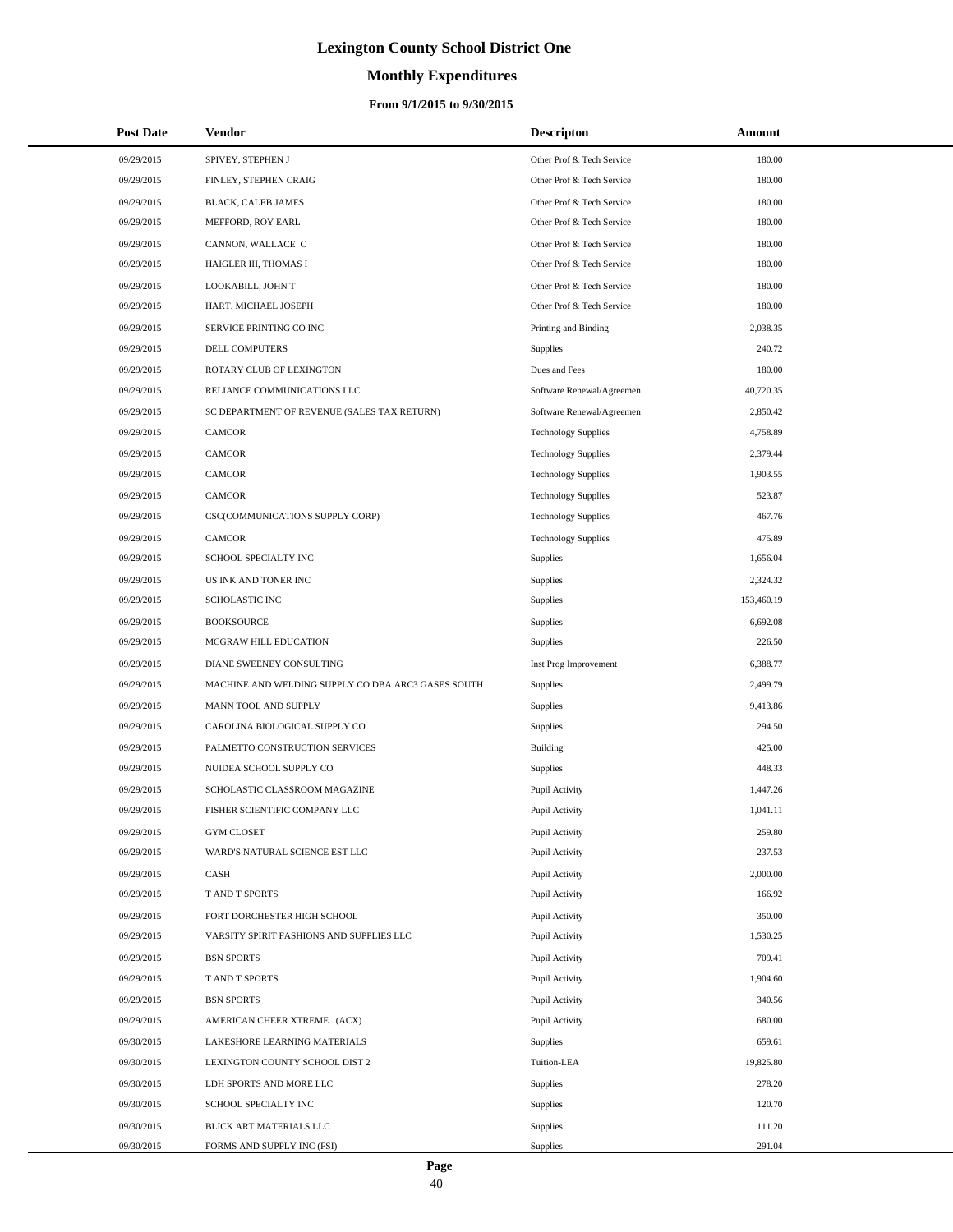# **Monthly Expenditures**

### **From 9/1/2015 to 9/30/2015**

| <b>Post Date</b> | Vendor                                             | <b>Descripton</b>          | Amount     |  |
|------------------|----------------------------------------------------|----------------------------|------------|--|
| 09/29/2015       | SPIVEY, STEPHEN J                                  | Other Prof & Tech Service  | 180.00     |  |
| 09/29/2015       | FINLEY, STEPHEN CRAIG                              | Other Prof & Tech Service  | 180.00     |  |
| 09/29/2015       | BLACK, CALEB JAMES                                 | Other Prof & Tech Service  | 180.00     |  |
| 09/29/2015       | MEFFORD, ROY EARL                                  | Other Prof & Tech Service  | 180.00     |  |
| 09/29/2015       | CANNON, WALLACE C                                  | Other Prof & Tech Service  | 180.00     |  |
| 09/29/2015       | HAIGLER III, THOMAS I                              | Other Prof & Tech Service  | 180.00     |  |
| 09/29/2015       | LOOKABILL, JOHN T                                  | Other Prof & Tech Service  | 180.00     |  |
| 09/29/2015       | HART, MICHAEL JOSEPH                               | Other Prof & Tech Service  | 180.00     |  |
| 09/29/2015       | SERVICE PRINTING CO INC                            | Printing and Binding       | 2,038.35   |  |
| 09/29/2015       | <b>DELL COMPUTERS</b>                              | Supplies                   | 240.72     |  |
| 09/29/2015       | ROTARY CLUB OF LEXINGTON                           | Dues and Fees              | 180.00     |  |
| 09/29/2015       | RELIANCE COMMUNICATIONS LLC                        | Software Renewal/Agreemen  | 40,720.35  |  |
| 09/29/2015       | SC DEPARTMENT OF REVENUE (SALES TAX RETURN)        | Software Renewal/Agreemen  | 2,850.42   |  |
| 09/29/2015       | <b>CAMCOR</b>                                      | <b>Technology Supplies</b> | 4,758.89   |  |
| 09/29/2015       | <b>CAMCOR</b>                                      | <b>Technology Supplies</b> | 2,379.44   |  |
| 09/29/2015       | <b>CAMCOR</b>                                      | <b>Technology Supplies</b> | 1,903.55   |  |
| 09/29/2015       | <b>CAMCOR</b>                                      | <b>Technology Supplies</b> | 523.87     |  |
| 09/29/2015       | CSC(COMMUNICATIONS SUPPLY CORP)                    | <b>Technology Supplies</b> | 467.76     |  |
| 09/29/2015       | <b>CAMCOR</b>                                      | <b>Technology Supplies</b> | 475.89     |  |
| 09/29/2015       | SCHOOL SPECIALTY INC                               | Supplies                   | 1,656.04   |  |
| 09/29/2015       | US INK AND TONER INC                               | Supplies                   | 2,324.32   |  |
| 09/29/2015       | <b>SCHOLASTIC INC</b>                              | Supplies                   | 153,460.19 |  |
| 09/29/2015       | <b>BOOKSOURCE</b>                                  | Supplies                   | 6,692.08   |  |
| 09/29/2015       | MCGRAW HILL EDUCATION                              | Supplies                   | 226.50     |  |
| 09/29/2015       | DIANE SWEENEY CONSULTING                           | Inst Prog Improvement      | 6,388.77   |  |
| 09/29/2015       | MACHINE AND WELDING SUPPLY CO DBA ARC3 GASES SOUTH | Supplies                   | 2,499.79   |  |
| 09/29/2015       | MANN TOOL AND SUPPLY                               | Supplies                   | 9,413.86   |  |
| 09/29/2015       | CAROLINA BIOLOGICAL SUPPLY CO                      | Supplies                   | 294.50     |  |
| 09/29/2015       | PALMETTO CONSTRUCTION SERVICES                     | Building                   | 425.00     |  |
| 09/29/2015       | NUIDEA SCHOOL SUPPLY CO                            | Supplies                   | 448.33     |  |
| 09/29/2015       | SCHOLASTIC CLASSROOM MAGAZINE                      | Pupil Activity             | 1,447.26   |  |
| 09/29/2015       | FISHER SCIENTIFIC COMPANY LLC                      | Pupil Activity             | 1,041.11   |  |
| 09/29/2015       | <b>GYM CLOSET</b>                                  | Pupil Activity             | 259.80     |  |
| 09/29/2015       | WARD'S NATURAL SCIENCE EST LLC                     | Pupil Activity             | 237.53     |  |
| 09/29/2015       | CASH                                               | Pupil Activity             | 2,000.00   |  |
| 09/29/2015       | T AND T SPORTS                                     | Pupil Activity             | 166.92     |  |
| 09/29/2015       | FORT DORCHESTER HIGH SCHOOL                        | Pupil Activity             | 350.00     |  |
| 09/29/2015       | VARSITY SPIRIT FASHIONS AND SUPPLIES LLC           | Pupil Activity             | 1,530.25   |  |
| 09/29/2015       | <b>BSN SPORTS</b>                                  | Pupil Activity             | 709.41     |  |
| 09/29/2015       | T AND T SPORTS                                     | Pupil Activity             | 1,904.60   |  |
| 09/29/2015       | <b>BSN SPORTS</b>                                  | Pupil Activity             | 340.56     |  |
| 09/29/2015       | AMERICAN CHEER XTREME (ACX)                        | Pupil Activity             | 680.00     |  |
| 09/30/2015       | LAKESHORE LEARNING MATERIALS                       | <b>Supplies</b>            | 659.61     |  |
| 09/30/2015       | LEXINGTON COUNTY SCHOOL DIST 2                     | Tuition-LEA                | 19,825.80  |  |
| 09/30/2015       | LDH SPORTS AND MORE LLC                            | <b>Supplies</b>            | 278.20     |  |
| 09/30/2015       | SCHOOL SPECIALTY INC                               | Supplies                   | 120.70     |  |
| 09/30/2015       | BLICK ART MATERIALS LLC                            | Supplies                   | 111.20     |  |
| 09/30/2015       | FORMS AND SUPPLY INC (FSI)                         | Supplies                   | 291.04     |  |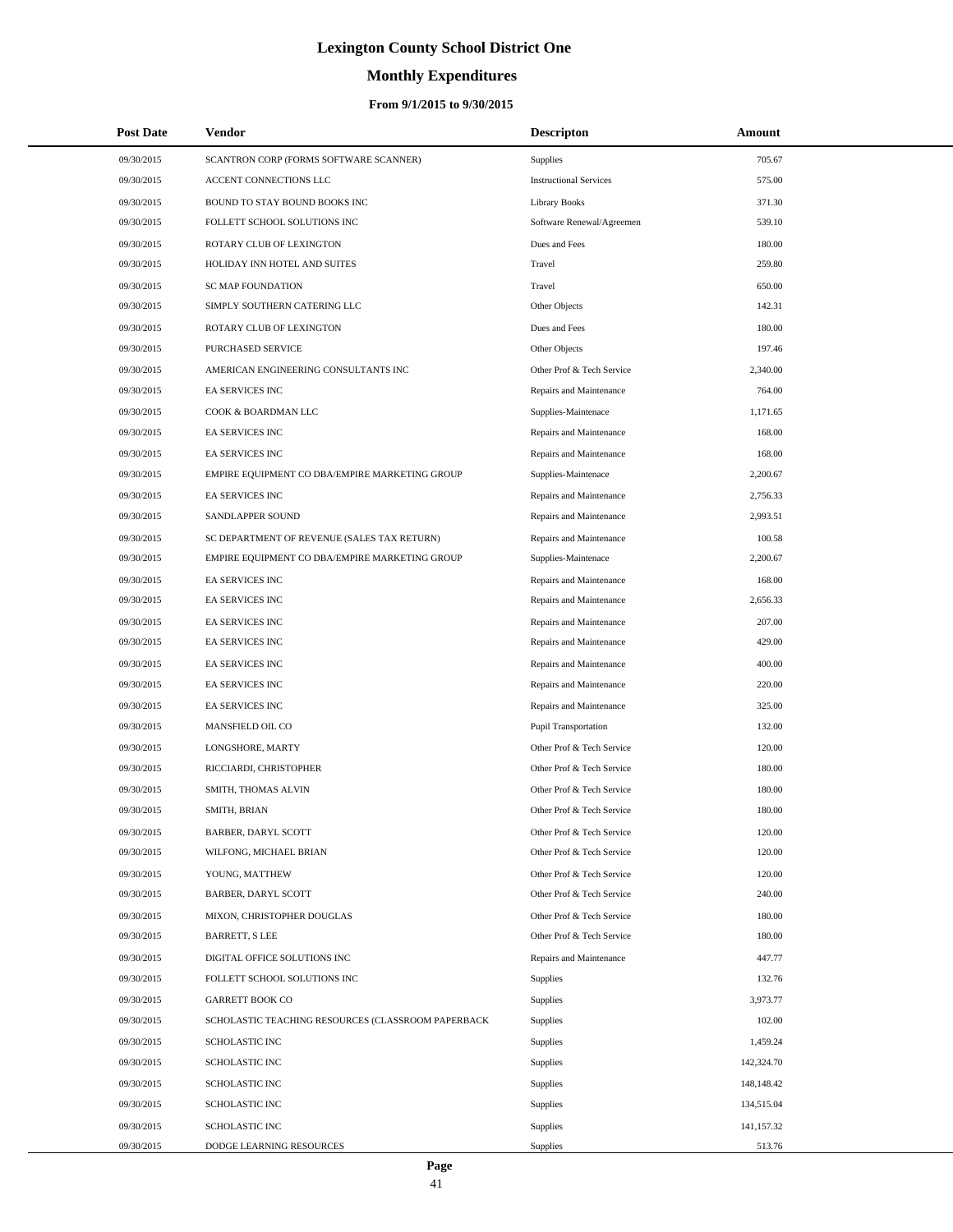# **Monthly Expenditures**

| <b>Post Date</b> | <b>Vendor</b>                                      | <b>Descripton</b>             | Amount     |
|------------------|----------------------------------------------------|-------------------------------|------------|
| 09/30/2015       | SCANTRON CORP (FORMS SOFTWARE SCANNER)             | Supplies                      | 705.67     |
| 09/30/2015       | ACCENT CONNECTIONS LLC                             | <b>Instructional Services</b> | 575.00     |
| 09/30/2015       | BOUND TO STAY BOUND BOOKS INC                      | Library Books                 | 371.30     |
| 09/30/2015       | FOLLETT SCHOOL SOLUTIONS INC                       | Software Renewal/Agreemen     | 539.10     |
| 09/30/2015       | ROTARY CLUB OF LEXINGTON                           | Dues and Fees                 | 180.00     |
| 09/30/2015       | HOLIDAY INN HOTEL AND SUITES                       | Travel                        | 259.80     |
| 09/30/2015       | <b>SC MAP FOUNDATION</b>                           | Travel                        | 650.00     |
| 09/30/2015       | SIMPLY SOUTHERN CATERING LLC                       | Other Objects                 | 142.31     |
| 09/30/2015       | ROTARY CLUB OF LEXINGTON                           | Dues and Fees                 | 180.00     |
| 09/30/2015       | <b>PURCHASED SERVICE</b>                           | Other Objects                 | 197.46     |
| 09/30/2015       | AMERICAN ENGINEERING CONSULTANTS INC               | Other Prof & Tech Service     | 2,340.00   |
| 09/30/2015       | EA SERVICES INC                                    | Repairs and Maintenance       | 764.00     |
| 09/30/2015       | COOK & BOARDMAN LLC                                | Supplies-Maintenace           | 1,171.65   |
| 09/30/2015       | <b>EA SERVICES INC</b>                             | Repairs and Maintenance       | 168.00     |
| 09/30/2015       | EA SERVICES INC                                    | Repairs and Maintenance       | 168.00     |
| 09/30/2015       | EMPIRE EQUIPMENT CO DBA/EMPIRE MARKETING GROUP     | Supplies-Maintenace           | 2,200.67   |
| 09/30/2015       | <b>EA SERVICES INC</b>                             | Repairs and Maintenance       | 2,756.33   |
| 09/30/2015       | SANDLAPPER SOUND                                   | Repairs and Maintenance       | 2,993.51   |
| 09/30/2015       | SC DEPARTMENT OF REVENUE (SALES TAX RETURN)        | Repairs and Maintenance       | 100.58     |
| 09/30/2015       | EMPIRE EQUIPMENT CO DBA/EMPIRE MARKETING GROUP     | Supplies-Maintenace           | 2,200.67   |
| 09/30/2015       | EA SERVICES INC                                    | Repairs and Maintenance       | 168.00     |
| 09/30/2015       | EA SERVICES INC                                    | Repairs and Maintenance       | 2,656.33   |
| 09/30/2015       | EA SERVICES INC                                    | Repairs and Maintenance       | 207.00     |
| 09/30/2015       | EA SERVICES INC                                    | Repairs and Maintenance       | 429.00     |
| 09/30/2015       | EA SERVICES INC                                    | Repairs and Maintenance       | 400.00     |
| 09/30/2015       | <b>EA SERVICES INC</b>                             | Repairs and Maintenance       | 220.00     |
| 09/30/2015       | EA SERVICES INC                                    | Repairs and Maintenance       | 325.00     |
| 09/30/2015       | MANSFIELD OIL CO                                   | <b>Pupil Transportation</b>   | 132.00     |
| 09/30/2015       | LONGSHORE, MARTY                                   | Other Prof & Tech Service     | 120.00     |
| 09/30/2015       | RICCIARDI, CHRISTOPHER                             | Other Prof & Tech Service     | 180.00     |
| 09/30/2015       | SMITH, THOMAS ALVIN                                | Other Prof & Tech Service     | 180.00     |
| 09/30/2015       | SMITH, BRIAN                                       | Other Prof & Tech Service     | 180.00     |
| 09/30/2015       | BARBER, DARYL SCOTT                                | Other Prof & Tech Service     | 120.00     |
| 09/30/2015       | WILFONG, MICHAEL BRIAN                             | Other Prof & Tech Service     | 120.00     |
| 09/30/2015       | YOUNG, MATTHEW                                     | Other Prof & Tech Service     | 120.00     |
| 09/30/2015       | BARBER, DARYL SCOTT                                | Other Prof & Tech Service     | 240.00     |
| 09/30/2015       | MIXON, CHRISTOPHER DOUGLAS                         | Other Prof & Tech Service     | 180.00     |
| 09/30/2015       | <b>BARRETT, S LEE</b>                              | Other Prof & Tech Service     | 180.00     |
| 09/30/2015       | DIGITAL OFFICE SOLUTIONS INC                       | Repairs and Maintenance       | 447.77     |
| 09/30/2015       | FOLLETT SCHOOL SOLUTIONS INC                       | <b>Supplies</b>               | 132.76     |
| 09/30/2015       | <b>GARRETT BOOK CO</b>                             | <b>Supplies</b>               | 3,973.77   |
| 09/30/2015       | SCHOLASTIC TEACHING RESOURCES (CLASSROOM PAPERBACK | <b>Supplies</b>               | 102.00     |
| 09/30/2015       | SCHOLASTIC INC                                     | Supplies                      | 1,459.24   |
| 09/30/2015       | SCHOLASTIC INC                                     | <b>Supplies</b>               | 142,324.70 |
| 09/30/2015       | SCHOLASTIC INC                                     | <b>Supplies</b>               | 148,148.42 |
| 09/30/2015       | SCHOLASTIC INC                                     | <b>Supplies</b>               | 134,515.04 |
| 09/30/2015       | SCHOLASTIC INC                                     | <b>Supplies</b>               | 141,157.32 |
| 09/30/2015       | DODGE LEARNING RESOURCES                           | Supplies                      | 513.76     |